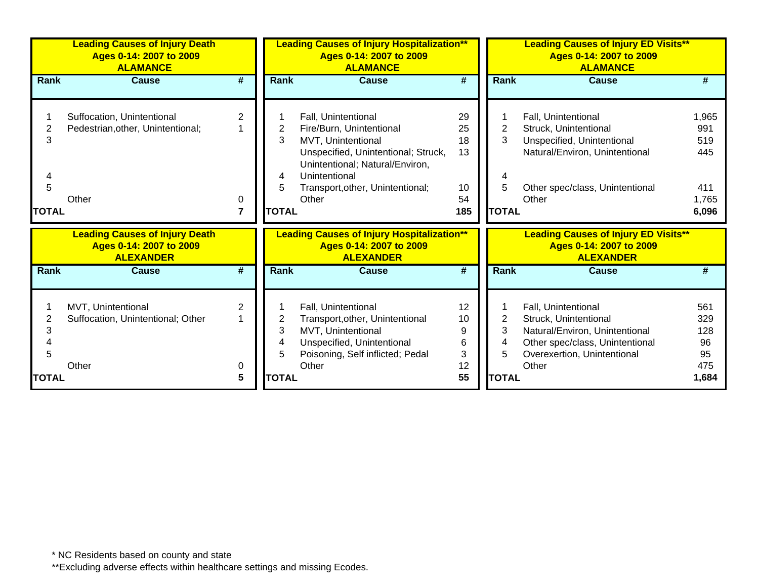|                        | <b>Leading Causes of Injury Death</b><br>Ages 0-14: 2007 to 2009<br><b>ALAMANCE</b>  |                          |                                  | <b>Leading Causes of Injury Hospitalization**</b><br>Ages 0-14: 2007 to 2009<br><b>ALAMANCE</b>                                                                                                               |                                         |                             | <b>Leading Causes of Injury ED Visits**</b><br>Ages 0-14: 2007 to 2009<br><b>ALAMANCE</b>                                                                 |                                                     |
|------------------------|--------------------------------------------------------------------------------------|--------------------------|----------------------------------|---------------------------------------------------------------------------------------------------------------------------------------------------------------------------------------------------------------|-----------------------------------------|-----------------------------|-----------------------------------------------------------------------------------------------------------------------------------------------------------|-----------------------------------------------------|
| <b>Rank</b>            | <b>Cause</b>                                                                         | #                        | <b>Rank</b>                      | Cause                                                                                                                                                                                                         | #                                       | Rank                        | Cause                                                                                                                                                     | #                                                   |
| 3<br>5<br><b>TOTAL</b> | Suffocation, Unintentional<br>Pedestrian, other, Unintentional;<br>Other             | 2<br>0<br>$\overline{7}$ | 2<br>3<br>4<br>5<br><b>TOTAL</b> | Fall, Unintentional<br>Fire/Burn, Unintentional<br>MVT, Unintentional<br>Unspecified, Unintentional; Struck,<br>Unintentional; Natural/Environ,<br>Unintentional<br>Transport, other, Unintentional;<br>Other | 29<br>25<br>18<br>13<br>10<br>54<br>185 | 2<br>3<br>5<br><b>TOTAL</b> | Fall, Unintentional<br>Struck, Unintentional<br>Unspecified, Unintentional<br>Natural/Environ, Unintentional<br>Other spec/class, Unintentional<br>Other  | 1,965<br>991<br>519<br>445<br>411<br>1,765<br>6,096 |
|                        | <b>Leading Causes of Injury Death</b><br>Ages 0-14: 2007 to 2009<br><b>ALEXANDER</b> |                          |                                  | <b>Leading Causes of Injury Hospitalization**</b><br>Ages 0-14: 2007 to 2009<br><b>ALEXANDER</b>                                                                                                              |                                         |                             | <b>Leading Causes of Injury ED Visits**</b><br>Ages 0-14: 2007 to 2009<br><b>ALEXANDER</b>                                                                |                                                     |
| Rank                   | Cause                                                                                | #                        | <b>Rank</b>                      | <b>Cause</b>                                                                                                                                                                                                  | #                                       | Rank                        | Cause                                                                                                                                                     | #                                                   |
| 3<br><b>TOTAL</b>      | MVT, Unintentional<br>Suffocation, Unintentional; Other<br>Other                     | 2<br>0<br>5              | 3<br>4<br>5<br><b>TOTAL</b>      | Fall, Unintentional<br>Transport, other, Unintentional<br>MVT, Unintentional<br>Unspecified, Unintentional<br>Poisoning, Self inflicted; Pedal<br>Other                                                       | 12<br>10<br>9<br>6<br>3<br>12<br>55     | 3<br>4<br>5<br><b>TOTAL</b> | Fall, Unintentional<br>Struck, Unintentional<br>Natural/Environ, Unintentional<br>Other spec/class, Unintentional<br>Overexertion, Unintentional<br>Other | 561<br>329<br>128<br>96<br>95<br>475<br>1,684       |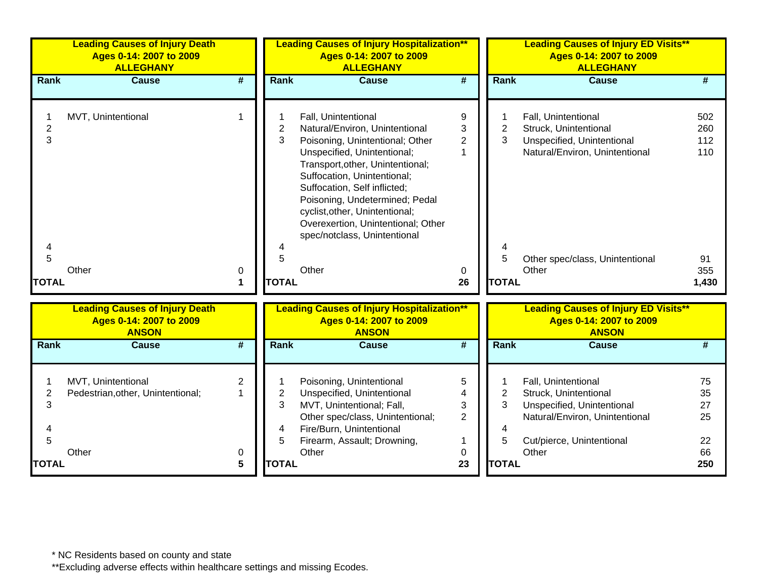| <b>Leading Causes of Injury Death</b><br>Ages 0-14: 2007 to 2009<br><b>ALLEGHANY</b> |                                          |                               | Ages 0-14: 2007 to 2009<br><b>ALLEGHANY</b>                                                                                                                                                                                                                                                                                        | <b>ALLEGHANY</b>                                                                                                                                                                     |                                                                                                        |                                                                                                                                                    |                                                                                                                                                           |
|--------------------------------------------------------------------------------------|------------------------------------------|-------------------------------|------------------------------------------------------------------------------------------------------------------------------------------------------------------------------------------------------------------------------------------------------------------------------------------------------------------------------------|--------------------------------------------------------------------------------------------------------------------------------------------------------------------------------------|--------------------------------------------------------------------------------------------------------|----------------------------------------------------------------------------------------------------------------------------------------------------|-----------------------------------------------------------------------------------------------------------------------------------------------------------|
| <b>Cause</b>                                                                         | $\overline{\boldsymbol{H}}$              |                               | <b>Cause</b>                                                                                                                                                                                                                                                                                                                       | $\overline{\boldsymbol{t}}$                                                                                                                                                          |                                                                                                        | <b>Cause</b>                                                                                                                                       | #                                                                                                                                                         |
| MVT, Unintentional                                                                   | $\mathbf{1}$                             | $\overline{2}$<br>3           | Fall, Unintentional<br>Poisoning, Unintentional; Other<br>Unspecified, Unintentional;<br>Transport, other, Unintentional;<br>Suffocation, Unintentional;<br>Suffocation, Self inflicted;<br>Poisoning, Undetermined; Pedal<br>cyclist, other, Unintentional;<br>Overexertion, Unintentional; Other<br>spec/notclass, Unintentional | 9<br>$\ensuremath{\mathsf{3}}$<br>$\overline{2}$<br>$\mathbf{1}$                                                                                                                     | $\overline{2}$<br>3                                                                                    | Fall, Unintentional<br>Struck, Unintentional<br>Unspecified, Unintentional<br>Natural/Environ, Unintentional                                       | 502<br>260<br>112<br>110                                                                                                                                  |
|                                                                                      |                                          | 4                             |                                                                                                                                                                                                                                                                                                                                    |                                                                                                                                                                                      |                                                                                                        |                                                                                                                                                    | 91                                                                                                                                                        |
| Other                                                                                | 0                                        |                               | Other                                                                                                                                                                                                                                                                                                                              | 0                                                                                                                                                                                    |                                                                                                        | Other                                                                                                                                              | 355                                                                                                                                                       |
|                                                                                      | 1                                        |                               |                                                                                                                                                                                                                                                                                                                                    | 26                                                                                                                                                                                   |                                                                                                        |                                                                                                                                                    | 1,430                                                                                                                                                     |
| <b>Leading Causes of Injury Death</b><br>Ages 0-14: 2007 to 2009<br><b>ANSON</b>     |                                          |                               | Ages 0-14: 2007 to 2009<br><b>ANSON</b>                                                                                                                                                                                                                                                                                            |                                                                                                                                                                                      |                                                                                                        | <b>Leading Causes of Injury ED Visits**</b><br>Ages 0-14: 2007 to 2009<br><b>ANSON</b>                                                             |                                                                                                                                                           |
| <b>Cause</b>                                                                         | #                                        |                               | <b>Cause</b>                                                                                                                                                                                                                                                                                                                       | #                                                                                                                                                                                    |                                                                                                        | <b>Cause</b>                                                                                                                                       | #                                                                                                                                                         |
| MVT, Unintentional<br>Pedestrian, other, Unintentional;<br>Other                     | $\overline{2}$<br>$\mathbf{1}$<br>0<br>5 | $\overline{2}$<br>3<br>4<br>5 | Poisoning, Unintentional<br>Other spec/class, Unintentional;<br>Other                                                                                                                                                                                                                                                              | 5<br>3<br>$\overline{2}$<br>1<br>0<br>23                                                                                                                                             | 2<br>3<br>4<br>5                                                                                       | Fall, Unintentional<br>Struck, Unintentional<br>Unspecified, Unintentional<br>Natural/Environ, Unintentional<br>Cut/pierce, Unintentional<br>Other | 75<br>35<br>27<br>25<br>22<br>66<br>250                                                                                                                   |
|                                                                                      |                                          |                               | Rank<br>5<br>Rank                                                                                                                                                                                                                                                                                                                  | Natural/Environ, Unintentional<br><b>TOTAL</b><br>Unspecified, Unintentional<br>MVT, Unintentional; Fall,<br>Fire/Burn, Unintentional<br>Firearm, Assault; Drowning,<br><b>TOTAL</b> | <b>Leading Causes of Injury Hospitalization**</b><br><b>Leading Causes of Injury Hospitalization**</b> | 5                                                                                                                                                  | <b>Leading Causes of Injury ED Visits**</b><br>Ages 0-14: 2007 to 2009<br>Rank<br>Other spec/class, Unintentional<br><b>TOTAL</b><br>Rank<br><b>TOTAL</b> |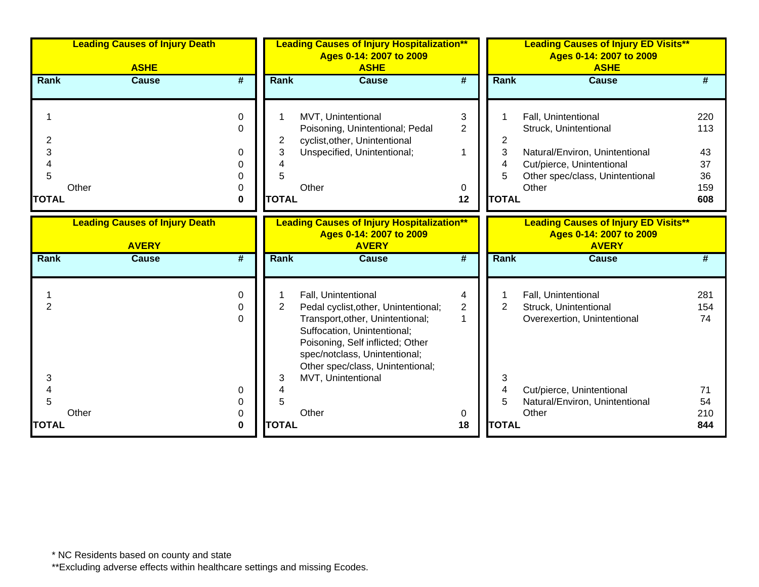|                                           | <b>Leading Causes of Injury Death</b><br><b>ASHE</b>  | <b>Leading Causes of Injury Hospitalization**</b><br>Ages 0-14: 2007 to 2009<br><b>ASHE</b> |                             |                                                                                                                                                                                                                                         |                                     |                                  | <b>Leading Causes of Injury ED Visits**</b><br>Ages 0-14: 2007 to 2009<br><b>ASHE</b>                                                                   |                                            |
|-------------------------------------------|-------------------------------------------------------|---------------------------------------------------------------------------------------------|-----------------------------|-----------------------------------------------------------------------------------------------------------------------------------------------------------------------------------------------------------------------------------------|-------------------------------------|----------------------------------|---------------------------------------------------------------------------------------------------------------------------------------------------------|--------------------------------------------|
| Rank                                      | <b>Cause</b>                                          | #                                                                                           | Rank                        | <b>Cause</b>                                                                                                                                                                                                                            | $\overline{\boldsymbol{t}}$         | Rank                             | <b>Cause</b>                                                                                                                                            | #                                          |
| 2<br>3<br>4<br>5<br>Other<br><b>TOTAL</b> |                                                       | $\Omega$<br>$\Omega$<br>0<br>0<br>0<br>0                                                    | 2<br>3<br>5<br><b>TOTAL</b> | MVT, Unintentional<br>Poisoning, Unintentional; Pedal<br>cyclist, other, Unintentional<br>Unspecified, Unintentional;<br>Other                                                                                                          | 3<br>$\overline{2}$<br>1<br>0<br>12 | 2<br>3<br>4<br>5<br><b>TOTAL</b> | Fall, Unintentional<br>Struck, Unintentional<br>Natural/Environ, Unintentional<br>Cut/pierce, Unintentional<br>Other spec/class, Unintentional<br>Other | 220<br>113<br>43<br>37<br>36<br>159<br>608 |
|                                           | <b>Leading Causes of Injury Death</b><br><b>AVERY</b> |                                                                                             |                             | <b>Leading Causes of Injury Hospitalization**</b><br>Ages 0-14: 2007 to 2009<br><b>AVERY</b>                                                                                                                                            |                                     |                                  | <b>Leading Causes of Injury ED Visits**</b><br>Ages 0-14: 2007 to 2009<br><b>AVERY</b>                                                                  |                                            |
| Rank                                      | <b>Cause</b>                                          | #                                                                                           | Rank                        | <b>Cause</b>                                                                                                                                                                                                                            | #                                   | Rank                             | <b>Cause</b>                                                                                                                                            |                                            |
| 2                                         |                                                       | $\Omega$<br>$\Omega$<br>$\Omega$                                                            | $\overline{2}$              | Fall, Unintentional<br>Pedal cyclist, other, Unintentional;<br>Transport, other, Unintentional;<br>Suffocation, Unintentional;<br>Poisoning, Self inflicted; Other<br>spec/notclass, Unintentional;<br>Other spec/class, Unintentional; | 4<br>$\overline{2}$                 | 2                                | Fall, Unintentional<br>Struck, Unintentional<br>Overexertion, Unintentional                                                                             | 281<br>154<br>74                           |
| 3<br>4<br>5<br>Other<br><b>TOTAL</b>      |                                                       | 0<br>0<br>0<br>0                                                                            | 3<br>5<br><b>TOTAL</b>      | MVT, Unintentional<br>Other                                                                                                                                                                                                             | 0<br>18                             | 3<br>4<br>5<br><b>TOTAL</b>      | Cut/pierce, Unintentional<br>Natural/Environ, Unintentional<br>Other                                                                                    | 71<br>54<br>210<br>844                     |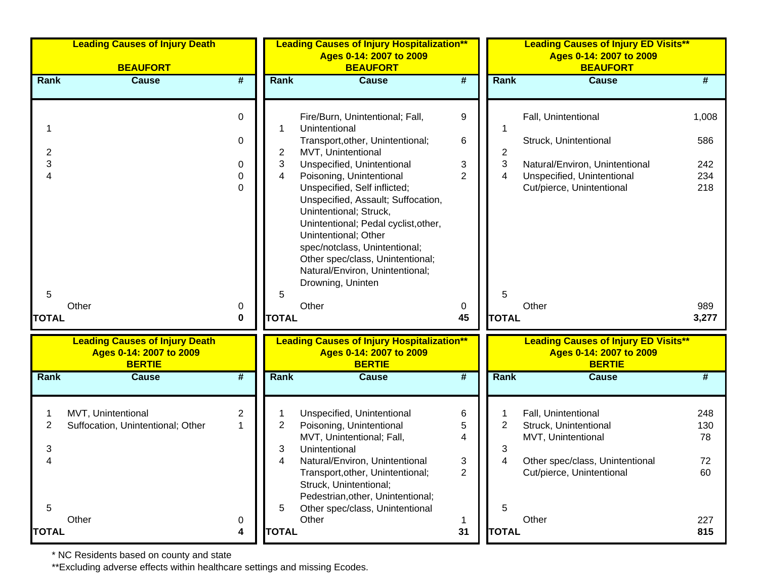|                   | <b>Leading Causes of Injury Death</b><br><b>BEAUFORT</b>                          |                              |                       | <b>Leading Causes of Injury Hospitalization**</b><br>Ages 0-14: 2007 to 2009<br><b>BEAUFORT</b>                                                                                                                                                                                                                                                                                                                                                                   |                                    |                   | <b>Leading Causes of Injury ED Visits**</b><br>Ages 0-14: 2007 to 2009<br><b>BEAUFORT</b>                                                 |                                   |  |  |
|-------------------|-----------------------------------------------------------------------------------|------------------------------|-----------------------|-------------------------------------------------------------------------------------------------------------------------------------------------------------------------------------------------------------------------------------------------------------------------------------------------------------------------------------------------------------------------------------------------------------------------------------------------------------------|------------------------------------|-------------------|-------------------------------------------------------------------------------------------------------------------------------------------|-----------------------------------|--|--|
| Rank              | <b>Cause</b>                                                                      | #                            | <b>Rank</b>           | <b>Cause</b>                                                                                                                                                                                                                                                                                                                                                                                                                                                      | #                                  | <b>Rank</b>       | <b>Cause</b>                                                                                                                              | #                                 |  |  |
| 2<br>3<br>4       |                                                                                   | 0<br>0<br>0<br>0<br>$\Omega$ | 1<br>2<br>3<br>4      | Fire/Burn, Unintentional; Fall,<br>Unintentional<br>Transport, other, Unintentional;<br>MVT, Unintentional<br>Unspecified, Unintentional<br>Poisoning, Unintentional<br>Unspecified, Self inflicted;<br>Unspecified, Assault; Suffocation,<br>Unintentional; Struck,<br>Unintentional; Pedal cyclist, other,<br>Unintentional; Other<br>spec/notclass, Unintentional;<br>Other spec/class, Unintentional;<br>Natural/Environ, Unintentional;<br>Drowning, Uninten | 9<br>6<br>3<br>$\overline{2}$      | 2<br>3<br>4       | Fall, Unintentional<br>Struck, Unintentional<br>Natural/Environ, Unintentional<br>Unspecified, Unintentional<br>Cut/pierce, Unintentional | 1,008<br>586<br>242<br>234<br>218 |  |  |
| 5<br><b>TOTAL</b> | Other                                                                             | 0<br>0                       | 5<br><b>TOTAL</b>     | Other                                                                                                                                                                                                                                                                                                                                                                                                                                                             | 0<br>45                            | 5<br><b>TOTAL</b> | Other                                                                                                                                     | 989<br>3,277                      |  |  |
|                   | <b>Leading Causes of Injury Death</b><br>Ages 0-14: 2007 to 2009<br><b>BERTIE</b> |                              |                       | <b>Leading Causes of Injury Hospitalization**</b><br>Ages 0-14: 2007 to 2009<br><b>BERTIE</b>                                                                                                                                                                                                                                                                                                                                                                     |                                    |                   | <b>Leading Causes of Injury ED Visits**</b><br>Ages 0-14: 2007 to 2009<br><b>BERTIE</b>                                                   |                                   |  |  |
| Rank              | <b>Cause</b>                                                                      | #                            | Rank                  | <b>Cause</b>                                                                                                                                                                                                                                                                                                                                                                                                                                                      | #                                  | Rank              | <b>Cause</b>                                                                                                                              | #                                 |  |  |
| 2<br>3<br>4<br>5  | MVT, Unintentional<br>Suffocation, Unintentional; Other                           | $\mathbf{2}$<br>1            | 1<br>2<br>3<br>4<br>5 | Unspecified, Unintentional<br>Poisoning, Unintentional<br>MVT, Unintentional; Fall,<br>Unintentional<br>Natural/Environ, Unintentional<br>Transport, other, Unintentional;<br>Struck, Unintentional;<br>Pedestrian, other, Unintentional;<br>Other spec/class, Unintentional                                                                                                                                                                                      | 6<br>5<br>4<br>3<br>$\overline{2}$ | 2<br>3<br>4<br>5  | Fall, Unintentional<br>Struck, Unintentional<br>MVT, Unintentional<br>Other spec/class, Unintentional<br>Cut/pierce, Unintentional        | 248<br>130<br>78<br>72<br>60      |  |  |
| <b>TOTAL</b>      | Other                                                                             | 0<br>4                       | <b>TOTAL</b>          | Other                                                                                                                                                                                                                                                                                                                                                                                                                                                             | 1<br>31                            | <b>TOTAL</b>      | Other                                                                                                                                     | 227<br>815                        |  |  |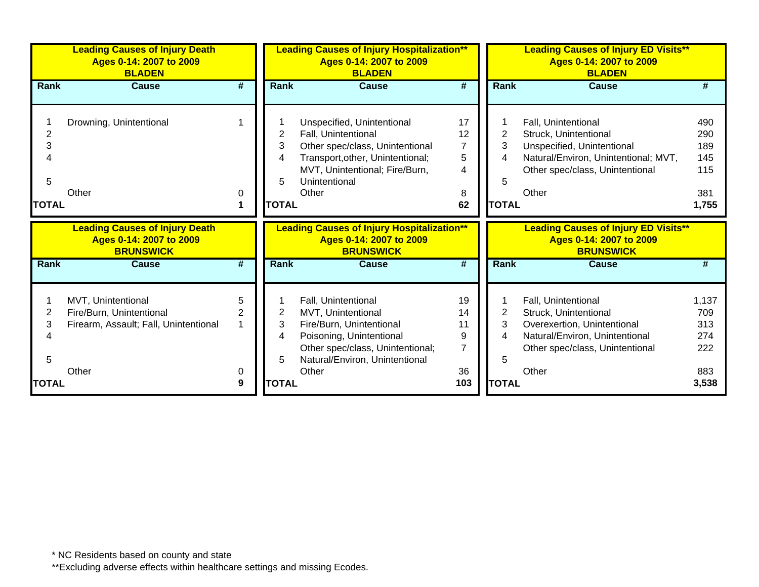|                             | <b>Leading Causes of Injury Death</b><br>Ages 0-14: 2007 to 2009<br><b>BLADEN</b>                |                             | <b>Leading Causes of Injury Hospitalization**</b><br>Ages 0-14: 2007 to 2009<br><b>BLADEN</b> |                                                                                                                                                                                      |                                                    | <b>Leading Causes of Injury ED Visits**</b><br>Ages 0-14: 2007 to 2009<br><b>BLADEN</b> |                                                                                                                                                                |                                                 |  |
|-----------------------------|--------------------------------------------------------------------------------------------------|-----------------------------|-----------------------------------------------------------------------------------------------|--------------------------------------------------------------------------------------------------------------------------------------------------------------------------------------|----------------------------------------------------|-----------------------------------------------------------------------------------------|----------------------------------------------------------------------------------------------------------------------------------------------------------------|-------------------------------------------------|--|
| <b>Rank</b>                 | <b>Cause</b>                                                                                     | #                           | Rank                                                                                          | <b>Cause</b>                                                                                                                                                                         | #                                                  | <b>Rank</b>                                                                             | <b>Cause</b>                                                                                                                                                   |                                                 |  |
| 2<br>3<br>5<br><b>TOTAL</b> | Drowning, Unintentional<br>Other                                                                 | 0                           | 2<br>3<br>4<br>5<br><b>TOTAL</b>                                                              | Unspecified, Unintentional<br>Fall, Unintentional<br>Other spec/class, Unintentional<br>Transport, other, Unintentional;<br>MVT, Unintentional; Fire/Burn,<br>Unintentional<br>Other | 17<br>12<br>$\overline{7}$<br>5<br>4<br>8<br>62    | 2<br>3<br>5<br><b>TOTAL</b>                                                             | Fall, Unintentional<br>Struck, Unintentional<br>Unspecified, Unintentional<br>Natural/Environ, Unintentional; MVT,<br>Other spec/class, Unintentional<br>Other | 490<br>290<br>189<br>145<br>115<br>381<br>1,755 |  |
|                             |                                                                                                  |                             |                                                                                               |                                                                                                                                                                                      |                                                    |                                                                                         |                                                                                                                                                                |                                                 |  |
|                             | <b>Leading Causes of Injury Death</b><br>Ages 0-14: 2007 to 2009<br><b>BRUNSWICK</b>             |                             |                                                                                               | <b>Leading Causes of Injury Hospitalization**</b><br>Ages 0-14: 2007 to 2009<br><b>BRUNSWICK</b>                                                                                     |                                                    |                                                                                         | <b>Leading Causes of Injury ED Visits**</b><br>Ages 0-14: 2007 to 2009<br><b>BRUNSWICK</b>                                                                     |                                                 |  |
| Rank                        | <b>Cause</b>                                                                                     | $\overline{\boldsymbol{t}}$ | <b>Rank</b>                                                                                   | <b>Cause</b>                                                                                                                                                                         | #                                                  | <b>Rank</b>                                                                             | <b>Cause</b>                                                                                                                                                   |                                                 |  |
| 2<br>3<br>4<br>5            | MVT, Unintentional<br>Fire/Burn, Unintentional<br>Firearm, Assault; Fall, Unintentional<br>Other | 5<br>$\overline{2}$<br>0    | 2<br>3<br>4<br>5<br><b>TOTAL</b>                                                              | Fall, Unintentional<br>MVT, Unintentional<br>Fire/Burn, Unintentional<br>Poisoning, Unintentional<br>Other spec/class, Unintentional;<br>Natural/Environ, Unintentional<br>Other     | 19<br>14<br>11<br>9<br>$\overline{7}$<br>36<br>103 | 2<br>3<br>4<br>5<br><b>TOTAL</b>                                                        | Fall, Unintentional<br>Struck, Unintentional<br>Overexertion, Unintentional<br>Natural/Environ, Unintentional<br>Other spec/class, Unintentional<br>Other      | 1,137<br>709<br>313<br>274<br>222<br>883        |  |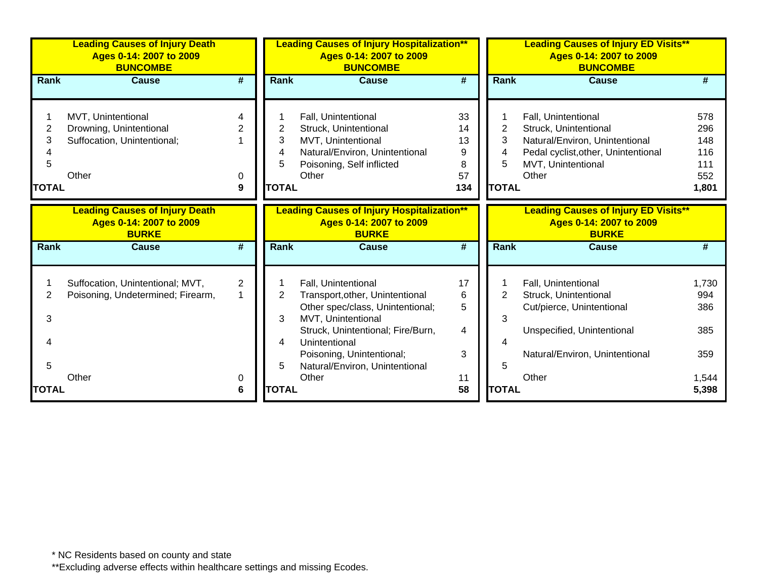|                             | <b>Leading Causes of Injury Death</b><br>Ages 0-14: 2007 to 2009<br><b>BUNCOMBE</b>   |                                     | <b>Leading Causes of Injury Hospitalization**</b><br>Ages 0-14: 2007 to 2009<br><b>BUNCOMBE</b><br>#<br><b>Cause</b> |                                                                                                                                                                                                                                                |                                       | <b>Leading Causes of Injury ED Visits**</b><br>Ages 0-14: 2007 to 2009<br><b>BUNCOMBE</b> |                                                                                                                                                      |                                                 |  |
|-----------------------------|---------------------------------------------------------------------------------------|-------------------------------------|----------------------------------------------------------------------------------------------------------------------|------------------------------------------------------------------------------------------------------------------------------------------------------------------------------------------------------------------------------------------------|---------------------------------------|-------------------------------------------------------------------------------------------|------------------------------------------------------------------------------------------------------------------------------------------------------|-------------------------------------------------|--|
| Rank                        | <b>Cause</b>                                                                          | #                                   | <b>Rank</b>                                                                                                          |                                                                                                                                                                                                                                                |                                       | <b>Rank</b>                                                                               | Cause                                                                                                                                                | #                                               |  |
| 2<br>3<br>5<br><b>TOTAL</b> | MVT, Unintentional<br>Drowning, Unintentional<br>Suffocation, Unintentional;<br>Other | 4<br>0<br>9                         | 2<br>3<br>4<br>5<br><b>TOTAL</b>                                                                                     | Fall, Unintentional<br>Struck, Unintentional<br>MVT, Unintentional<br>Natural/Environ, Unintentional<br>Poisoning, Self inflicted<br>Other                                                                                                     | 33<br>14<br>13<br>9<br>8<br>57<br>134 | 2<br>3<br>4<br>5<br><b>TOTAL</b>                                                          | Fall, Unintentional<br>Struck, Unintentional<br>Natural/Environ, Unintentional<br>Pedal cyclist, other, Unintentional<br>MVT, Unintentional<br>Other | 578<br>296<br>148<br>116<br>111<br>552<br>1,801 |  |
|                             | <b>Leading Causes of Injury Death</b><br>Ages 0-14: 2007 to 2009<br><b>BURKE</b>      |                                     |                                                                                                                      | <b>Leading Causes of Injury Hospitalization**</b><br>Ages 0-14: 2007 to 2009<br><b>BURKE</b>                                                                                                                                                   |                                       |                                                                                           | <b>Leading Causes of Injury ED Visits**</b><br>Ages 0-14: 2007 to 2009<br><b>BURKE</b>                                                               |                                                 |  |
| <b>Rank</b>                 | <b>Cause</b>                                                                          | $\overline{\boldsymbol{H}}$         | <b>Rank</b>                                                                                                          | <b>Cause</b>                                                                                                                                                                                                                                   | $\overline{\boldsymbol{t}}$           | Rank                                                                                      | <b>Cause</b>                                                                                                                                         | #                                               |  |
| 2<br>3<br>4<br>5            | Suffocation, Unintentional; MVT,<br>Poisoning, Undetermined; Firearm,<br>Other        | $\overline{2}$<br>$\mathbf{1}$<br>0 | 2<br>3<br>4<br>5                                                                                                     | Fall, Unintentional<br>Transport, other, Unintentional<br>Other spec/class, Unintentional;<br>MVT, Unintentional<br>Struck, Unintentional; Fire/Burn,<br>Unintentional<br>Poisoning, Unintentional;<br>Natural/Environ, Unintentional<br>Other | 17<br>6<br>5<br>4<br>3<br>11          | 2<br>3<br>4<br>5                                                                          | Fall, Unintentional<br>Struck, Unintentional<br>Cut/pierce, Unintentional<br>Unspecified, Unintentional<br>Natural/Environ, Unintentional<br>Other   | 1,730<br>994<br>386<br>385<br>359<br>1,544      |  |
| <b>ITOTAL</b>               |                                                                                       | 6                                   | <b>TOTAL</b>                                                                                                         |                                                                                                                                                                                                                                                | 58                                    | <b>TOTAL</b>                                                                              |                                                                                                                                                      | 5,398                                           |  |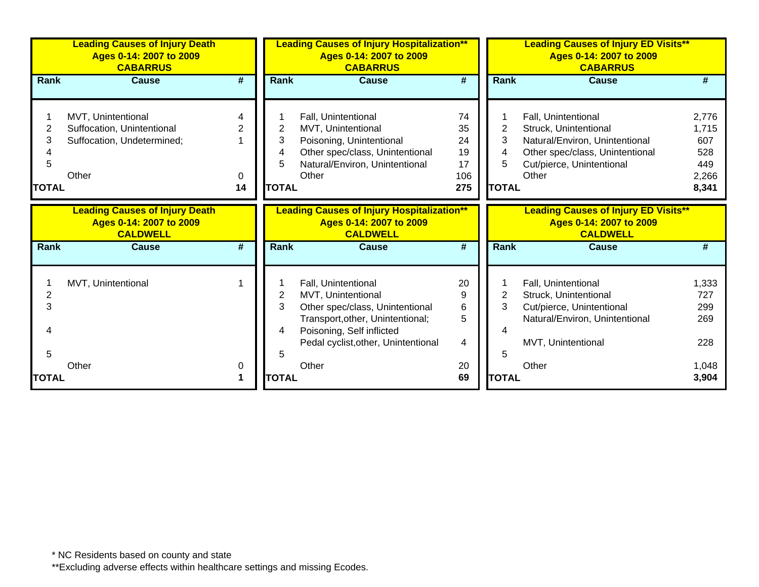|                             | <b>Leading Causes of Injury Death</b><br>Ages 0-14: 2007 to 2009<br><b>CABARRUS</b>     |                                | <b>Leading Causes of Injury Hospitalization**</b><br>Ages 0-14: 2007 to 2009<br><b>CABARRUS</b> |                                                                                                                                                                                      |                                          | <b>Leading Causes of Injury ED Visits**</b><br>Ages 0-14: 2007 to 2009<br><b>CABARRUS</b> |                                                                                                                                                         |                                                       |  |
|-----------------------------|-----------------------------------------------------------------------------------------|--------------------------------|-------------------------------------------------------------------------------------------------|--------------------------------------------------------------------------------------------------------------------------------------------------------------------------------------|------------------------------------------|-------------------------------------------------------------------------------------------|---------------------------------------------------------------------------------------------------------------------------------------------------------|-------------------------------------------------------|--|
| <b>Rank</b>                 | <b>Cause</b>                                                                            | #                              | <b>Rank</b>                                                                                     | <b>Cause</b>                                                                                                                                                                         | $\overline{\#}$                          | Rank                                                                                      | <b>Cause</b>                                                                                                                                            |                                                       |  |
| 2<br>3<br>5<br><b>TOTAL</b> | MVT, Unintentional<br>Suffocation, Unintentional<br>Suffocation, Undetermined;<br>Other | Δ<br>$\overline{2}$<br>0<br>14 | 2<br>3<br>4<br>5<br><b>TOTAL</b>                                                                | Fall, Unintentional<br>MVT, Unintentional<br>Poisoning, Unintentional<br>Other spec/class, Unintentional<br>Natural/Environ, Unintentional<br>Other                                  | 74<br>35<br>24<br>19<br>17<br>106<br>275 | 3<br>4<br>5<br><b>TOTAL</b>                                                               | Fall, Unintentional<br>Struck, Unintentional<br>Natural/Environ, Unintentional<br>Other spec/class, Unintentional<br>Cut/pierce, Unintentional<br>Other | 2,776<br>1,715<br>607<br>528<br>449<br>2,266<br>8,341 |  |
|                             | <b>Leading Causes of Injury Death</b><br>Ages 0-14: 2007 to 2009<br><b>CALDWELL</b>     |                                |                                                                                                 | <b>Leading Causes of Injury Hospitalization**</b><br>Ages 0-14: 2007 to 2009<br><b>CALDWELL</b>                                                                                      |                                          |                                                                                           | <b>Leading Causes of Injury ED Visits**</b><br>Ages 0-14: 2007 to 2009<br><b>CALDWELL</b>                                                               |                                                       |  |
| <b>Rank</b>                 | <b>Cause</b>                                                                            | #                              | <b>Rank</b>                                                                                     | <b>Cause</b>                                                                                                                                                                         | #                                        | <b>Rank</b>                                                                               | <b>Cause</b>                                                                                                                                            | #                                                     |  |
| 2<br>3<br>4<br>5            | MVT, Unintentional                                                                      |                                | 2<br>3<br>4<br>5                                                                                | Fall, Unintentional<br>MVT, Unintentional<br>Other spec/class, Unintentional<br>Transport, other, Unintentional;<br>Poisoning, Self inflicted<br>Pedal cyclist, other, Unintentional | 20<br>9<br>6<br>5<br>4                   | 2<br>3<br>5                                                                               | Fall, Unintentional<br>Struck, Unintentional<br>Cut/pierce, Unintentional<br>Natural/Environ, Unintentional<br>MVT, Unintentional                       | 1,333<br>727<br>299<br>269<br>228                     |  |
| <b>TOTAL</b>                | Other                                                                                   | 0                              | <b>TOTAL</b>                                                                                    | Other                                                                                                                                                                                | 20<br>69                                 | <b>TOTAL</b>                                                                              | Other                                                                                                                                                   | 1,048<br>3,904                                        |  |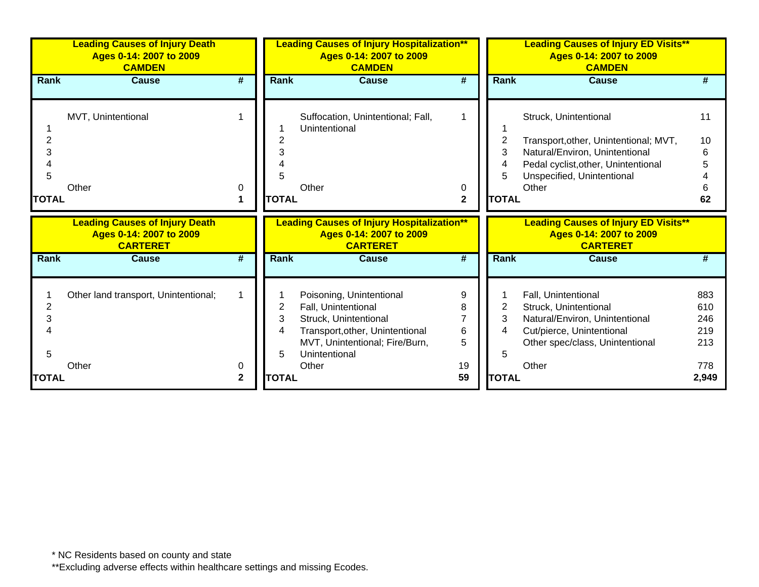| <b>Leading Causes of Injury Death</b><br>Ages 0-14: 2007 to 2009<br><b>CAMDEN</b>   |   | <b>Leading Causes of Injury Hospitalization**</b><br>Ages 0-14: 2007 to 2009<br><b>CAMDEN</b><br>#<br>Cause |                                                                                                             |              | <b>Leading Causes of Injury ED Visits**</b><br>Ages 0-14: 2007 to 2009<br><b>CAMDEN</b> |                                                                                                                                                                       |                                                                                     |  |
|-------------------------------------------------------------------------------------|---|-------------------------------------------------------------------------------------------------------------|-------------------------------------------------------------------------------------------------------------|--------------|-----------------------------------------------------------------------------------------|-----------------------------------------------------------------------------------------------------------------------------------------------------------------------|-------------------------------------------------------------------------------------|--|
| Cause                                                                               | # | <b>Rank</b>                                                                                                 |                                                                                                             |              |                                                                                         | Cause                                                                                                                                                                 |                                                                                     |  |
| MVT, Unintentional<br>Other                                                         |   |                                                                                                             | Suffocation, Unintentional; Fall,<br>Unintentional                                                          |              | 2<br>3<br>4<br>5                                                                        | Struck, Unintentional<br>Transport, other, Unintentional; MVT,<br>Natural/Environ, Unintentional<br>Pedal cyclist, other, Unintentional<br>Unspecified, Unintentional | 11<br>10<br>6<br>5                                                                  |  |
|                                                                                     |   | <b>TOTAL</b>                                                                                                |                                                                                                             | $\mathbf{2}$ |                                                                                         |                                                                                                                                                                       | 62                                                                                  |  |
| <b>Leading Causes of Injury Death</b><br>Ages 0-14: 2007 to 2009<br><b>CARTERET</b> |   |                                                                                                             | Ages 0-14: 2007 to 2009<br><b>CARTERET</b>                                                                  |              |                                                                                         | Ages 0-14: 2007 to 2009<br><b>CARTERET</b>                                                                                                                            |                                                                                     |  |
| <b>Cause</b>                                                                        | # | Rank                                                                                                        | <b>Cause</b>                                                                                                | #            |                                                                                         | <b>Cause</b>                                                                                                                                                          |                                                                                     |  |
| Other land transport, Unintentional;                                                |   | 2<br>3                                                                                                      | Poisoning, Unintentional<br>Fall, Unintentional<br>Struck, Unintentional<br>Transport, other, Unintentional | 9<br>8<br>6  | 3                                                                                       | Fall, Unintentional<br>Struck, Unintentional<br>Natural/Environ, Unintentional<br>Cut/pierce, Unintentional                                                           | 883<br>610<br>246<br>219                                                            |  |
|                                                                                     |   | 0                                                                                                           |                                                                                                             | Other        | 0<br><b>Leading Causes of Injury Hospitalization**</b>                                  | <b>Rank</b>                                                                                                                                                           | <b>Rank</b><br>Other<br><b>TOTAL</b><br><b>Leading Causes of Injury ED Visits**</b> |  |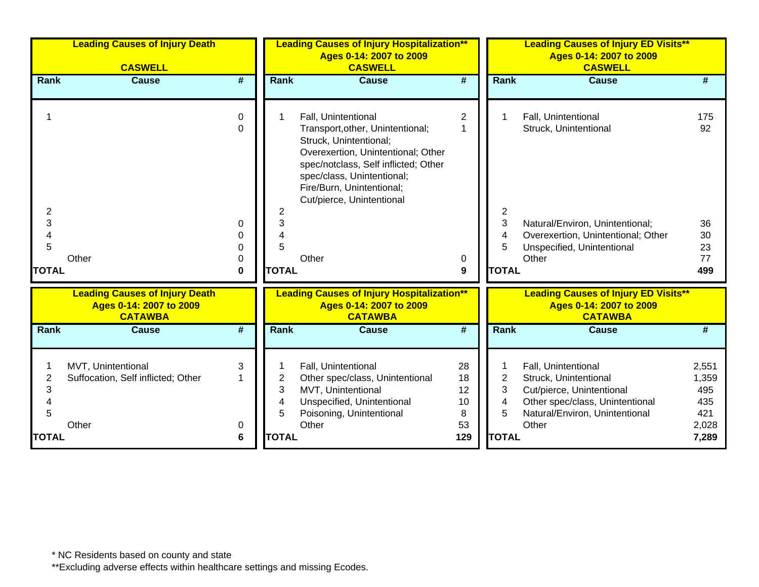|                                  | <b>Leading Causes of Injury Death</b><br><b>CASWELL</b>           |                                        |                                  | <b>Leading Causes of Injury Hospitalization**</b><br>Ages 0-14: 2007 to 2009<br><b>CASWELL</b>                                                                                                                                                                   |                                        |                                               | <b>Leading Causes of Injury ED Visits**</b><br>Ages 0-14: 2007 to 2009<br><b>CASWELL</b>                                                                     |                                                       |
|----------------------------------|-------------------------------------------------------------------|----------------------------------------|----------------------------------|------------------------------------------------------------------------------------------------------------------------------------------------------------------------------------------------------------------------------------------------------------------|----------------------------------------|-----------------------------------------------|--------------------------------------------------------------------------------------------------------------------------------------------------------------|-------------------------------------------------------|
| <b>Rank</b>                      | <b>Cause</b>                                                      | #                                      | <b>Rank</b>                      | <b>Cause</b>                                                                                                                                                                                                                                                     | $\overline{\#}$                        | <b>Rank</b>                                   | <b>Cause</b>                                                                                                                                                 | #                                                     |
| 2<br>3<br>4<br>5<br><b>TOTAL</b> | Other                                                             | 0<br>$\Omega$<br>0<br>0<br>0<br>0<br>0 | 2<br>3<br>4<br>5<br><b>TOTAL</b> | Fall, Unintentional<br>Transport, other, Unintentional;<br>Struck, Unintentional;<br>Overexertion, Unintentional; Other<br>spec/notclass, Self inflicted; Other<br>spec/class, Unintentional;<br>Fire/Burn, Unintentional;<br>Cut/pierce, Unintentional<br>Other | $\overline{\mathbf{c}}$<br>1<br>0<br>9 | 2<br>3<br>4<br>5<br><b>TOTAL</b>              | Fall, Unintentional<br>Struck, Unintentional<br>Natural/Environ, Unintentional;<br>Overexertion, Unintentional; Other<br>Unspecified, Unintentional<br>Other | 175<br>92<br>36<br>30<br>23<br>77<br>499              |
|                                  | <b>Leading Causes of Injury Death</b>                             |                                        |                                  | <b>Leading Causes of Injury Hospitalization**</b>                                                                                                                                                                                                                |                                        |                                               | <b>Leading Causes of Injury ED Visits**</b>                                                                                                                  |                                                       |
|                                  | Ages 0-14: 2007 to 2009<br><b>CATAWBA</b>                         |                                        |                                  | Ages 0-14: 2007 to 2009<br><b>CATAWBA</b>                                                                                                                                                                                                                        |                                        |                                               | Ages 0-14: 2007 to 2009<br><b>CATAWBA</b>                                                                                                                    |                                                       |
| Rank                             | <b>Cause</b>                                                      | #                                      | Rank                             | <b>Cause</b>                                                                                                                                                                                                                                                     | #                                      | Rank                                          | <b>Cause</b>                                                                                                                                                 | #                                                     |
| 2<br>3<br>4<br>5<br><b>TOTAL</b> | MVT, Unintentional<br>Suffocation, Self inflicted; Other<br>Other | 3<br>0<br>6                            | 2<br>3<br>4<br>5<br><b>TOTAL</b> | Fall, Unintentional<br>Other spec/class, Unintentional<br>MVT, Unintentional<br>Unspecified, Unintentional<br>Poisoning, Unintentional<br>Other                                                                                                                  | 28<br>18<br>12<br>10<br>8<br>53<br>129 | $\overline{2}$<br>3<br>4<br>5<br><b>TOTAL</b> | Fall, Unintentional<br>Struck, Unintentional<br>Cut/pierce, Unintentional<br>Other spec/class, Unintentional<br>Natural/Environ, Unintentional<br>Other      | 2,551<br>1,359<br>495<br>435<br>421<br>2,028<br>7,289 |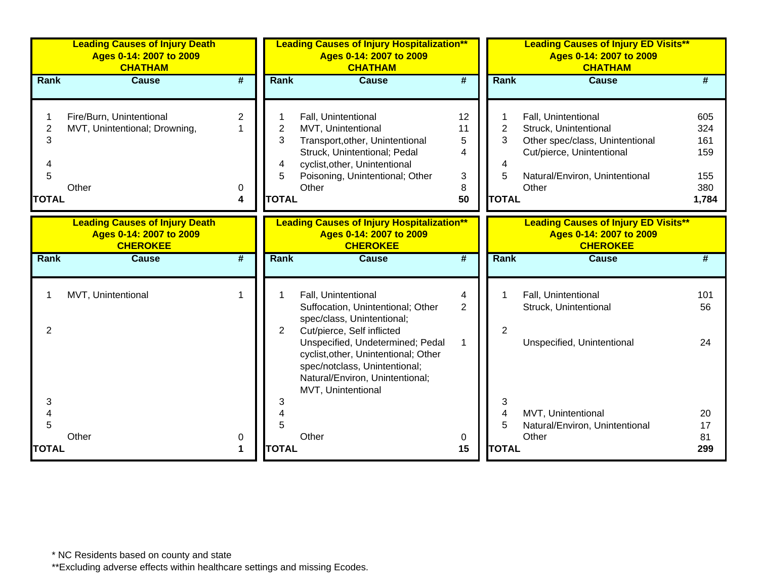|                                               | <b>Leading Causes of Injury Death</b><br>Ages 0-14: 2007 to 2009<br><b>CHATHAM</b>  |                             |                                               | <b>Leading Causes of Injury Hospitalization**</b><br>Ages 0-14: 2007 to 2009<br><b>CHATHAM</b>                                                                                                                                                                                             |                                    |                                               | <b>Leading Causes of Injury ED Visits**</b><br>Ages 0-14: 2007 to 2009<br><b>CHATHAM</b>                                                                |                                                 |
|-----------------------------------------------|-------------------------------------------------------------------------------------|-----------------------------|-----------------------------------------------|--------------------------------------------------------------------------------------------------------------------------------------------------------------------------------------------------------------------------------------------------------------------------------------------|------------------------------------|-----------------------------------------------|---------------------------------------------------------------------------------------------------------------------------------------------------------|-------------------------------------------------|
| Rank                                          | <b>Cause</b>                                                                        | $\overline{\boldsymbol{H}}$ | Rank                                          | <b>Cause</b>                                                                                                                                                                                                                                                                               | $\overline{\boldsymbol{t}}$        | Rank                                          | <b>Cause</b>                                                                                                                                            |                                                 |
| $\overline{2}$<br>3<br>4<br>5<br><b>TOTAL</b> | Fire/Burn, Unintentional<br>MVT, Unintentional; Drowning,<br>Other                  | $\overline{2}$<br>0<br>4    | $\overline{2}$<br>3<br>4<br>5<br><b>TOTAL</b> | Fall, Unintentional<br>MVT, Unintentional<br>Transport, other, Unintentional<br>Struck, Unintentional; Pedal<br>cyclist, other, Unintentional<br>Poisoning, Unintentional; Other<br>Other                                                                                                  | 12<br>11<br>5<br>4<br>3<br>8<br>50 | $\overline{2}$<br>3<br>4<br>5<br><b>TOTAL</b> | Fall, Unintentional<br>Struck, Unintentional<br>Other spec/class, Unintentional<br>Cut/pierce, Unintentional<br>Natural/Environ, Unintentional<br>Other | 605<br>324<br>161<br>159<br>155<br>380<br>1,784 |
|                                               | <b>Leading Causes of Injury Death</b><br>Ages 0-14: 2007 to 2009<br><b>CHEROKEE</b> |                             |                                               | <b>Leading Causes of Injury Hospitalization**</b><br>Ages 0-14: 2007 to 2009<br><b>CHEROKEE</b>                                                                                                                                                                                            |                                    |                                               | <b>Leading Causes of Injury ED Visits**</b><br>Ages 0-14: 2007 to 2009<br><b>CHEROKEE</b>                                                               |                                                 |
| Rank                                          | <b>Cause</b>                                                                        | $\overline{\boldsymbol{t}}$ | <b>Rank</b>                                   | <b>Cause</b>                                                                                                                                                                                                                                                                               | $\overline{\boldsymbol{t}}$        | Rank                                          | <b>Cause</b>                                                                                                                                            | #                                               |
| $\overline{2}$                                | MVT, Unintentional                                                                  | 1                           | $\overline{2}$                                | Fall, Unintentional<br>Suffocation, Unintentional; Other<br>spec/class, Unintentional;<br>Cut/pierce, Self inflicted<br>Unspecified, Undetermined; Pedal<br>cyclist, other, Unintentional; Other<br>spec/notclass, Unintentional;<br>Natural/Environ, Unintentional;<br>MVT, Unintentional | 4<br>$\overline{2}$<br>1           | $\overline{2}$                                | Fall, Unintentional<br>Struck, Unintentional<br>Unspecified, Unintentional                                                                              | 101<br>56<br>24                                 |
| 3<br>4<br>5<br><b>TOTAL</b>                   | Other                                                                               | 0<br>1                      | 3<br>4<br>5<br><b>TOTAL</b>                   | Other                                                                                                                                                                                                                                                                                      | 0<br>15                            | 3<br>4<br>5<br><b>TOTAL</b>                   | MVT, Unintentional<br>Natural/Environ, Unintentional<br>Other                                                                                           | 20<br>17<br>81<br>299                           |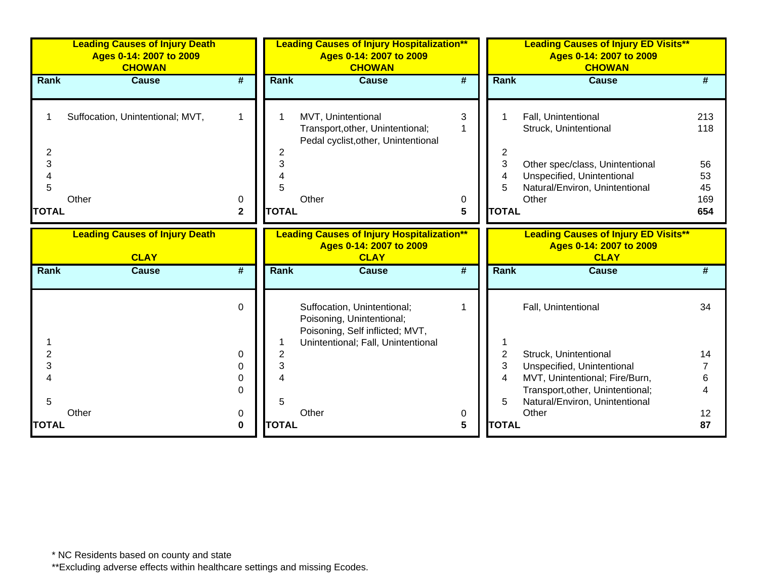|                                  | <b>Leading Causes of Injury Death</b><br>Ages 0-14: 2007 to 2009<br><b>CHOWAN</b> |                   |                             | <b>Leading Causes of Injury Hospitalization**</b><br>Ages 0-14: 2007 to 2009<br><b>CHOWAN</b>                                     |             |                                  | <b>Leading Causes of Injury ED Visits**</b><br>Ages 0-14: 2007 to 2009<br><b>CHOWAN</b>                                                                  |                                            |
|----------------------------------|-----------------------------------------------------------------------------------|-------------------|-----------------------------|-----------------------------------------------------------------------------------------------------------------------------------|-------------|----------------------------------|----------------------------------------------------------------------------------------------------------------------------------------------------------|--------------------------------------------|
| Rank                             | <b>Cause</b>                                                                      | #                 | <b>Rank</b>                 | <b>Cause</b>                                                                                                                      | #           | Rank                             | <b>Cause</b>                                                                                                                                             | #                                          |
| 2<br>3<br>4<br>5<br><b>TOTAL</b> | Suffocation, Unintentional; MVT,<br>Other                                         | 0<br>$\mathbf{2}$ | 2<br>3<br>5<br><b>TOTAL</b> | MVT, Unintentional<br>Transport, other, Unintentional;<br>Pedal cyclist, other, Unintentional<br>Other                            | 3<br>0<br>5 | 2<br>3<br>4<br>5<br><b>TOTAL</b> | Fall, Unintentional<br>Struck, Unintentional<br>Other spec/class, Unintentional<br>Unspecified, Unintentional<br>Natural/Environ, Unintentional<br>Other | 213<br>118<br>56<br>53<br>45<br>169<br>654 |
|                                  | <b>Leading Causes of Injury Death</b><br><b>CLAY</b>                              |                   |                             | <b>Leading Causes of Injury Hospitalization**</b><br>Ages 0-14: 2007 to 2009<br><b>CLAY</b>                                       |             |                                  | <b>Leading Causes of Injury ED Visits**</b><br>Ages 0-14: 2007 to 2009<br><b>CLAY</b>                                                                    |                                            |
| Rank                             | <b>Cause</b>                                                                      | #                 | Rank                        | <b>Cause</b>                                                                                                                      | #           | Rank                             | <b>Cause</b>                                                                                                                                             | #                                          |
|                                  |                                                                                   | $\Omega$          |                             | Suffocation, Unintentional;<br>Poisoning, Unintentional;<br>Poisoning, Self inflicted; MVT,<br>Unintentional; Fall, Unintentional |             |                                  | Fall, Unintentional                                                                                                                                      | 34                                         |
| $\overline{2}$                   |                                                                                   | $\Omega$          | $\overline{2}$              |                                                                                                                                   |             | $\overline{2}$                   | Struck, Unintentional                                                                                                                                    | 14                                         |
| 3                                |                                                                                   | 0                 | 3                           |                                                                                                                                   |             | 3                                | Unspecified, Unintentional                                                                                                                               |                                            |
|                                  |                                                                                   | 0                 |                             |                                                                                                                                   |             | 4                                | MVT, Unintentional; Fire/Burn,                                                                                                                           | 6                                          |
|                                  |                                                                                   | 0                 |                             |                                                                                                                                   |             |                                  | Transport, other, Unintentional;                                                                                                                         | 4                                          |
| 5                                |                                                                                   |                   | 5                           |                                                                                                                                   |             | 5                                | Natural/Environ, Unintentional                                                                                                                           |                                            |
| <b>TOTAL</b>                     | Other                                                                             | 0<br>$\bf{0}$     | <b>TOTAL</b>                | Other                                                                                                                             | 0<br>5      | <b>TOTAL</b>                     | Other                                                                                                                                                    | 12 <sub>2</sub><br>87                      |
|                                  |                                                                                   |                   |                             |                                                                                                                                   |             |                                  |                                                                                                                                                          |                                            |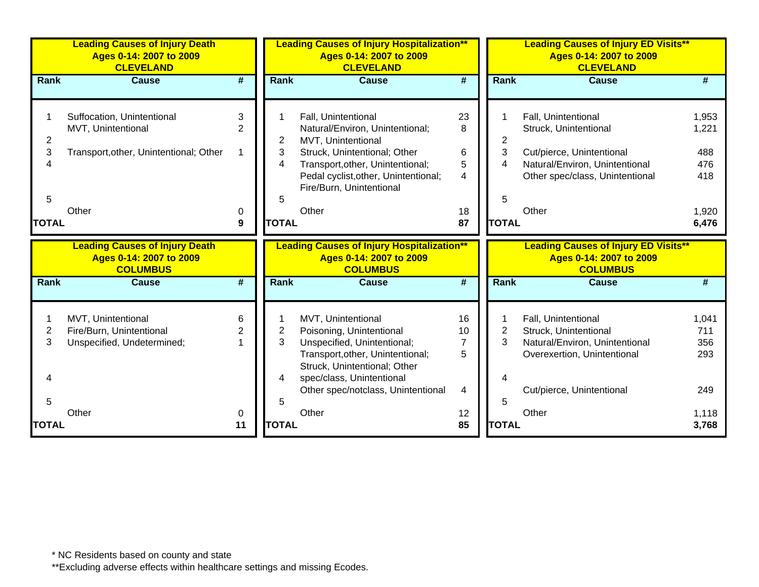|                          | <b>Leading Causes of Injury Death</b><br>Ages 0-14: 2007 to 2009<br><b>CLEVELAND</b>       |                     |                   | <b>Leading Causes of Injury Hospitalization**</b><br>Ages 0-14: 2007 to 2009<br><b>CLEVELAND</b>                                                                                                                     |                                                  |                   | <b>Leading Causes of Injury ED Visits**</b><br>Ages 0-14: 2007 to 2009<br><b>CLEVELAND</b>                                                     |                                     |
|--------------------------|--------------------------------------------------------------------------------------------|---------------------|-------------------|----------------------------------------------------------------------------------------------------------------------------------------------------------------------------------------------------------------------|--------------------------------------------------|-------------------|------------------------------------------------------------------------------------------------------------------------------------------------|-------------------------------------|
| <b>Rank</b>              | <b>Cause</b>                                                                               | #                   | <b>Rank</b>       | <b>Cause</b>                                                                                                                                                                                                         | #                                                | <b>Rank</b>       | <b>Cause</b>                                                                                                                                   | #                                   |
| $\overline{2}$<br>3<br>4 | Suffocation, Unintentional<br>MVT, Unintentional<br>Transport, other, Unintentional; Other | 3<br>$\overline{2}$ | 2<br>3<br>4       | Fall, Unintentional<br>Natural/Environ, Unintentional;<br>MVT, Unintentional<br>Struck, Unintentional; Other<br>Transport, other, Unintentional;<br>Pedal cyclist, other, Unintentional;<br>Fire/Burn, Unintentional | 23<br>8<br>$\,6$<br>5<br>$\overline{\mathbf{A}}$ | 2<br>3<br>4       | Fall, Unintentional<br>Struck, Unintentional<br>Cut/pierce, Unintentional<br>Natural/Environ, Unintentional<br>Other spec/class, Unintentional | 1,953<br>1,221<br>488<br>476<br>418 |
| 5<br><b>TOTAL</b>        | Other                                                                                      | 0<br>9              | 5<br><b>TOTAL</b> | Other                                                                                                                                                                                                                | 18<br>87                                         | 5<br><b>TOTAL</b> | Other                                                                                                                                          | 1,920<br>6,476                      |
|                          |                                                                                            |                     |                   |                                                                                                                                                                                                                      |                                                  |                   |                                                                                                                                                |                                     |
|                          | <b>Leading Causes of Injury Death</b><br>Ages 0-14: 2007 to 2009<br><b>COLUMBUS</b>        |                     |                   | <b>Leading Causes of Injury Hospitalization**</b><br>Ages 0-14: 2007 to 2009<br><b>COLUMBUS</b>                                                                                                                      |                                                  |                   | <b>Leading Causes of Injury ED Visits**</b><br>Ages 0-14: 2007 to 2009<br><b>COLUMBUS</b>                                                      |                                     |
| Rank                     | <b>Cause</b>                                                                               | #                   | Rank              | <b>Cause</b>                                                                                                                                                                                                         | #                                                | <b>Rank</b>       | <b>Cause</b>                                                                                                                                   |                                     |
| 2<br>3<br>4              | MVT, Unintentional<br>Fire/Burn, Unintentional<br>Unspecified, Undetermined;               | 6<br>2              | 2<br>3<br>4       | MVT, Unintentional<br>Poisoning, Unintentional<br>Unspecified, Unintentional;<br>Transport, other, Unintentional;<br>Struck, Unintentional; Other<br>spec/class, Unintentional<br>Other spec/notclass, Unintentional | 16<br>10<br>$\overline{7}$<br>5<br>4             | 2<br>3            | Fall, Unintentional<br>Struck, Unintentional<br>Natural/Environ, Unintentional<br>Overexertion, Unintentional<br>Cut/pierce, Unintentional     | 1,041<br>711<br>356<br>293<br>249   |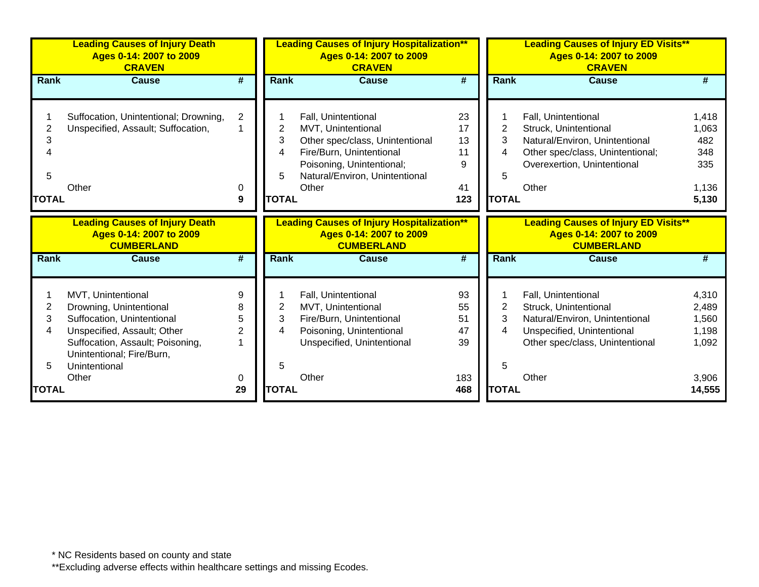|                             | <b>Leading Causes of Injury Death</b><br>Ages 0-14: 2007 to 2009<br><b>CRAVEN</b>                                                                                                                     |                                    |                                  | <b>Leading Causes of Injury Hospitalization**</b><br><b>Leading Causes of Injury ED Visits**</b><br>Ages 0-14: 2007 to 2009<br>Ages 0-14: 2007 to 2009<br><b>CRAVEN</b><br><b>CRAVEN</b> |                                        |                                  |                                                                                                                                                            |                                                       |
|-----------------------------|-------------------------------------------------------------------------------------------------------------------------------------------------------------------------------------------------------|------------------------------------|----------------------------------|------------------------------------------------------------------------------------------------------------------------------------------------------------------------------------------|----------------------------------------|----------------------------------|------------------------------------------------------------------------------------------------------------------------------------------------------------|-------------------------------------------------------|
| <b>Rank</b>                 | Cause                                                                                                                                                                                                 | #                                  | <b>Rank</b>                      | Cause                                                                                                                                                                                    | #                                      | <b>Rank</b>                      | Cause                                                                                                                                                      | #                                                     |
| 2<br>3<br>5<br><b>TOTAL</b> | Suffocation, Unintentional; Drowning,<br>Unspecified, Assault; Suffocation,<br>Other                                                                                                                  | $\overline{2}$<br>0<br>9           | 2<br>3<br>4<br>5<br><b>TOTAL</b> | Fall, Unintentional<br>MVT, Unintentional<br>Other spec/class, Unintentional<br>Fire/Burn, Unintentional<br>Poisoning, Unintentional;<br>Natural/Environ, Unintentional<br>Other         | 23<br>17<br>13<br>11<br>9<br>41<br>123 | 2<br>3<br>4<br>5<br><b>TOTAL</b> | Fall, Unintentional<br>Struck, Unintentional<br>Natural/Environ, Unintentional<br>Other spec/class, Unintentional;<br>Overexertion, Unintentional<br>Other | 1,418<br>1,063<br>482<br>348<br>335<br>1,136<br>5,130 |
|                             | <b>Leading Causes of Injury Death</b><br>Ages 0-14: 2007 to 2009<br><b>CUMBERLAND</b>                                                                                                                 |                                    |                                  | <b>Leading Causes of Injury Hospitalization**</b><br>Ages 0-14: 2007 to 2009<br><b>CUMBERLAND</b>                                                                                        |                                        |                                  | <b>Leading Causes of Injury ED Visits**</b><br>Ages 0-14: 2007 to 2009<br><b>CUMBERLAND</b>                                                                |                                                       |
| Rank                        | <b>Cause</b>                                                                                                                                                                                          | #                                  | Rank                             | <b>Cause</b>                                                                                                                                                                             | #                                      | Rank                             | <b>Cause</b>                                                                                                                                               | #                                                     |
| 2<br>3<br>4                 | MVT, Unintentional<br>Drowning, Unintentional<br>Suffocation, Unintentional<br>Unspecified, Assault; Other<br>Suffocation, Assault; Poisoning,<br>Unintentional; Fire/Burn,<br>Unintentional<br>Other | 9<br>8<br>5<br>$\overline{2}$<br>0 | 2<br>3<br>4<br>5                 | Fall, Unintentional<br>MVT, Unintentional<br>Fire/Burn, Unintentional<br>Poisoning, Unintentional<br>Unspecified, Unintentional<br>Other                                                 | 93<br>55<br>51<br>47<br>39<br>183      | 2<br>3<br>4<br>5                 | Fall, Unintentional<br>Struck, Unintentional<br>Natural/Environ, Unintentional<br>Unspecified, Unintentional<br>Other spec/class, Unintentional<br>Other   | 4,310<br>2,489<br>1,560<br>1,198<br>1,092<br>3,906    |
| <b>TOTAL</b>                |                                                                                                                                                                                                       | 29                                 | <b>TOTAL</b>                     |                                                                                                                                                                                          | 468                                    | <b>TOTAL</b>                     |                                                                                                                                                            | 14,555                                                |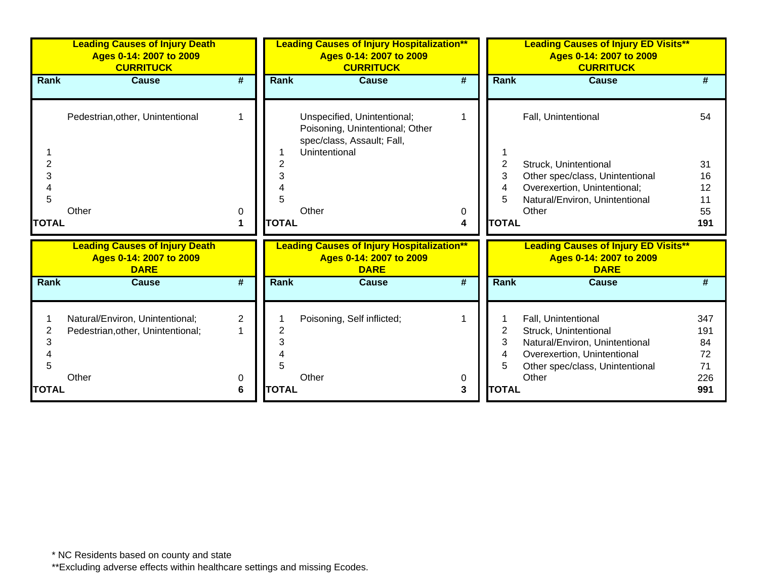|              | <b>Leading Causes of Injury Death</b><br>Ages 0-14: 2007 to 2009<br><b>CURRITUCK</b> |                     |                       | <b>Leading Causes of Injury Hospitalization**</b><br>Ages 0-14: 2007 to 2009<br><b>CURRITUCK</b>              |        | <b>Leading Causes of Injury ED Visits**</b><br>Ages 0-14: 2007 to 2009<br><b>CURRITUCK</b> |                                                                                                                                                  |                              |
|--------------|--------------------------------------------------------------------------------------|---------------------|-----------------------|---------------------------------------------------------------------------------------------------------------|--------|--------------------------------------------------------------------------------------------|--------------------------------------------------------------------------------------------------------------------------------------------------|------------------------------|
| Rank         | <b>Cause</b>                                                                         | #                   | Rank                  | <b>Cause</b>                                                                                                  | #      | <b>Rank</b>                                                                                | Cause                                                                                                                                            | #                            |
|              | Pedestrian, other, Unintentional                                                     | -1                  |                       | Unspecified, Unintentional;<br>Poisoning, Unintentional; Other<br>spec/class, Assault; Fall,<br>Unintentional |        |                                                                                            | Fall, Unintentional                                                                                                                              | 54                           |
| 2<br>3<br>5  |                                                                                      |                     |                       |                                                                                                               |        | 2<br>3<br>4<br>5                                                                           | Struck, Unintentional<br>Other spec/class, Unintentional<br>Overexertion, Unintentional;<br>Natural/Environ, Unintentional                       | 31<br>16<br>12<br>11         |
| <b>TOTAL</b> | Other                                                                                | 0                   | Other<br><b>TOTAL</b> |                                                                                                               | 0<br>4 | <b>TOTAL</b>                                                                               | Other                                                                                                                                            | 55<br>191                    |
|              | <b>Leading Causes of Injury Death</b><br>Ages 0-14: 2007 to 2009<br><b>DARE</b>      |                     |                       | <b>Leading Causes of Injury Hospitalization**</b><br>Ages 0-14: 2007 to 2009<br><b>DARE</b>                   |        |                                                                                            | <b>Leading Causes of Injury ED Visits**</b><br>Ages 0-14: 2007 to 2009<br><b>DARE</b>                                                            |                              |
| <b>Rank</b>  | <b>Cause</b>                                                                         | #                   | Rank                  | <b>Cause</b>                                                                                                  | #      | <b>Rank</b>                                                                                | <b>Cause</b>                                                                                                                                     | #                            |
| 2<br>3<br>5  | Natural/Environ, Unintentional;<br>Pedestrian, other, Unintentional;                 | $\overline{2}$<br>1 |                       | Poisoning, Self inflicted;                                                                                    |        | 2<br>3<br>4<br>5                                                                           | Fall, Unintentional<br>Struck, Unintentional<br>Natural/Environ, Unintentional<br>Overexertion, Unintentional<br>Other spec/class, Unintentional | 347<br>191<br>84<br>72<br>71 |
| <b>TOTAL</b> | Other                                                                                | 0<br>6              | Other<br><b>TOTAL</b> |                                                                                                               | 0<br>3 | <b>TOTAL</b>                                                                               | Other                                                                                                                                            | 226<br>991                   |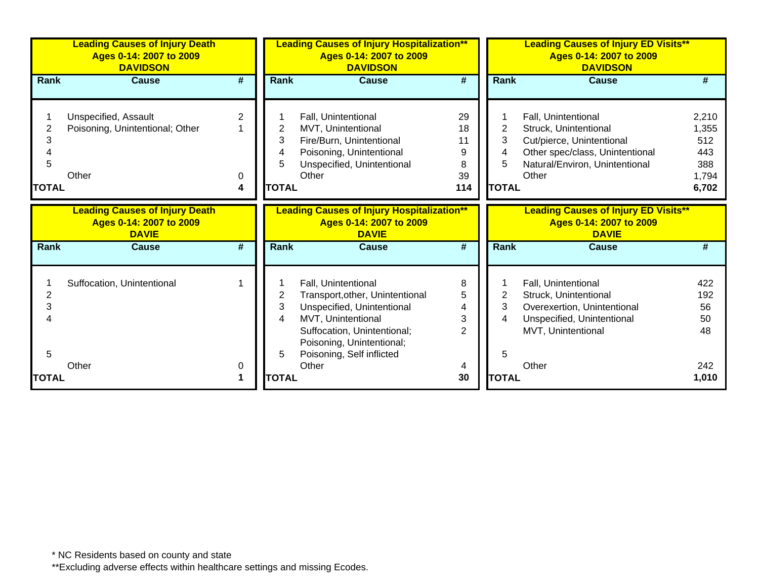|                          | <b>Leading Causes of Injury Death</b><br>Ages 0-14: 2007 to 2009<br><b>DAVIDSON</b> |                             | <b>Leading Causes of Injury Hospitalization**</b><br>Ages 0-14: 2007 to 2009<br><b>DAVIDSON</b><br><b>DAVIDSON</b> |                                                                                                                                                                                                     |                                       |                                  | <b>Leading Causes of Injury ED Visits**</b><br>Ages 0-14: 2007 to 2009                                                                                  |                                                       |
|--------------------------|-------------------------------------------------------------------------------------|-----------------------------|--------------------------------------------------------------------------------------------------------------------|-----------------------------------------------------------------------------------------------------------------------------------------------------------------------------------------------------|---------------------------------------|----------------------------------|---------------------------------------------------------------------------------------------------------------------------------------------------------|-------------------------------------------------------|
| Rank                     | <b>Cause</b>                                                                        | $\overline{\boldsymbol{H}}$ | Rank                                                                                                               | <b>Cause</b>                                                                                                                                                                                        | $\overline{\boldsymbol{t}}$           | <b>Rank</b>                      | <b>Cause</b>                                                                                                                                            |                                                       |
| 3<br>5<br><b>TOTAL</b>   | Unspecified, Assault<br>Poisoning, Unintentional; Other<br>Other                    | $\overline{2}$<br>0<br>4    | 2<br>3<br>4<br>5<br><b>TOTAL</b>                                                                                   | Fall, Unintentional<br>MVT, Unintentional<br>Fire/Burn, Unintentional<br>Poisoning, Unintentional<br>Unspecified, Unintentional<br>Other                                                            | 29<br>18<br>11<br>9<br>8<br>39<br>114 | 2<br>3<br>4<br>5<br><b>TOTAL</b> | Fall, Unintentional<br>Struck, Unintentional<br>Cut/pierce, Unintentional<br>Other spec/class, Unintentional<br>Natural/Environ, Unintentional<br>Other | 2,210<br>1,355<br>512<br>443<br>388<br>1,794<br>6,702 |
|                          | <b>Leading Causes of Injury Death</b><br>Ages 0-14: 2007 to 2009<br><b>DAVIE</b>    |                             |                                                                                                                    | <b>Leading Causes of Injury Hospitalization**</b><br>Ages 0-14: 2007 to 2009<br><b>DAVIE</b>                                                                                                        |                                       |                                  | <b>Leading Causes of Injury ED Visits**</b><br>Ages 0-14: 2007 to 2009<br><b>DAVIE</b>                                                                  |                                                       |
| Rank                     | <b>Cause</b>                                                                        | #                           | <b>Rank</b>                                                                                                        | <b>Cause</b>                                                                                                                                                                                        | #                                     | <b>Rank</b>                      | <b>Cause</b>                                                                                                                                            | #                                                     |
| $\overline{2}$<br>3<br>5 | Suffocation, Unintentional                                                          |                             | 2<br>3<br>4<br>5                                                                                                   | Fall, Unintentional<br>Transport, other, Unintentional<br>Unspecified, Unintentional<br>MVT, Unintentional<br>Suffocation, Unintentional;<br>Poisoning, Unintentional;<br>Poisoning, Self inflicted | 8<br>5<br>4<br>3<br>$\mathfrak{p}$    | 2<br>3<br>4<br>5                 | Fall, Unintentional<br>Struck, Unintentional<br>Overexertion, Unintentional<br>Unspecified, Unintentional<br>MVT, Unintentional                         | 422<br>192<br>56<br>50<br>48                          |
| <b>TOTAL</b>             | Other                                                                               | 0                           | <b>TOTAL</b>                                                                                                       | Other                                                                                                                                                                                               | 30                                    | <b>TOTAL</b>                     | Other                                                                                                                                                   | 242<br>1,010                                          |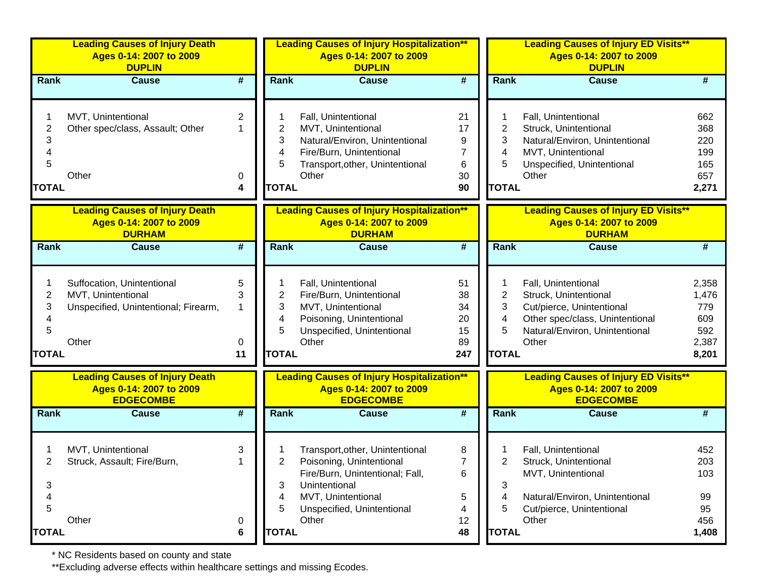|                             | <b>Leading Causes of Injury Death</b><br>Ages 0-14: 2007 to 2009<br><b>DUPLIN</b>                 |                             | <b>Leading Causes of Injury Hospitalization**</b><br>Ages 0-14: 2007 to 2009<br><b>DUPLIN</b> |                                                                                                                                                                              |                                                | <b>Leading Causes of Injury ED Visits**</b><br>Ages 0-14: 2007 to 2009<br><b>DUPLIN</b> |                                                                                                                                                         |                                                       |  |
|-----------------------------|---------------------------------------------------------------------------------------------------|-----------------------------|-----------------------------------------------------------------------------------------------|------------------------------------------------------------------------------------------------------------------------------------------------------------------------------|------------------------------------------------|-----------------------------------------------------------------------------------------|---------------------------------------------------------------------------------------------------------------------------------------------------------|-------------------------------------------------------|--|
| Rank                        | <b>Cause</b>                                                                                      | #                           | Rank                                                                                          | <b>Cause</b>                                                                                                                                                                 | #                                              | Rank                                                                                    | <b>Cause</b>                                                                                                                                            | #                                                     |  |
| 2<br>3<br>5<br><b>TOTAL</b> | MVT, Unintentional<br>Other spec/class, Assault; Other<br>Other                                   | $\mathbf{2}$<br>1<br>0<br>4 | 2<br>3<br>4<br>5<br><b>TOTAL</b>                                                              | Fall, Unintentional<br>MVT, Unintentional<br>Natural/Environ, Unintentional<br>Fire/Burn, Unintentional<br>Transport, other, Unintentional<br>Other                          | 21<br>17<br>9<br>7<br>6<br>30<br>90            | 2<br>3<br>4<br>5<br><b>TOTAL</b>                                                        | Fall, Unintentional<br>Struck, Unintentional<br>Natural/Environ, Unintentional<br>MVT, Unintentional<br>Unspecified, Unintentional<br>Other             | 662<br>368<br>220<br>199<br>165<br>657<br>2,271       |  |
|                             | <b>Leading Causes of Injury Death</b><br>Ages 0-14: 2007 to 2009<br><b>DURHAM</b>                 |                             |                                                                                               | <b>Leading Causes of Injury Hospitalization**</b><br>Ages 0-14: 2007 to 2009<br><b>DURHAM</b>                                                                                |                                                |                                                                                         | <b>Leading Causes of Injury ED Visits**</b><br>Ages 0-14: 2007 to 2009<br><b>DURHAM</b>                                                                 |                                                       |  |
| Rank                        | <b>Cause</b>                                                                                      | $\overline{\boldsymbol{t}}$ | Rank                                                                                          | <b>Cause</b>                                                                                                                                                                 | $\overline{\boldsymbol{t}}$                    | Rank                                                                                    | <b>Cause</b>                                                                                                                                            | #                                                     |  |
| 2<br>3<br>5<br><b>TOTAL</b> | Suffocation, Unintentional<br>MVT, Unintentional<br>Unspecified, Unintentional; Firearm,<br>Other | 5<br>3<br>1<br>0<br>11      | 2<br>3<br>4<br>5<br><b>TOTAL</b>                                                              | Fall, Unintentional<br>Fire/Burn, Unintentional<br>MVT, Unintentional<br>Poisoning, Unintentional<br>Unspecified, Unintentional<br>Other                                     | 51<br>38<br>34<br>20<br>15<br>89<br>247        | 2<br>3<br>4<br>5<br><b>TOTAL</b>                                                        | Fall, Unintentional<br>Struck, Unintentional<br>Cut/pierce, Unintentional<br>Other spec/class, Unintentional<br>Natural/Environ, Unintentional<br>Other | 2,358<br>1,476<br>779<br>609<br>592<br>2,387<br>8,201 |  |
|                             | <b>Leading Causes of Injury Death</b><br>Ages 0-14: 2007 to 2009<br><b>EDGECOMBE</b>              |                             |                                                                                               | <b>Leading Causes of Injury Hospitalization**</b><br>Ages 0-14: 2007 to 2009<br><b>EDGECOMBE</b>                                                                             |                                                |                                                                                         | <b>Leading Causes of Injury ED Visits**</b><br>Ages 0-14: 2007 to 2009<br><b>EDGECOMBE</b>                                                              |                                                       |  |
| Rank                        | <b>Cause</b>                                                                                      | $\overline{\boldsymbol{r}}$ | Rank                                                                                          | <b>Cause</b>                                                                                                                                                                 | $\overline{\boldsymbol{r}}$                    | Rank                                                                                    | <b>Cause</b>                                                                                                                                            | #                                                     |  |
| 3<br>4<br>5<br><b>TOTAL</b> | MVT, Unintentional<br>Struck, Assault; Fire/Burn,<br>Other                                        | 3<br>0<br>6                 | 2<br>3<br>4<br>5<br><b>TOTAL</b>                                                              | Transport, other, Unintentional<br>Poisoning, Unintentional<br>Fire/Burn, Unintentional; Fall,<br>Unintentional<br>MVT, Unintentional<br>Unspecified, Unintentional<br>Other | 8<br>$\overline{7}$<br>6<br>5<br>4<br>12<br>48 | 3<br>4<br>5<br><b>TOTAL</b>                                                             | Fall, Unintentional<br>Struck, Unintentional<br>MVT, Unintentional<br>Natural/Environ, Unintentional<br>Cut/pierce, Unintentional<br>Other              | 452<br>203<br>103<br>99<br>95<br>456<br>1,408         |  |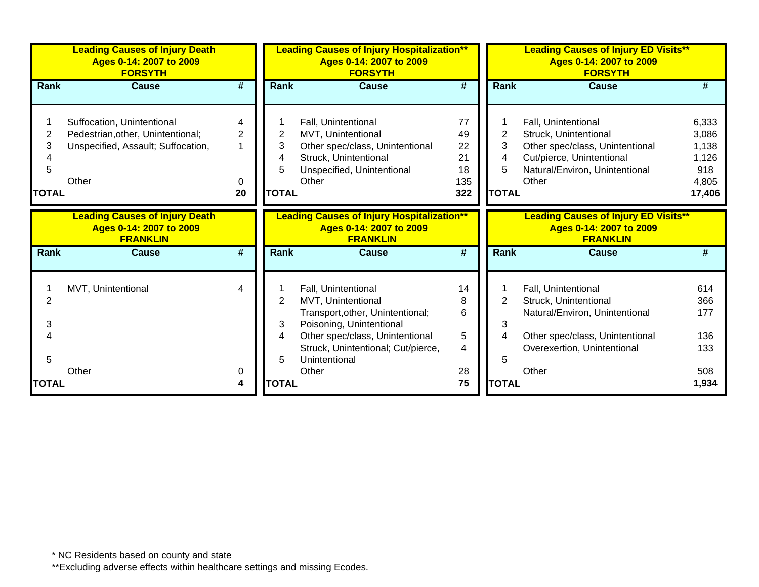|                             | <b>Leading Causes of Injury Death</b><br>Ages 0-14: 2007 to 2009<br><b>FORSYTH</b>                             |                   | <b>Leading Causes of Injury Hospitalization**</b><br>Ages 0-14: 2007 to 2009<br><b>FORSYTH</b> |                                                                                                                                                                                                     |                                          |                                  | <b>Leading Causes of Injury ED Visits**</b><br>Ages 0-14: 2007 to 2009<br><b>FORSYTH</b>                                                                |                                                            |
|-----------------------------|----------------------------------------------------------------------------------------------------------------|-------------------|------------------------------------------------------------------------------------------------|-----------------------------------------------------------------------------------------------------------------------------------------------------------------------------------------------------|------------------------------------------|----------------------------------|---------------------------------------------------------------------------------------------------------------------------------------------------------|------------------------------------------------------------|
| <b>Rank</b>                 | Cause                                                                                                          | #                 | <b>Rank</b>                                                                                    | Cause                                                                                                                                                                                               | #                                        | <b>Rank</b>                      | Cause                                                                                                                                                   | #                                                          |
| 2<br>3<br>5<br><b>TOTAL</b> | Suffocation, Unintentional<br>Pedestrian, other, Unintentional;<br>Unspecified, Assault; Suffocation,<br>Other | 4<br>2<br>0<br>20 | 2<br>3<br>4<br>5<br><b>TOTAL</b>                                                               | Fall, Unintentional<br>MVT, Unintentional<br>Other spec/class, Unintentional<br>Struck, Unintentional<br>Unspecified, Unintentional<br>Other                                                        | 77<br>49<br>22<br>21<br>18<br>135<br>322 | 2<br>3<br>4<br>5<br><b>TOTAL</b> | Fall, Unintentional<br>Struck, Unintentional<br>Other spec/class, Unintentional<br>Cut/pierce, Unintentional<br>Natural/Environ, Unintentional<br>Other | 6,333<br>3,086<br>1,138<br>1,126<br>918<br>4,805<br>17,406 |
|                             | <b>Leading Causes of Injury Death</b><br>Ages 0-14: 2007 to 2009<br><b>FRANKLIN</b>                            |                   |                                                                                                | <b>Leading Causes of Injury Hospitalization**</b><br>Ages 0-14: 2007 to 2009<br><b>FRANKLIN</b>                                                                                                     |                                          |                                  | <b>Leading Causes of Injury ED Visits**</b><br>Ages 0-14: 2007 to 2009<br><b>FRANKLIN</b>                                                               |                                                            |
| Rank                        | Cause                                                                                                          | #                 | Rank                                                                                           | <b>Cause</b>                                                                                                                                                                                        | #                                        | Rank                             | Cause                                                                                                                                                   |                                                            |
| 2<br>3<br>5                 | MVT, Unintentional                                                                                             | 4                 | 2<br>3<br>4<br>5                                                                               | Fall, Unintentional<br>MVT, Unintentional<br>Transport, other, Unintentional;<br>Poisoning, Unintentional<br>Other spec/class, Unintentional<br>Struck, Unintentional; Cut/pierce,<br>Unintentional | 14<br>8<br>6<br>5<br>4                   | 3<br>4<br>5                      | Fall, Unintentional<br>Struck, Unintentional<br>Natural/Environ, Unintentional<br>Other spec/class, Unintentional<br>Overexertion, Unintentional        | 614<br>366<br>177<br>136<br>133                            |
| <b>TOTAL</b>                | Other                                                                                                          | 0<br>4            | <b>TOTAL</b>                                                                                   | Other                                                                                                                                                                                               | 28<br>75                                 | <b>TOTAL</b>                     | Other                                                                                                                                                   | 508<br>1,934                                               |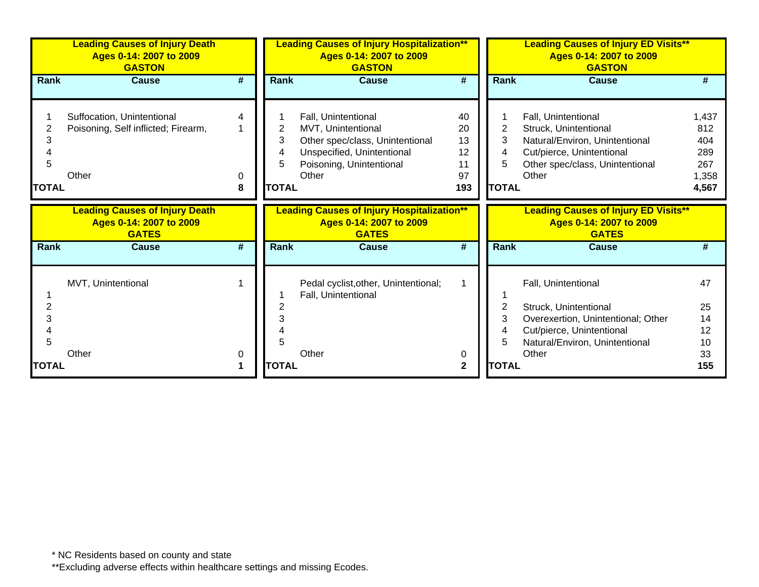|                        | <b>Leading Causes of Injury Death</b><br>Ages 0-14: 2007 to 2009<br><b>GASTON</b> |                             | <b>Leading Causes of Injury Hospitalization**</b><br>Ages 0-14: 2007 to 2009<br><b>GASTON</b> |                                                                                                                                                 |                                         | <b>Leading Causes of Injury ED Visits**</b><br>Ages 0-14: 2007 to 2009<br><b>GASTON</b> |                                                                                                                                                            |                                                     |
|------------------------|-----------------------------------------------------------------------------------|-----------------------------|-----------------------------------------------------------------------------------------------|-------------------------------------------------------------------------------------------------------------------------------------------------|-----------------------------------------|-----------------------------------------------------------------------------------------|------------------------------------------------------------------------------------------------------------------------------------------------------------|-----------------------------------------------------|
| <b>Rank</b>            | <b>Cause</b>                                                                      | #                           | <b>Rank</b>                                                                                   | <b>Cause</b>                                                                                                                                    | #                                       | Rank                                                                                    | <b>Cause</b>                                                                                                                                               | #                                                   |
| 3<br>5<br><b>TOTAL</b> | Suffocation, Unintentional<br>Poisoning, Self inflicted; Firearm,<br>Other        | 4<br>0<br>8                 | 2<br>3<br>4<br>5<br><b>TOTAL</b>                                                              | Fall, Unintentional<br>MVT, Unintentional<br>Other spec/class, Unintentional<br>Unspecified, Unintentional<br>Poisoning, Unintentional<br>Other | 40<br>20<br>13<br>12<br>11<br>97<br>193 | 2<br>3<br>4<br>5<br><b>TOTAL</b>                                                        | Fall, Unintentional<br>Struck, Unintentional<br>Natural/Environ, Unintentional<br>Cut/pierce, Unintentional<br>Other spec/class, Unintentional<br>Other    | 1,437<br>812<br>404<br>289<br>267<br>1,358<br>4,567 |
|                        | <b>Leading Causes of Injury Death</b><br>Ages 0-14: 2007 to 2009<br><b>GATES</b>  |                             |                                                                                               | <b>Leading Causes of Injury Hospitalization**</b><br>Ages 0-14: 2007 to 2009<br><b>GATES</b>                                                    |                                         |                                                                                         | <b>Leading Causes of Injury ED Visits**</b><br>Ages 0-14: 2007 to 2009<br><b>GATES</b>                                                                     |                                                     |
| Rank                   | <b>Cause</b>                                                                      | $\overline{\boldsymbol{t}}$ | Rank                                                                                          | <b>Cause</b>                                                                                                                                    | $\overline{\boldsymbol{t}}$             | Rank                                                                                    | <b>Cause</b>                                                                                                                                               | #                                                   |
| 2<br>3                 | MVT, Unintentional<br>Other                                                       | 0                           |                                                                                               | Pedal cyclist, other, Unintentional;<br>Fall, Unintentional<br>Other                                                                            | 1<br>0                                  | 2<br>3<br>4                                                                             | Fall, Unintentional<br>Struck, Unintentional<br>Overexertion, Unintentional; Other<br>Cut/pierce, Unintentional<br>Natural/Environ, Unintentional<br>Other | 47<br>25<br>14<br>12<br>10<br>33                    |
| TOTAL                  |                                                                                   | 1                           | <b>TOTAL</b>                                                                                  |                                                                                                                                                 | $\mathbf 2$                             | <b>TOTAL</b>                                                                            |                                                                                                                                                            | 155                                                 |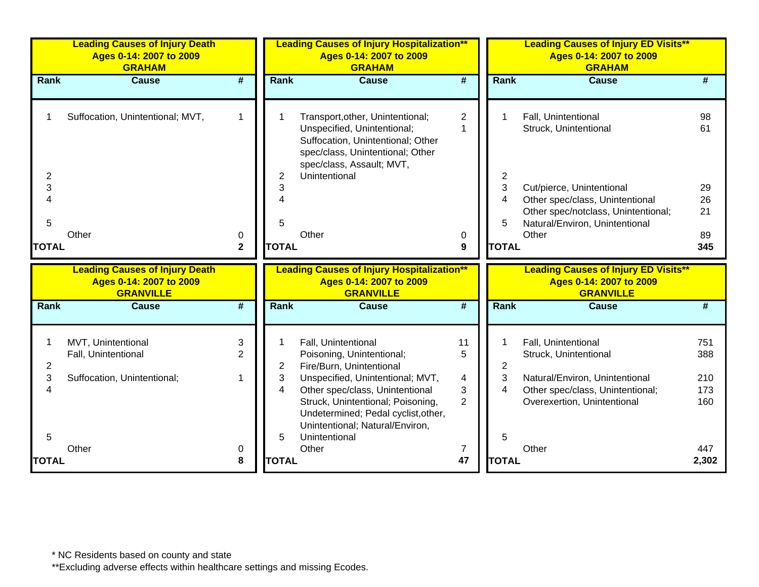|              | <b>Leading Causes of Injury Death</b><br>Ages 0-14: 2007 to 2009<br><b>GRAHAM</b> |                             |              | <b>Leading Causes of Injury Hospitalization**</b><br>Ages 0-14: 2007 to 2009<br><b>GRAHAM</b>                                                                         |                                |              | <b>Leading Causes of Injury ED Visits**</b><br>Ages 0-14: 2007 to 2009<br><b>GRAHAM</b>    |              |
|--------------|-----------------------------------------------------------------------------------|-----------------------------|--------------|-----------------------------------------------------------------------------------------------------------------------------------------------------------------------|--------------------------------|--------------|--------------------------------------------------------------------------------------------|--------------|
| Rank         | <b>Cause</b>                                                                      | $\overline{\boldsymbol{H}}$ | Rank         | <b>Cause</b>                                                                                                                                                          | #                              | Rank         | <b>Cause</b>                                                                               |              |
|              | Suffocation, Unintentional; MVT,                                                  | $\mathbf{1}$                |              | Transport, other, Unintentional;<br>Unspecified, Unintentional;<br>Suffocation, Unintentional; Other<br>spec/class, Unintentional; Other<br>spec/class, Assault; MVT, | $\overline{2}$<br>$\mathbf{1}$ |              | Fall, Unintentional<br>Struck, Unintentional                                               | 98<br>61     |
| 2            |                                                                                   |                             | 2            | Unintentional                                                                                                                                                         |                                | 2            |                                                                                            |              |
| 3            |                                                                                   |                             | 3            |                                                                                                                                                                       |                                | 3            | Cut/pierce, Unintentional                                                                  | 29           |
| 4            |                                                                                   |                             |              |                                                                                                                                                                       |                                | 4            | Other spec/class, Unintentional                                                            | 26           |
| 5            |                                                                                   |                             | 5            |                                                                                                                                                                       |                                | 5            | Other spec/notclass, Unintentional;<br>Natural/Environ, Unintentional                      | 21           |
|              | Other                                                                             | 0                           |              | Other                                                                                                                                                                 | 0                              |              | Other                                                                                      | 89           |
| <b>TOTAL</b> |                                                                                   | $\mathbf{2}$                | <b>TOTAL</b> |                                                                                                                                                                       | 9                              | <b>TOTAL</b> |                                                                                            | 345          |
|              | <b>Leading Causes of Injury Death</b>                                             |                             |              |                                                                                                                                                                       |                                |              |                                                                                            |              |
|              |                                                                                   |                             |              |                                                                                                                                                                       |                                |              |                                                                                            |              |
|              | Ages 0-14: 2007 to 2009<br><b>GRANVILLE</b>                                       |                             |              | <b>Leading Causes of Injury Hospitalization**</b><br>Ages 0-14: 2007 to 2009<br><b>GRANVILLE</b>                                                                      |                                |              | <b>Leading Causes of Injury ED Visits**</b><br>Ages 0-14: 2007 to 2009<br><b>GRANVILLE</b> |              |
| <b>Rank</b>  | <b>Cause</b>                                                                      | #                           | Rank         | <b>Cause</b>                                                                                                                                                          | #                              | <b>Rank</b>  | <b>Cause</b>                                                                               | #            |
| 1            | MVT, Unintentional<br>Fall, Unintentional                                         | 3<br>$\overline{2}$         | 1            | Fall, Unintentional<br>Poisoning, Unintentional;                                                                                                                      | 11<br>5                        | 1            | Fall, Unintentional<br>Struck, Unintentional                                               | 751<br>388   |
| 2            |                                                                                   | 1                           | 2            | Fire/Burn, Unintentional                                                                                                                                              |                                | 2            |                                                                                            |              |
| 3<br>4       | Suffocation, Unintentional;                                                       |                             | 3<br>4       | Unspecified, Unintentional; MVT,                                                                                                                                      | $\overline{\mathbf{4}}$        | 3<br>4       | Natural/Environ, Unintentional                                                             | 210<br>173   |
|              |                                                                                   |                             |              | Other spec/class, Unintentional<br>Struck, Unintentional; Poisoning,<br>Undetermined; Pedal cyclist, other,<br>Unintentional; Natural/Environ,                        | 3<br>2                         |              | Other spec/class, Unintentional;<br>Overexertion, Unintentional                            | 160          |
| 5            |                                                                                   |                             | 5            | Unintentional                                                                                                                                                         |                                | 5            |                                                                                            |              |
| <b>TOTAL</b> | Other                                                                             | 0<br>8                      | <b>TOTAL</b> | Other                                                                                                                                                                 | 7<br>47                        | <b>TOTAL</b> | Other                                                                                      | 447<br>2,302 |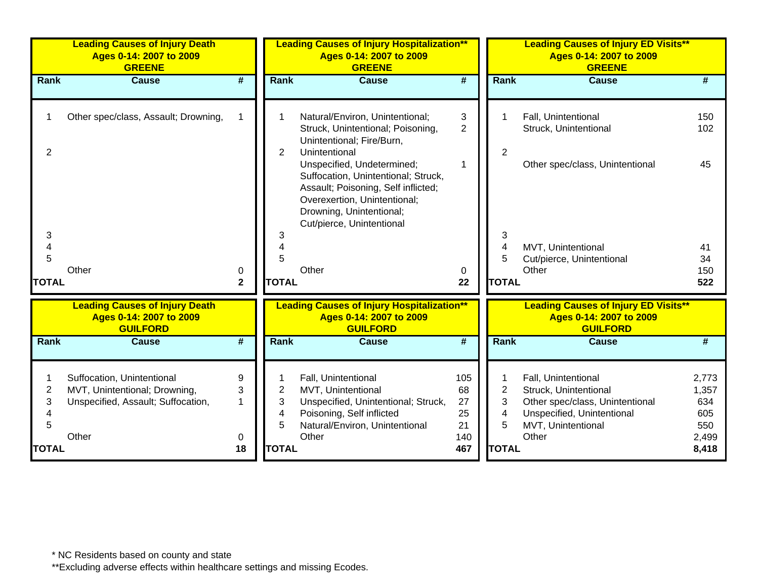|                             | <b>Leading Causes of Injury Death</b><br>Ages 0-14: 2007 to 2009<br><b>GREENE</b>                          |                   |                                               | <b>Leading Causes of Injury Hospitalization**</b><br>Ages 0-14: 2007 to 2009<br><b>GREENE</b>                                                                                |                                           |                                                                           | <b>Leading Causes of Injury ED Visits**</b><br>Ages 0-14: 2007 to 2009<br><b>GREENE</b>                                                      |                                                       |  |
|-----------------------------|------------------------------------------------------------------------------------------------------------|-------------------|-----------------------------------------------|------------------------------------------------------------------------------------------------------------------------------------------------------------------------------|-------------------------------------------|---------------------------------------------------------------------------|----------------------------------------------------------------------------------------------------------------------------------------------|-------------------------------------------------------|--|
| <b>Rank</b>                 | <b>Cause</b>                                                                                               | #                 | Rank                                          | <b>Cause</b>                                                                                                                                                                 | #                                         | <b>Rank</b>                                                               | <b>Cause</b>                                                                                                                                 | #                                                     |  |
| $\overline{2}$              | Other spec/class, Assault; Drowning,                                                                       |                   | $\overline{2}$                                | Natural/Environ, Unintentional;<br>Struck, Unintentional; Poisoning,<br>Unintentional; Fire/Burn,<br>Unintentional<br>Unspecified, Undetermined;                             | 3<br>$\overline{2}$<br>1                  | $\overline{2}$                                                            | Fall, Unintentional<br>Struck, Unintentional<br>Other spec/class, Unintentional                                                              | 150<br>102<br>45                                      |  |
| 3<br>4<br>5                 | Other                                                                                                      | 0                 | 3<br>$\overline{4}$<br>5                      | Suffocation, Unintentional; Struck,<br>Assault; Poisoning, Self inflicted;<br>Overexertion, Unintentional;<br>Drowning, Unintentional;<br>Cut/pierce, Unintentional<br>Other | 0                                         | 3<br>$\overline{4}$<br>5                                                  | MVT, Unintentional<br>Cut/pierce, Unintentional<br>Other                                                                                     | 41<br>34<br>150                                       |  |
| <b>TOTAL</b>                |                                                                                                            | $\mathbf 2$       | <b>TOTAL</b>                                  |                                                                                                                                                                              | 22                                        | <b>TOTAL</b>                                                              |                                                                                                                                              | 522                                                   |  |
|                             | <b>Leading Causes of Injury Death</b><br>Ages 0-14: 2007 to 2009<br><b>GUILFORD</b>                        |                   |                                               | <b>Leading Causes of Injury Hospitalization**</b><br>Ages 0-14: 2007 to 2009<br><b>GUILFORD</b>                                                                              |                                           |                                                                           | <b>Leading Causes of Injury ED Visits**</b><br>Ages 0-14: 2007 to 2009<br><b>GUILFORD</b>                                                    |                                                       |  |
| Rank                        | <b>Cause</b>                                                                                               | #                 | Rank                                          | <b>Cause</b>                                                                                                                                                                 | $\overline{\boldsymbol{H}}$               | Rank                                                                      | <b>Cause</b>                                                                                                                                 | #                                                     |  |
| 2<br>3<br>5<br><b>TOTAL</b> | Suffocation, Unintentional<br>MVT, Unintentional; Drowning,<br>Unspecified, Assault; Suffocation,<br>Other | 9<br>3<br>0<br>18 | $\overline{2}$<br>3<br>4<br>5<br><b>TOTAL</b> | Fall, Unintentional<br>MVT, Unintentional<br>Unspecified, Unintentional; Struck,<br>Poisoning, Self inflicted<br>Natural/Environ, Unintentional<br>Other                     | 105<br>68<br>27<br>25<br>21<br>140<br>467 | 1<br>$\overline{c}$<br>3<br>$\overline{\mathcal{A}}$<br>5<br><b>TOTAL</b> | Fall, Unintentional<br>Struck, Unintentional<br>Other spec/class, Unintentional<br>Unspecified, Unintentional<br>MVT, Unintentional<br>Other | 2,773<br>1,357<br>634<br>605<br>550<br>2,499<br>8,418 |  |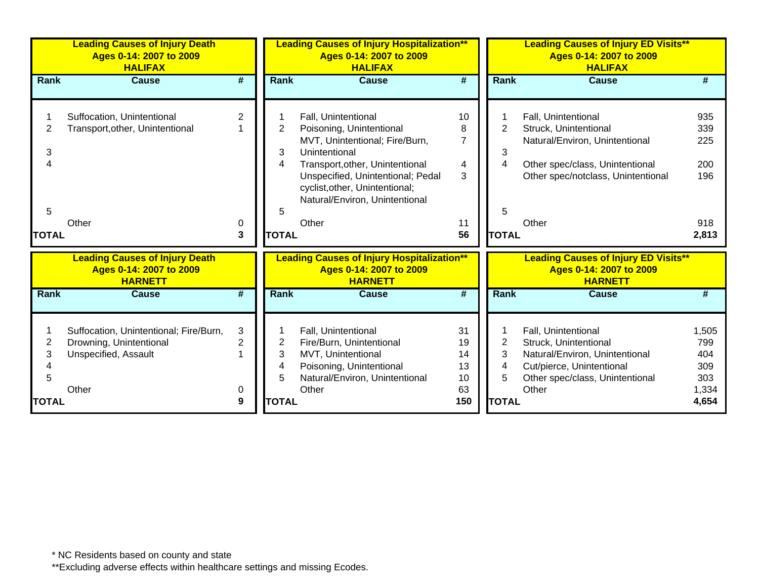|                             | <b>Leading Causes of Injury Death</b><br>Ages 0-14: 2007 to 2009<br><b>HALIFAX</b>                        |                               | <b>Leading Causes of Injury Hospitalization**</b><br>Ages 0-14: 2007 to 2009<br><b>HALIFAX</b> |                                                                                                                                                                                                                                                         |                                           |                                  | <b>Leading Causes of Injury ED Visits**</b><br>Ages 0-14: 2007 to 2009<br><b>HALIFAX</b>                                                                         |                                                     |  |
|-----------------------------|-----------------------------------------------------------------------------------------------------------|-------------------------------|------------------------------------------------------------------------------------------------|---------------------------------------------------------------------------------------------------------------------------------------------------------------------------------------------------------------------------------------------------------|-------------------------------------------|----------------------------------|------------------------------------------------------------------------------------------------------------------------------------------------------------------|-----------------------------------------------------|--|
| Rank                        | <b>Cause</b>                                                                                              | $\overline{\boldsymbol{t}}$   | Rank                                                                                           | Cause                                                                                                                                                                                                                                                   | $\overline{\boldsymbol{t}}$               | <b>Rank</b>                      | <b>Cause</b>                                                                                                                                                     |                                                     |  |
| 2<br>3<br>4<br>5            | Suffocation, Unintentional<br>Transport, other, Unintentional<br>Other                                    | 2<br>0                        | $\overline{2}$<br>3<br>4<br>5                                                                  | Fall, Unintentional<br>Poisoning, Unintentional<br>MVT, Unintentional; Fire/Burn,<br>Unintentional<br>Transport, other, Unintentional<br>Unspecified, Unintentional; Pedal<br>cyclist, other, Unintentional;<br>Natural/Environ, Unintentional<br>Other | 10<br>8<br>$\overline{7}$<br>4<br>3<br>11 | $\overline{2}$<br>3<br>4<br>5    | Fall, Unintentional<br>Struck, Unintentional<br>Natural/Environ, Unintentional<br>Other spec/class, Unintentional<br>Other spec/notclass, Unintentional<br>Other | 935<br>339<br>225<br>200<br>196<br>918              |  |
| <b>TOTAL</b>                |                                                                                                           | 3                             | <b>TOTAL</b>                                                                                   |                                                                                                                                                                                                                                                         | 56                                        | <b>TOTAL</b>                     |                                                                                                                                                                  | 2,813                                               |  |
|                             | <b>Leading Causes of Injury Death</b><br>Ages 0-14: 2007 to 2009<br><b>HARNETT</b>                        |                               |                                                                                                | <b>Leading Causes of Injury Hospitalization**</b><br>Ages 0-14: 2007 to 2009<br><b>HARNETT</b>                                                                                                                                                          |                                           |                                  | <b>Leading Causes of Injury ED Visits**</b><br>Ages 0-14: 2007 to 2009<br><b>HARNETT</b>                                                                         |                                                     |  |
| <b>Rank</b>                 | <b>Cause</b>                                                                                              | #                             | <b>Rank</b>                                                                                    | Cause                                                                                                                                                                                                                                                   | #                                         | <b>Rank</b>                      | Cause                                                                                                                                                            |                                                     |  |
| 2<br>3<br>5<br><b>TOTAL</b> | Suffocation, Unintentional; Fire/Burn,<br>Drowning, Unintentional<br><b>Unspecified, Assault</b><br>Other | 3<br>$\overline{2}$<br>0<br>9 | 2<br>3<br>4<br>5<br><b>TOTAL</b>                                                               | Fall, Unintentional<br>Fire/Burn, Unintentional<br>MVT, Unintentional<br>Poisoning, Unintentional<br>Natural/Environ, Unintentional<br>Other                                                                                                            | 31<br>19<br>14<br>13<br>10<br>63<br>150   | 2<br>3<br>4<br>5<br><b>TOTAL</b> | Fall, Unintentional<br>Struck, Unintentional<br>Natural/Environ, Unintentional<br>Cut/pierce, Unintentional<br>Other spec/class, Unintentional<br>Other          | 1,505<br>799<br>404<br>309<br>303<br>1,334<br>4,654 |  |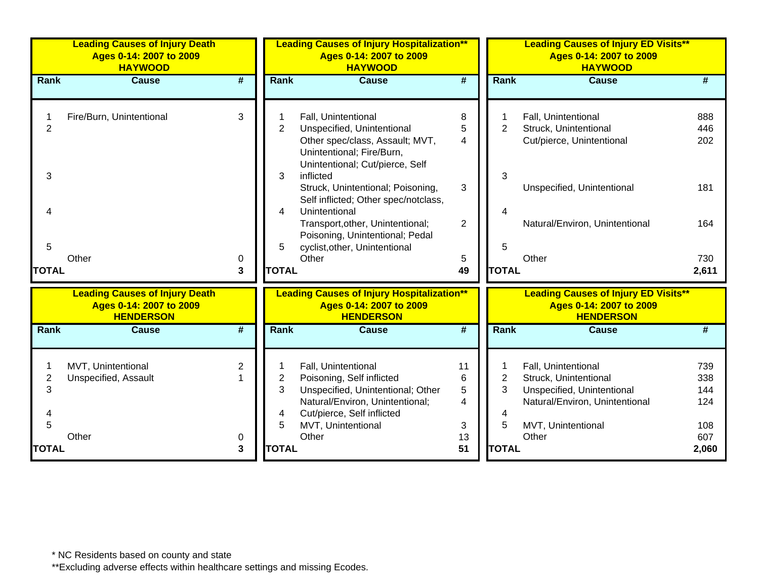|                     | <b>Leading Causes of Injury Death</b><br>Ages 0-14: 2007 to 2009<br><b>HAYWOOD</b>   |                             |                     | <b>Leading Causes of Injury Hospitalization**</b><br>Ages 0-14: 2007 to 2009<br><b>HAYWOOD</b>                                                                               |                                              |                     | <b>Leading Causes of Injury ED Visits**</b><br>Ages 0-14: 2007 to 2009<br><b>HAYWOOD</b>                                           |                                 |  |
|---------------------|--------------------------------------------------------------------------------------|-----------------------------|---------------------|------------------------------------------------------------------------------------------------------------------------------------------------------------------------------|----------------------------------------------|---------------------|------------------------------------------------------------------------------------------------------------------------------------|---------------------------------|--|
| Rank                | <b>Cause</b>                                                                         | $\overline{\boldsymbol{t}}$ | Rank                | <b>Cause</b>                                                                                                                                                                 | $\overline{\#}$                              | Rank                | <b>Cause</b>                                                                                                                       | #                               |  |
| $\overline{2}$<br>3 | Fire/Burn, Unintentional                                                             | 3                           | $\overline{2}$<br>3 | Fall, Unintentional<br>Unspecified, Unintentional<br>Other spec/class, Assault; MVT,<br>Unintentional; Fire/Burn,<br>Unintentional; Cut/pierce, Self<br>inflicted            | 8<br>5<br>$\overline{\mathcal{A}}$           | $\overline{2}$<br>3 | Fall, Unintentional<br>Struck, Unintentional<br>Cut/pierce, Unintentional                                                          | 888<br>446<br>202               |  |
|                     |                                                                                      |                             | 4                   | Struck, Unintentional; Poisoning,<br>Self inflicted; Other spec/notclass,<br>Unintentional<br>Transport, other, Unintentional;                                               | 3<br>$\overline{2}$                          | 4                   | Unspecified, Unintentional<br>Natural/Environ, Unintentional                                                                       | 181<br>164                      |  |
| 5<br><b>TOTAL</b>   | Other                                                                                | 0<br>3                      | 5<br><b>TOTAL</b>   | Poisoning, Unintentional; Pedal<br>cyclist, other, Unintentional<br>Other                                                                                                    | 5<br>49                                      | 5<br><b>TOTAL</b>   | Other                                                                                                                              | 730<br>2,611                    |  |
|                     | <b>Leading Causes of Injury Death</b><br>Ages 0-14: 2007 to 2009<br><b>HENDERSON</b> |                             |                     | <b>Leading Causes of Injury Hospitalization**</b><br>Ages 0-14: 2007 to 2009<br><b>HENDERSON</b>                                                                             |                                              |                     | <b>Leading Causes of Injury ED Visits**</b><br>Ages 0-14: 2007 to 2009<br><b>HENDERSON</b>                                         |                                 |  |
| Rank                | <b>Cause</b>                                                                         | #                           | Rank                | <b>Cause</b>                                                                                                                                                                 | #                                            | Rank                | <b>Cause</b>                                                                                                                       | #                               |  |
| 2<br>3              | MVT, Unintentional<br>Unspecified, Assault                                           | $\overline{2}$              | 2<br>3<br>4<br>5    | Fall, Unintentional<br>Poisoning, Self inflicted<br>Unspecified, Unintentional; Other<br>Natural/Environ, Unintentional;<br>Cut/pierce, Self inflicted<br>MVT, Unintentional | 11<br>6<br>5<br>$\overline{\mathbf{4}}$<br>3 | 2<br>3<br>4<br>5    | Fall, Unintentional<br>Struck, Unintentional<br>Unspecified, Unintentional<br>Natural/Environ, Unintentional<br>MVT, Unintentional | 739<br>338<br>144<br>124<br>108 |  |
| <b>TOTAL</b>        | Other                                                                                | 0<br>3                      | <b>TOTAL</b>        | Other                                                                                                                                                                        | 13<br>51                                     | <b>TOTAL</b>        | Other                                                                                                                              | 607<br>2,060                    |  |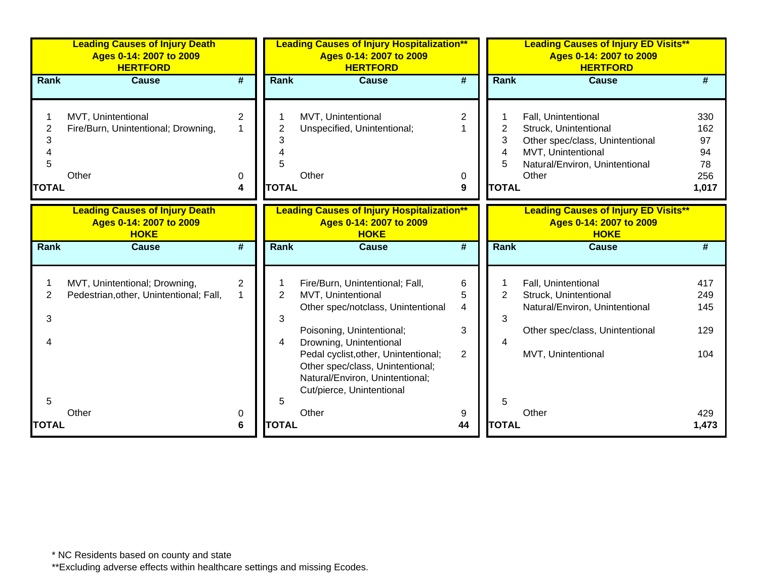|                             | <b>Leading Causes of Injury Death</b><br>Ages 0-14: 2007 to 2009<br><b>HERTFORD</b> |                          |                               | <b>Leading Causes of Injury Hospitalization**</b><br>Ages 0-14: 2007 to 2009<br><b>HERTFORD</b>                                                                                                                                                                                                 |                                                 |                                                 | <b>Leading Causes of Injury ED Visits**</b><br>Ages 0-14: 2007 to 2009<br><b>HERTFORD</b>                                                        |                                              |
|-----------------------------|-------------------------------------------------------------------------------------|--------------------------|-------------------------------|-------------------------------------------------------------------------------------------------------------------------------------------------------------------------------------------------------------------------------------------------------------------------------------------------|-------------------------------------------------|-------------------------------------------------|--------------------------------------------------------------------------------------------------------------------------------------------------|----------------------------------------------|
| Rank                        | <b>Cause</b>                                                                        | #                        | <b>Rank</b>                   | <b>Cause</b>                                                                                                                                                                                                                                                                                    | #                                               | Rank                                            | <b>Cause</b>                                                                                                                                     | #                                            |
| 2<br>3<br>5<br><b>TOTAL</b> | MVT, Unintentional<br>Fire/Burn, Unintentional; Drowning,<br>Other                  | $\overline{2}$<br>0<br>4 | 2<br>5<br><b>TOTAL</b>        | MVT, Unintentional<br>Unspecified, Unintentional;<br>Other                                                                                                                                                                                                                                      | $\overline{2}$<br>0<br>9                        | $\overline{2}$<br>3<br>4<br>5<br><b>TOTAL</b>   | Fall, Unintentional<br>Struck, Unintentional<br>Other spec/class, Unintentional<br>MVT, Unintentional<br>Natural/Environ, Unintentional<br>Other | 330<br>162<br>97<br>94<br>78<br>256<br>1,017 |
|                             | <b>Leading Causes of Injury Death</b><br>Ages 0-14: 2007 to 2009<br><b>HOKE</b>     |                          |                               | <b>Leading Causes of Injury Hospitalization**</b><br>Ages 0-14: 2007 to 2009<br><b>HOKE</b>                                                                                                                                                                                                     |                                                 |                                                 | <b>Leading Causes of Injury ED Visits**</b><br>Ages 0-14: 2007 to 2009<br><b>HOKE</b>                                                            |                                              |
| Rank                        | <b>Cause</b>                                                                        | #                        | <b>Rank</b>                   | <b>Cause</b>                                                                                                                                                                                                                                                                                    | #                                               | Rank                                            | <b>Cause</b>                                                                                                                                     | #                                            |
| 2<br>3<br>4<br>5            | MVT, Unintentional; Drowning,<br>Pedestrian, other, Unintentional; Fall,            | $\overline{c}$           | $\overline{2}$<br>3<br>4<br>5 | Fire/Burn, Unintentional; Fall,<br>MVT, Unintentional<br>Other spec/notclass, Unintentional<br>Poisoning, Unintentional;<br>Drowning, Unintentional<br>Pedal cyclist, other, Unintentional;<br>Other spec/class, Unintentional;<br>Natural/Environ, Unintentional;<br>Cut/pierce, Unintentional | 6<br>5<br>$\overline{4}$<br>3<br>$\overline{2}$ | 1<br>$\overline{2}$<br>3<br>$\overline{4}$<br>5 | Fall, Unintentional<br>Struck, Unintentional<br>Natural/Environ, Unintentional<br>Other spec/class, Unintentional<br>MVT, Unintentional          | 417<br>249<br>145<br>129<br>104              |
| <b>TOTAL</b>                | Other                                                                               | 0<br>6                   | <b>TOTAL</b>                  | Other                                                                                                                                                                                                                                                                                           | 9<br>44                                         | <b>TOTAL</b>                                    | Other                                                                                                                                            | 429<br>1,473                                 |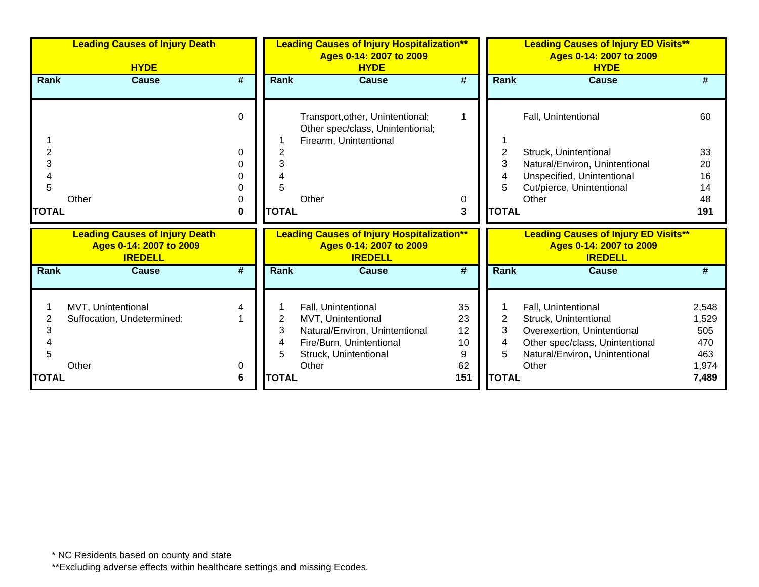|              | <b>Leading Causes of Injury Death</b><br><b>HYDE</b>                               |                             |                  | <b>Leading Causes of Injury Hospitalization**</b><br>Ages 0-14: 2007 to 2009<br><b>HYDE</b>                                               |                                 |                  | <b>Leading Causes of Injury ED Visits**</b><br>Ages 0-14: 2007 to 2009<br><b>HYDE</b>                                                                     |                                              |  |
|--------------|------------------------------------------------------------------------------------|-----------------------------|------------------|-------------------------------------------------------------------------------------------------------------------------------------------|---------------------------------|------------------|-----------------------------------------------------------------------------------------------------------------------------------------------------------|----------------------------------------------|--|
| <b>Rank</b>  | Cause                                                                              | #                           | Rank             | Cause                                                                                                                                     | #                               | <b>Rank</b>      | <b>Cause</b>                                                                                                                                              |                                              |  |
|              |                                                                                    | $\Omega$                    |                  | Transport, other, Unintentional;<br>Other spec/class, Unintentional;<br>Firearm, Unintentional                                            |                                 |                  | Fall, Unintentional                                                                                                                                       | 60                                           |  |
| 2            |                                                                                    | 0                           |                  |                                                                                                                                           |                                 | 2                | Struck, Unintentional                                                                                                                                     | 33                                           |  |
| 3            |                                                                                    |                             | 3                |                                                                                                                                           |                                 | 3                | Natural/Environ, Unintentional                                                                                                                            | 20                                           |  |
|              |                                                                                    |                             |                  |                                                                                                                                           |                                 |                  | Unspecified, Unintentional                                                                                                                                | 16                                           |  |
| 5            |                                                                                    |                             |                  |                                                                                                                                           |                                 |                  | Cut/pierce, Unintentional                                                                                                                                 | 14                                           |  |
|              | Other                                                                              | 0                           |                  | Other                                                                                                                                     | 0                               |                  | Other                                                                                                                                                     | 48                                           |  |
| <b>TOTAL</b> |                                                                                    | $\bf{0}$                    | <b>TOTAL</b>     |                                                                                                                                           | 3                               | <b>TOTAL</b>     |                                                                                                                                                           | 191                                          |  |
|              | <b>Leading Causes of Injury Death</b><br>Ages 0-14: 2007 to 2009<br><b>IREDELL</b> |                             |                  | <b>Leading Causes of Injury Hospitalization**</b><br>Ages 0-14: 2007 to 2009<br><b>IREDELL</b>                                            |                                 |                  | <b>Leading Causes of Injury ED Visits**</b><br>Ages 0-14: 2007 to 2009<br><b>IREDELL</b>                                                                  |                                              |  |
| <b>Rank</b>  | <b>Cause</b>                                                                       | $\overline{\boldsymbol{t}}$ | <b>Rank</b>      | <b>Cause</b>                                                                                                                              | $\overline{\boldsymbol{t}}$     | <b>Rank</b>      | <b>Cause</b>                                                                                                                                              |                                              |  |
| 3<br>5       | MVT, Unintentional<br>Suffocation, Undetermined;<br>Other                          | 0                           | 2<br>3<br>4<br>5 | Fall, Unintentional<br>MVT, Unintentional<br>Natural/Environ, Unintentional<br>Fire/Burn, Unintentional<br>Struck, Unintentional<br>Other | 35<br>23<br>12<br>10<br>9<br>62 | 2<br>3<br>4<br>5 | Fall, Unintentional<br>Struck, Unintentional<br>Overexertion, Unintentional<br>Other spec/class, Unintentional<br>Natural/Environ, Unintentional<br>Other | 2,548<br>1,529<br>505<br>470<br>463<br>1,974 |  |
| <b>TOTAL</b> |                                                                                    | 6                           | <b>TOTAL</b>     |                                                                                                                                           | 151                             | <b>TOTAL</b>     |                                                                                                                                                           | 7,489                                        |  |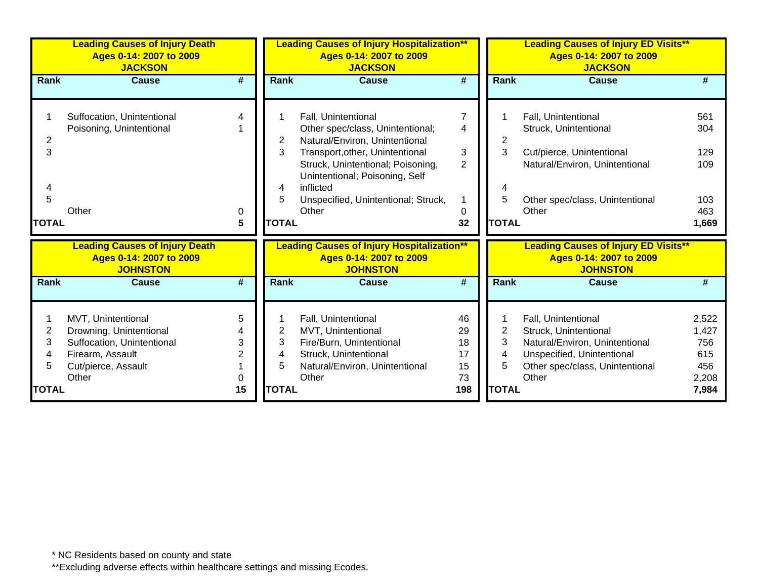|                                  | <b>Leading Causes of Injury Death</b><br>Ages 0-14: 2007 to 2009<br><b>JACKSON</b>                                              |                        |                                  | <b>Leading Causes of Injury Hospitalization**</b><br>Ages 0-14: 2007 to 2009<br><b>JACKSON</b>                                                                                                                                                                   |                                         |                                  | <b>Leading Causes of Injury ED Visits**</b><br>Ages 0-14: 2007 to 2009<br><b>JACKSON</b>                                                                 |                                                       |
|----------------------------------|---------------------------------------------------------------------------------------------------------------------------------|------------------------|----------------------------------|------------------------------------------------------------------------------------------------------------------------------------------------------------------------------------------------------------------------------------------------------------------|-----------------------------------------|----------------------------------|----------------------------------------------------------------------------------------------------------------------------------------------------------|-------------------------------------------------------|
| Rank                             | <b>Cause</b>                                                                                                                    | #                      | Rank                             | <b>Cause</b>                                                                                                                                                                                                                                                     | #                                       | <b>Rank</b>                      | <b>Cause</b>                                                                                                                                             | #                                                     |
| 2<br>3<br>4<br>5<br><b>TOTAL</b> | Suffocation, Unintentional<br>Poisoning, Unintentional<br>Other                                                                 | 4<br>0<br>5            | 2<br>3<br>4<br>5<br><b>TOTAL</b> | Fall, Unintentional<br>Other spec/class, Unintentional;<br>Natural/Environ, Unintentional<br>Transport, other, Unintentional<br>Struck, Unintentional; Poisoning,<br>Unintentional; Poisoning, Self<br>inflicted<br>Unspecified, Unintentional; Struck,<br>Other | 7<br>4<br>$\mathbf{3}$<br>2<br>0<br>32  | 2<br>3<br>5<br><b>TOTAL</b>      | Fall, Unintentional<br>Struck, Unintentional<br>Cut/pierce, Unintentional<br>Natural/Environ, Unintentional<br>Other spec/class, Unintentional<br>Other  | 561<br>304<br>129<br>109<br>103<br>463<br>1,669       |
|                                  | <b>Leading Causes of Injury Death</b><br>Ages 0-14: 2007 to 2009<br><b>JOHNSTON</b>                                             |                        |                                  | <b>Leading Causes of Injury Hospitalization**</b><br>Ages 0-14: 2007 to 2009<br><b>JOHNSTON</b>                                                                                                                                                                  |                                         |                                  | <b>Leading Causes of Injury ED Visits**</b><br>Ages 0-14: 2007 to 2009<br><b>JOHNSTON</b>                                                                |                                                       |
| Rank                             | <b>Cause</b>                                                                                                                    | #                      | <b>Rank</b>                      | <b>Cause</b>                                                                                                                                                                                                                                                     | #                                       | <b>Rank</b>                      | <b>Cause</b>                                                                                                                                             | #                                                     |
| 2<br>3<br>4<br>5<br><b>TOTAL</b> | MVT, Unintentional<br>Drowning, Unintentional<br>Suffocation, Unintentional<br>Firearm, Assault<br>Cut/pierce, Assault<br>Other | 5<br>3<br>2<br>0<br>15 | 2<br>3<br>4<br>5<br><b>TOTAL</b> | Fall, Unintentional<br>MVT, Unintentional<br>Fire/Burn, Unintentional<br>Struck, Unintentional<br>Natural/Environ, Unintentional<br>Other                                                                                                                        | 46<br>29<br>18<br>17<br>15<br>73<br>198 | 2<br>3<br>4<br>5<br><b>TOTAL</b> | Fall, Unintentional<br>Struck, Unintentional<br>Natural/Environ, Unintentional<br>Unspecified, Unintentional<br>Other spec/class, Unintentional<br>Other | 2,522<br>1,427<br>756<br>615<br>456<br>2,208<br>7,984 |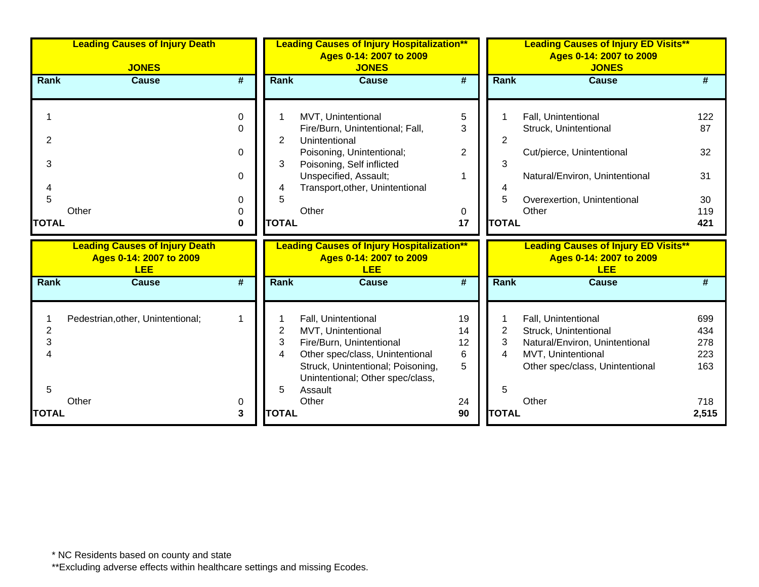|                             | <b>Leading Causes of Injury Death</b><br><b>JONES</b>                          |                                                   | <b>Leading Causes of Injury Hospitalization**</b><br>Ages 0-14: 2007 to 2009<br><b>JONES</b> |                                                                                                                                                                                                       |                                     |                                          | <b>Leading Causes of Injury ED Visits**</b><br>Ages 0-14: 2007 to 2009<br><b>JONES</b>                                                              |                                           |  |  |
|-----------------------------|--------------------------------------------------------------------------------|---------------------------------------------------|----------------------------------------------------------------------------------------------|-------------------------------------------------------------------------------------------------------------------------------------------------------------------------------------------------------|-------------------------------------|------------------------------------------|-----------------------------------------------------------------------------------------------------------------------------------------------------|-------------------------------------------|--|--|
| <b>Rank</b>                 | <b>Cause</b>                                                                   | #                                                 | <b>Rank</b>                                                                                  | <b>Cause</b>                                                                                                                                                                                          | #                                   | <b>Rank</b>                              | <b>Cause</b>                                                                                                                                        | #                                         |  |  |
| 2<br>3<br>5<br><b>TOTAL</b> | Other                                                                          | $\mathbf{0}$<br>0<br>0<br>$\Omega$<br>0<br>0<br>0 | $\overline{2}$<br>3<br>4<br>5<br><b>TOTAL</b>                                                | MVT, Unintentional<br>Fire/Burn, Unintentional; Fall,<br>Unintentional<br>Poisoning, Unintentional;<br>Poisoning, Self inflicted<br>Unspecified, Assault;<br>Transport, other, Unintentional<br>Other | 5<br>3<br>$\overline{2}$<br>0<br>17 | $\overline{2}$<br>3<br>5<br><b>TOTAL</b> | Fall, Unintentional<br>Struck, Unintentional<br>Cut/pierce, Unintentional<br>Natural/Environ, Unintentional<br>Overexertion, Unintentional<br>Other | 122<br>87<br>32<br>31<br>30<br>119<br>421 |  |  |
|                             |                                                                                |                                                   |                                                                                              |                                                                                                                                                                                                       |                                     |                                          |                                                                                                                                                     |                                           |  |  |
|                             | <b>Leading Causes of Injury Death</b><br>Ages 0-14: 2007 to 2009<br><b>LEE</b> |                                                   |                                                                                              | <b>Leading Causes of Injury Hospitalization**</b><br>Ages 0-14: 2007 to 2009<br><b>LEE</b>                                                                                                            |                                     |                                          | <b>Leading Causes of Injury ED Visits**</b><br>Ages 0-14: 2007 to 2009<br><b>LEE</b>                                                                |                                           |  |  |
| Rank                        | <b>Cause</b>                                                                   | $\overline{\boldsymbol{t}}$                       | Rank                                                                                         | <b>Cause</b>                                                                                                                                                                                          | $\overline{\boldsymbol{t}}$         | Rank                                     | <b>Cause</b>                                                                                                                                        | #                                         |  |  |
| 2<br>3<br>5                 | Pedestrian, other, Unintentional;<br>Other                                     | -1<br>0                                           | 2<br>3<br>4<br>5                                                                             | Fall, Unintentional<br>MVT, Unintentional<br>Fire/Burn, Unintentional<br>Other spec/class, Unintentional<br>Struck, Unintentional; Poisoning,<br>Unintentional; Other spec/class,<br>Assault<br>Other | 19<br>14<br>12<br>6<br>5<br>24      | 2<br>3<br>4<br>5                         | Fall, Unintentional<br>Struck, Unintentional<br>Natural/Environ, Unintentional<br>MVT, Unintentional<br>Other spec/class, Unintentional<br>Other    | 699<br>434<br>278<br>223<br>163<br>718    |  |  |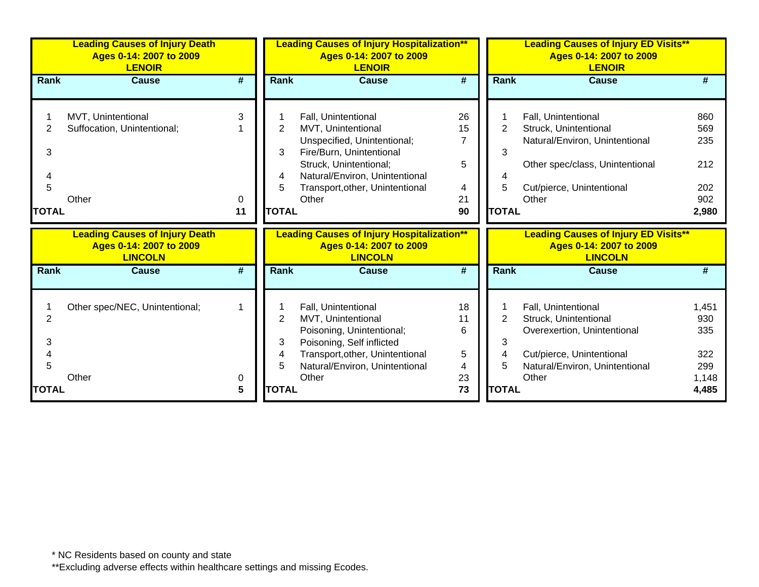|                                  | <b>Leading Causes of Injury Death</b><br>Ages 0-14: 2007 to 2009<br><b>LENOIR</b>  |                             |                                  | <b>Leading Causes of Injury Hospitalization**</b><br>Ages 0-14: 2007 to 2009<br><b>LENOIR</b>                                                                                                                       |                                                  |                               | <b>Leading Causes of Injury ED Visits**</b><br>Ages 0-14: 2007 to 2009<br><b>LENOIR</b>                                                                 |                                                 |
|----------------------------------|------------------------------------------------------------------------------------|-----------------------------|----------------------------------|---------------------------------------------------------------------------------------------------------------------------------------------------------------------------------------------------------------------|--------------------------------------------------|-------------------------------|---------------------------------------------------------------------------------------------------------------------------------------------------------|-------------------------------------------------|
| Rank                             | <b>Cause</b>                                                                       | $\overline{\boldsymbol{H}}$ | Rank                             | <b>Cause</b>                                                                                                                                                                                                        | $\overline{\boldsymbol{t}}$                      | Rank                          | <b>Cause</b>                                                                                                                                            | #                                               |
| 2<br>3<br>4<br>5<br><b>TOTAL</b> | MVT, Unintentional<br>Suffocation, Unintentional;<br>Other                         | 3<br>0<br>11                | 2<br>3<br>4<br>5<br><b>TOTAL</b> | Fall, Unintentional<br><b>MVT, Unintentional</b><br>Unspecified, Unintentional;<br>Fire/Burn, Unintentional<br>Struck, Unintentional;<br>Natural/Environ, Unintentional<br>Transport, other, Unintentional<br>Other | 26<br>15<br>$\overline{7}$<br>5<br>4<br>21<br>90 | 2<br>3<br>5<br><b>TOTAL</b>   | Fall, Unintentional<br>Struck, Unintentional<br>Natural/Environ, Unintentional<br>Other spec/class, Unintentional<br>Cut/pierce, Unintentional<br>Other | 860<br>569<br>235<br>212<br>202<br>902<br>2,980 |
|                                  | <b>Leading Causes of Injury Death</b><br>Ages 0-14: 2007 to 2009<br><b>LINCOLN</b> |                             |                                  | <b>Leading Causes of Injury Hospitalization**</b><br>Ages 0-14: 2007 to 2009<br><b>LINCOLN</b>                                                                                                                      |                                                  |                               | <b>Leading Causes of Injury ED Visits**</b><br>Ages 0-14: 2007 to 2009<br><b>LINCOLN</b>                                                                |                                                 |
| Rank                             | <b>Cause</b>                                                                       | #                           | Rank                             | <b>Cause</b>                                                                                                                                                                                                        | $\overline{\boldsymbol{t}}$                      | <b>Rank</b>                   | <b>Cause</b>                                                                                                                                            |                                                 |
| 2<br>3<br>4<br>5                 | Other spec/NEC, Unintentional;<br>Other                                            | 0                           | $\overline{2}$<br>3<br>4<br>5    | Fall, Unintentional<br>MVT, Unintentional<br>Poisoning, Unintentional;<br>Poisoning, Self inflicted<br>Transport, other, Unintentional<br>Natural/Environ, Unintentional<br>Other                                   | 18<br>11<br>6<br>5<br>4<br>23                    | $\overline{2}$<br>3<br>4<br>5 | Fall, Unintentional<br>Struck, Unintentional<br>Overexertion, Unintentional<br>Cut/pierce, Unintentional<br>Natural/Environ, Unintentional<br>Other     | 1,451<br>930<br>335<br>322<br>299<br>1,148      |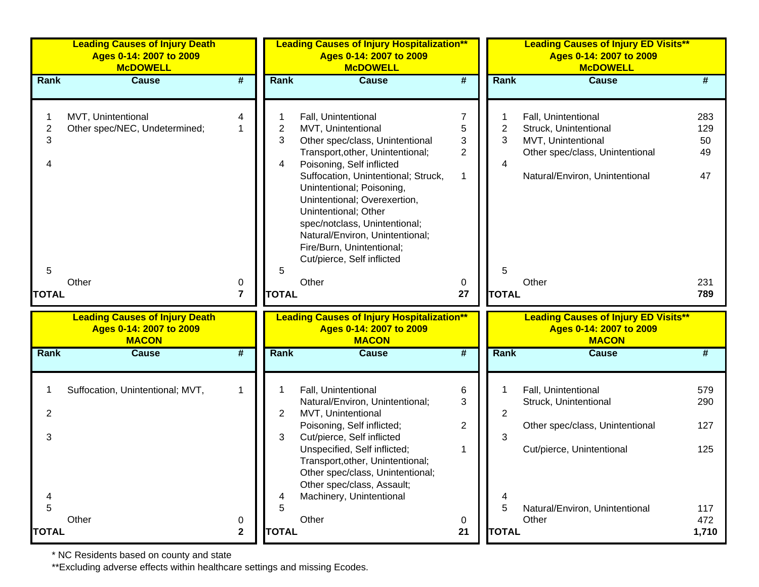|                     | <b>Leading Causes of Injury Death</b><br>Ages 0-14: 2007 to 2009<br><b>McDOWELL</b> |                         | <b>Leading Causes of Injury Hospitalization**</b><br>Ages 0-14: 2007 to 2009<br><b>McDOWELL</b> |                                                                                                                                                                                                                                                                                                                                                                                                          |                                                 | <b>Leading Causes of Injury ED Visits**</b><br>Ages 0-14: 2007 to 2009<br><b>McDOWELL</b> |                                                                                                                                         |                              |  |
|---------------------|-------------------------------------------------------------------------------------|-------------------------|-------------------------------------------------------------------------------------------------|----------------------------------------------------------------------------------------------------------------------------------------------------------------------------------------------------------------------------------------------------------------------------------------------------------------------------------------------------------------------------------------------------------|-------------------------------------------------|-------------------------------------------------------------------------------------------|-----------------------------------------------------------------------------------------------------------------------------------------|------------------------------|--|
| Rank                | <b>Cause</b>                                                                        | #                       | <b>Rank</b>                                                                                     | <b>Cause</b>                                                                                                                                                                                                                                                                                                                                                                                             | $\overline{\boldsymbol{r}}$                     | Rank                                                                                      | <b>Cause</b>                                                                                                                            | #                            |  |
| $\overline{2}$<br>3 | MVT, Unintentional<br>Other spec/NEC, Undetermined;                                 | 4<br>1                  | 2<br>3<br>4                                                                                     | Fall, Unintentional<br>MVT, Unintentional<br>Other spec/class, Unintentional<br>Transport, other, Unintentional;<br>Poisoning, Self inflicted<br>Suffocation, Unintentional; Struck,<br>Unintentional; Poisoning,<br>Unintentional; Overexertion,<br>Unintentional; Other<br>spec/notclass, Unintentional;<br>Natural/Environ, Unintentional;<br>Fire/Burn, Unintentional;<br>Cut/pierce, Self inflicted | $\overline{7}$<br>5<br>3<br>$\overline{2}$<br>1 | 2<br>3<br>4                                                                               | Fall, Unintentional<br>Struck, Unintentional<br>MVT, Unintentional<br>Other spec/class, Unintentional<br>Natural/Environ, Unintentional | 283<br>129<br>50<br>49<br>47 |  |
| 5                   | Other                                                                               | 0                       | 5                                                                                               | Other                                                                                                                                                                                                                                                                                                                                                                                                    | 0                                               | 5                                                                                         | Other                                                                                                                                   | 231                          |  |
| <b>TOTAL</b>        |                                                                                     | $\overline{\mathbf{r}}$ | <b>TOTAL</b>                                                                                    |                                                                                                                                                                                                                                                                                                                                                                                                          | 27                                              | <b>TOTAL</b>                                                                              |                                                                                                                                         | 789                          |  |
|                     | <b>Leading Causes of Injury Death</b><br>Ages 0-14: 2007 to 2009<br><b>MACON</b>    |                         |                                                                                                 | <b>Leading Causes of Injury Hospitalization**</b><br>Ages 0-14: 2007 to 2009<br><b>MACON</b>                                                                                                                                                                                                                                                                                                             |                                                 |                                                                                           | <b>Leading Causes of Injury ED Visits**</b><br>Ages 0-14: 2007 to 2009<br><b>MACON</b>                                                  |                              |  |
| Rank                | <b>Cause</b>                                                                        | #                       | Rank                                                                                            | <b>Cause</b>                                                                                                                                                                                                                                                                                                                                                                                             | #                                               | Rank                                                                                      | <b>Cause</b>                                                                                                                            | #                            |  |
| 2<br>3              | Suffocation, Unintentional; MVT,                                                    | 1                       | $\mathbf{2}^{\prime}$<br>3                                                                      | Fall, Unintentional<br>Natural/Environ, Unintentional;<br>MVT, Unintentional<br>Poisoning, Self inflicted;<br>Cut/pierce, Self inflicted                                                                                                                                                                                                                                                                 | 6<br>3<br>2                                     | 2<br>3                                                                                    | Fall, Unintentional<br>Struck, Unintentional<br>Other spec/class, Unintentional                                                         | 579<br>290<br>127            |  |
|                     |                                                                                     |                         |                                                                                                 | Unspecified, Self inflicted;<br>Transport, other, Unintentional;<br>Other spec/class, Unintentional;<br>Other spec/class, Assault;<br>Machinery, Unintentional                                                                                                                                                                                                                                           | 1                                               | 4                                                                                         | Cut/pierce, Unintentional                                                                                                               | 125                          |  |
| 5<br><b>TOTAL</b>   | Other                                                                               | 0<br>$\mathbf 2$        | 5<br><b>TOTAL</b>                                                                               | Other                                                                                                                                                                                                                                                                                                                                                                                                    | 0<br>21                                         | 5<br><b>TOTAL</b>                                                                         | Natural/Environ, Unintentional<br>Other                                                                                                 | 117<br>472<br>1,710          |  |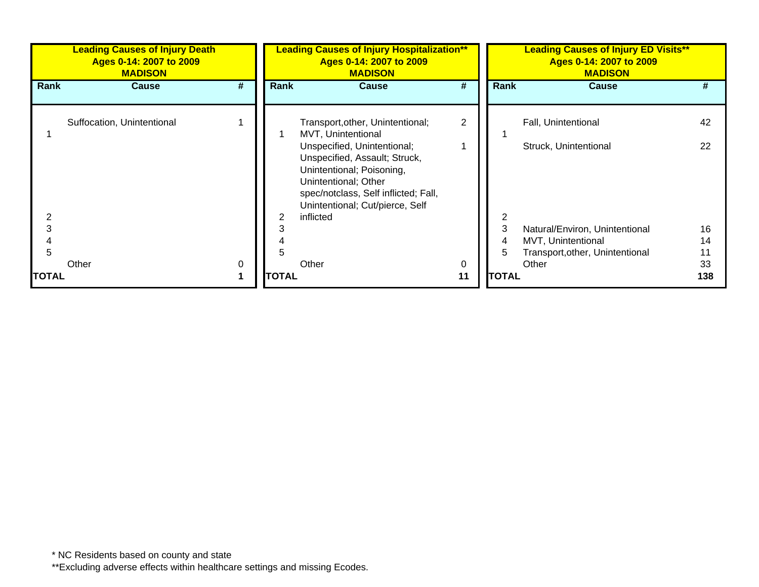|              | <b>Leading Causes of Injury Death</b><br>Ages 0-14: 2007 to 2009<br><b>MADISON</b> |          | <b>Leading Causes of Injury Hospitalization**</b><br>Ages 0-14: 2007 to 2009<br><b>MADISON</b> |                                                                                                                                                                                              |                | <b>Leading Causes of Injury ED Visits**</b><br>Ages 0-14: 2007 to 2009<br><b>MADISON</b> |                                                      |     |  |
|--------------|------------------------------------------------------------------------------------|----------|------------------------------------------------------------------------------------------------|----------------------------------------------------------------------------------------------------------------------------------------------------------------------------------------------|----------------|------------------------------------------------------------------------------------------|------------------------------------------------------|-----|--|
| Rank         | <b>Cause</b>                                                                       | #        | <b>Rank</b>                                                                                    | <b>Cause</b>                                                                                                                                                                                 | #              | Rank                                                                                     | <b>Cause</b>                                         | #   |  |
|              | Suffocation, Unintentional                                                         |          |                                                                                                | Transport, other, Unintentional;<br>MVT, Unintentional                                                                                                                                       | $\overline{2}$ |                                                                                          | Fall, Unintentional                                  | 42  |  |
|              |                                                                                    |          |                                                                                                | Unspecified, Unintentional;<br>Unspecified, Assault; Struck,<br>Unintentional; Poisoning,<br>Unintentional; Other<br>spec/notclass, Self inflicted; Fall,<br>Unintentional; Cut/pierce, Self |                |                                                                                          | Struck, Unintentional                                | 22  |  |
| 3            |                                                                                    |          | 2                                                                                              | inflicted                                                                                                                                                                                    |                | 3                                                                                        |                                                      | 16  |  |
|              |                                                                                    |          |                                                                                                |                                                                                                                                                                                              |                | 4                                                                                        | Natural/Environ, Unintentional<br>MVT, Unintentional | 14  |  |
| 5            |                                                                                    |          |                                                                                                |                                                                                                                                                                                              |                | 5                                                                                        | Transport, other, Unintentional                      |     |  |
|              | Other                                                                              | $\Omega$ |                                                                                                | Other                                                                                                                                                                                        | 0              |                                                                                          | Other                                                | 33  |  |
| <b>TOTAL</b> |                                                                                    |          | <b>TOTAL</b>                                                                                   |                                                                                                                                                                                              | 11             | <b>TOTAL</b>                                                                             |                                                      | 138 |  |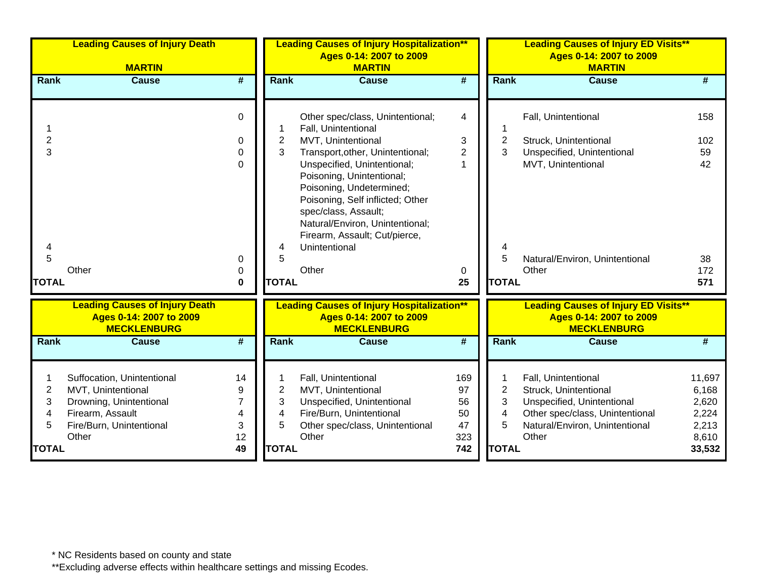|                               | <b>Leading Causes of Injury Death</b>                                                                                                |                              | <b>Leading Causes of Injury Hospitalization**</b><br>Ages 0-14: 2007 to 2009 |                                                                                                                                                                                                                                       |                                    | <b>Leading Causes of Injury ED Visits**</b><br>Ages 0-14: 2007 to 2009 |                                                                                                                                                          |                                                     |  |
|-------------------------------|--------------------------------------------------------------------------------------------------------------------------------------|------------------------------|------------------------------------------------------------------------------|---------------------------------------------------------------------------------------------------------------------------------------------------------------------------------------------------------------------------------------|------------------------------------|------------------------------------------------------------------------|----------------------------------------------------------------------------------------------------------------------------------------------------------|-----------------------------------------------------|--|
|                               | <b>MARTIN</b>                                                                                                                        |                              |                                                                              | <b>MARTIN</b>                                                                                                                                                                                                                         |                                    |                                                                        | <b>MARTIN</b>                                                                                                                                            |                                                     |  |
| Rank                          | <b>Cause</b>                                                                                                                         | #                            | <b>Rank</b>                                                                  | <b>Cause</b>                                                                                                                                                                                                                          | $\overline{\boldsymbol{t}}$        | Rank                                                                   | <b>Cause</b>                                                                                                                                             | #                                                   |  |
|                               |                                                                                                                                      | 0                            |                                                                              | Other spec/class, Unintentional;<br>Fall, Unintentional                                                                                                                                                                               | 4                                  |                                                                        | Fall, Unintentional                                                                                                                                      | 158                                                 |  |
| 2                             |                                                                                                                                      | 0                            | 2                                                                            | MVT, Unintentional                                                                                                                                                                                                                    | 3                                  | $\overline{2}$                                                         | Struck, Unintentional                                                                                                                                    | 102                                                 |  |
| 3                             |                                                                                                                                      | 0                            | 3                                                                            | Transport, other, Unintentional;                                                                                                                                                                                                      | $\overline{2}$                     | 3                                                                      | Unspecified, Unintentional                                                                                                                               | 59                                                  |  |
| 5                             |                                                                                                                                      | $\Omega$                     | 4<br>5                                                                       | Unspecified, Unintentional;<br>Poisoning, Unintentional;<br>Poisoning, Undetermined;<br>Poisoning, Self inflicted; Other<br>spec/class, Assault;<br>Natural/Environ, Unintentional;<br>Firearm, Assault; Cut/pierce,<br>Unintentional | 1                                  | 5                                                                      | MVT, Unintentional                                                                                                                                       | 42<br>38                                            |  |
|                               | Other                                                                                                                                | 0                            |                                                                              | Other                                                                                                                                                                                                                                 |                                    |                                                                        | Natural/Environ, Unintentional<br>Other                                                                                                                  | 172                                                 |  |
| <b>TOTAL</b>                  |                                                                                                                                      | 0<br>0                       | <b>TOTAL</b>                                                                 |                                                                                                                                                                                                                                       | 0<br>25                            | <b>TOTAL</b>                                                           |                                                                                                                                                          | 571                                                 |  |
|                               | <b>Leading Causes of Injury Death</b><br>Ages 0-14: 2007 to 2009<br><b>MECKLENBURG</b>                                               |                              |                                                                              | <b>Leading Causes of Injury Hospitalization**</b><br>Ages 0-14: 2007 to 2009<br><b>MECKLENBURG</b>                                                                                                                                    |                                    |                                                                        | <b>Leading Causes of Injury ED Visits**</b><br>Ages 0-14: 2007 to 2009<br><b>MECKLENBURG</b>                                                             |                                                     |  |
| Rank                          | <b>Cause</b>                                                                                                                         | #                            | <b>Rank</b>                                                                  | <b>Cause</b>                                                                                                                                                                                                                          | #                                  | Rank                                                                   | <b>Cause</b>                                                                                                                                             | #                                                   |  |
| $\overline{c}$<br>3<br>4<br>5 | Suffocation, Unintentional<br>MVT, Unintentional<br>Drowning, Unintentional<br>Firearm, Assault<br>Fire/Burn, Unintentional<br>Other | 14<br>9<br>7<br>4<br>3<br>12 | $\overline{2}$<br>3<br>4<br>5                                                | Fall, Unintentional<br>MVT, Unintentional<br>Unspecified, Unintentional<br>Fire/Burn, Unintentional<br>Other spec/class, Unintentional<br>Other                                                                                       | 169<br>97<br>56<br>50<br>47<br>323 | 2<br>3<br>4<br>5                                                       | Fall, Unintentional<br>Struck, Unintentional<br>Unspecified, Unintentional<br>Other spec/class, Unintentional<br>Natural/Environ, Unintentional<br>Other | 11,697<br>6,168<br>2,620<br>2,224<br>2,213<br>8,610 |  |
| <b>TOTAL</b>                  |                                                                                                                                      | 49                           | <b>TOTAL</b>                                                                 |                                                                                                                                                                                                                                       | 742                                | <b>TOTAL</b>                                                           |                                                                                                                                                          | 33,532                                              |  |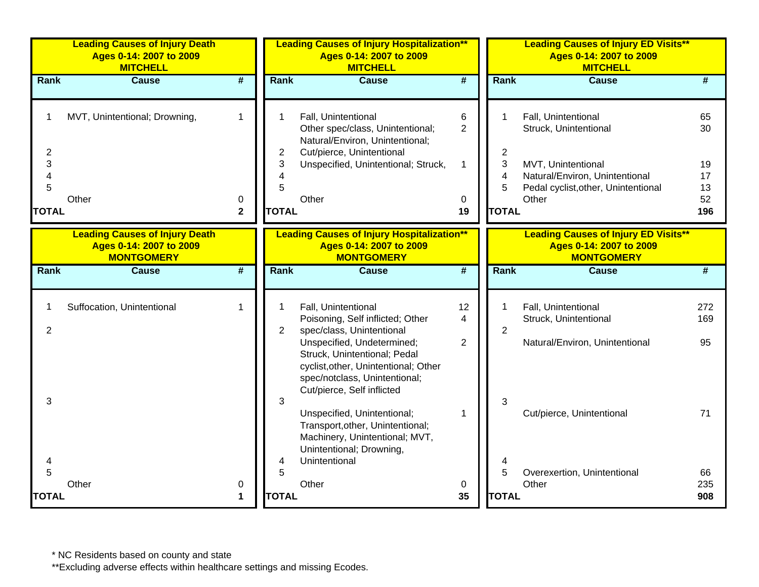|                                                     | <b>Leading Causes of Injury Death</b><br>Ages 0-14: 2007 to 2009<br><b>MITCHELL</b>   |                             | <b>Leading Causes of Injury Hospitalization**</b><br>Ages 0-14: 2007 to 2009<br><b>MITCHELL</b> |                                                                                                                                                                   |                             |                   | <b>Leading Causes of Injury ED Visits**</b><br>Ages 0-14: 2007 to 2009<br><b>MITCHELL</b>            |                      |  |  |
|-----------------------------------------------------|---------------------------------------------------------------------------------------|-----------------------------|-------------------------------------------------------------------------------------------------|-------------------------------------------------------------------------------------------------------------------------------------------------------------------|-----------------------------|-------------------|------------------------------------------------------------------------------------------------------|----------------------|--|--|
| Rank                                                | <b>Cause</b>                                                                          | #                           | Rank                                                                                            | <b>Cause</b>                                                                                                                                                      | #                           | Rank              | <b>Cause</b>                                                                                         | #                    |  |  |
| 1                                                   | MVT, Unintentional; Drowning,                                                         | $\mathbf{1}$                | 1                                                                                               | Fall, Unintentional<br>Other spec/class, Unintentional;<br>Natural/Environ, Unintentional;                                                                        | $\,6$<br>2                  | 1                 | Fall, Unintentional<br>Struck, Unintentional                                                         | 65<br>30             |  |  |
| $\overline{2}$<br>3<br>$\overline{\mathbf{4}}$<br>5 | Other                                                                                 | 0                           | 2<br>3<br>4<br>5                                                                                | Cut/pierce, Unintentional<br>Unspecified, Unintentional; Struck,<br>Other                                                                                         | 1<br>0                      | 2<br>3<br>4<br>5  | MVT, Unintentional<br>Natural/Environ, Unintentional<br>Pedal cyclist, other, Unintentional<br>Other | 19<br>17<br>13<br>52 |  |  |
| <b>TOTAL</b>                                        |                                                                                       | $\mathbf{2}$                | <b>TOTAL</b>                                                                                    |                                                                                                                                                                   | 19                          | <b>TOTAL</b>      |                                                                                                      | 196                  |  |  |
|                                                     | <b>Leading Causes of Injury Death</b><br>Ages 0-14: 2007 to 2009<br><b>MONTGOMERY</b> |                             |                                                                                                 | <b>Leading Causes of Injury Hospitalization**</b><br>Ages 0-14: 2007 to 2009<br><b>MONTGOMERY</b>                                                                 |                             |                   | <b>Leading Causes of Injury ED Visits**</b><br>Ages 0-14: 2007 to 2009<br><b>MONTGOMERY</b>          |                      |  |  |
| Rank                                                | <b>Cause</b>                                                                          | $\overline{\boldsymbol{t}}$ | Rank                                                                                            | <b>Cause</b>                                                                                                                                                      | $\overline{\boldsymbol{t}}$ | Rank              | <b>Cause</b>                                                                                         | #                    |  |  |
| 1<br>2                                              | Suffocation, Unintentional                                                            | $\mathbf 1$                 | $\overline{2}$                                                                                  | Fall, Unintentional<br>Poisoning, Self inflicted; Other<br>spec/class, Unintentional                                                                              | 12<br>4                     | 1<br>2            | Fall, Unintentional<br>Struck, Unintentional                                                         | 272<br>169           |  |  |
|                                                     |                                                                                       |                             |                                                                                                 | Unspecified, Undetermined;<br>Struck, Unintentional; Pedal<br>cyclist, other, Unintentional; Other<br>spec/notclass, Unintentional;<br>Cut/pierce, Self inflicted | 2                           |                   | Natural/Environ, Unintentional                                                                       | 95                   |  |  |
| 3                                                   |                                                                                       |                             | 3                                                                                               | Unspecified, Unintentional;<br>Transport, other, Unintentional;<br>Machinery, Unintentional; MVT,<br>Unintentional; Drowning,                                     | $\mathbf{1}$                | 3                 | Cut/pierce, Unintentional                                                                            | 71                   |  |  |
| 4<br>5<br><b>TOTAL</b>                              | Other                                                                                 | 0<br>$\blacktriangleleft$   | 4<br>5<br><b>TOTAL</b>                                                                          | Unintentional<br>Other                                                                                                                                            | 0<br>35                     | 5<br><b>TOTAL</b> | Overexertion, Unintentional<br>Other                                                                 | 66<br>235<br>908     |  |  |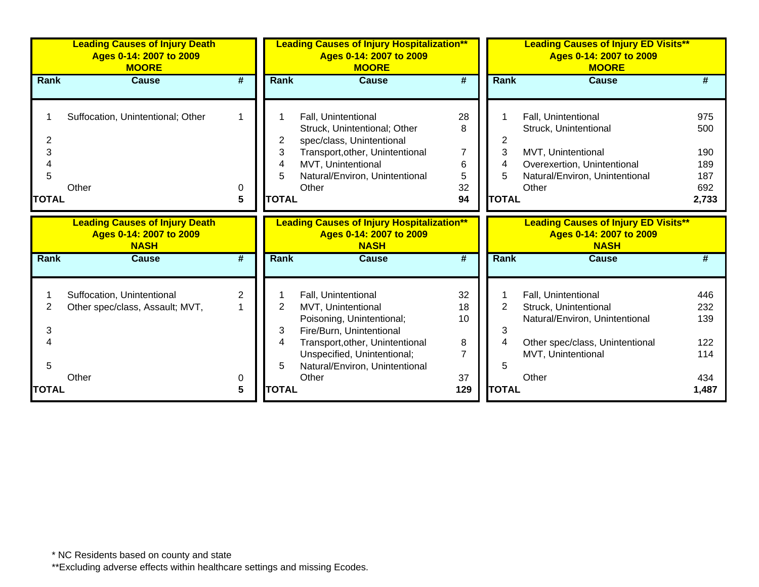|                                  | <b>Leading Causes of Injury Death</b><br>Ages 0-14: 2007 to 2009<br><b>MOORE</b> |                            | <b>Leading Causes of Injury Hospitalization**</b><br>Ages 0-14: 2007 to 2009<br><b>MOORE</b> |                                                                                                                                                                                                                 |                                                          |                                               | <b>Leading Causes of Injury ED Visits**</b><br>Ages 0-14: 2007 to 2009<br><b>MOORE</b>                                                           |                                                 |  |  |
|----------------------------------|----------------------------------------------------------------------------------|----------------------------|----------------------------------------------------------------------------------------------|-----------------------------------------------------------------------------------------------------------------------------------------------------------------------------------------------------------------|----------------------------------------------------------|-----------------------------------------------|--------------------------------------------------------------------------------------------------------------------------------------------------|-------------------------------------------------|--|--|
| Rank                             | <b>Cause</b>                                                                     | #                          | <b>Rank</b>                                                                                  | Cause                                                                                                                                                                                                           | #                                                        | <b>Rank</b>                                   | Cause                                                                                                                                            |                                                 |  |  |
| 2<br>3<br>4<br>5<br><b>TOTAL</b> | Suffocation, Unintentional; Other<br>Other                                       | -1<br>0<br>$5\phantom{.0}$ | 2<br>3<br>4<br>5<br><b>TOTAL</b>                                                             | Fall, Unintentional<br>Struck, Unintentional; Other<br>spec/class, Unintentional<br>Transport, other, Unintentional<br>MVT, Unintentional<br>Natural/Environ, Unintentional<br>Other                            | 28<br>8<br>$\overline{7}$<br>6<br>$\sqrt{5}$<br>32<br>94 | 2<br>3<br>4<br>5<br><b>TOTAL</b>              | Fall, Unintentional<br>Struck, Unintentional<br>MVT, Unintentional<br>Overexertion, Unintentional<br>Natural/Environ, Unintentional<br>Other     | 975<br>500<br>190<br>189<br>187<br>692<br>2,733 |  |  |
|                                  | <b>Leading Causes of Injury Death</b>                                            |                            |                                                                                              | <b>Leading Causes of Injury Hospitalization**</b>                                                                                                                                                               |                                                          |                                               | <b>Leading Causes of Injury ED Visits**</b>                                                                                                      |                                                 |  |  |
|                                  | Ages 0-14: 2007 to 2009<br><b>NASH</b>                                           |                            |                                                                                              | Ages 0-14: 2007 to 2009<br><b>NASH</b>                                                                                                                                                                          |                                                          |                                               | Ages 0-14: 2007 to 2009<br><b>NASH</b>                                                                                                           |                                                 |  |  |
| <b>Rank</b>                      | <b>Cause</b>                                                                     | #                          | Rank                                                                                         | <b>Cause</b>                                                                                                                                                                                                    | #                                                        | <b>Rank</b>                                   | <b>Cause</b>                                                                                                                                     |                                                 |  |  |
| 2<br>3<br>4<br>5<br><b>TOTAL</b> | Suffocation, Unintentional<br>Other spec/class, Assault; MVT,<br>Other           | 2<br>0<br>5                | 2<br>3<br>4<br>5<br><b>TOTAL</b>                                                             | Fall, Unintentional<br>MVT, Unintentional<br>Poisoning, Unintentional;<br>Fire/Burn, Unintentional<br>Transport, other, Unintentional<br>Unspecified, Unintentional;<br>Natural/Environ, Unintentional<br>Other | 32<br>18<br>10<br>8<br>$\overline{7}$<br>37<br>129       | $\overline{2}$<br>3<br>4<br>5<br><b>TOTAL</b> | Fall, Unintentional<br>Struck, Unintentional<br>Natural/Environ, Unintentional<br>Other spec/class, Unintentional<br>MVT, Unintentional<br>Other | 446<br>232<br>139<br>122<br>114<br>434<br>1,487 |  |  |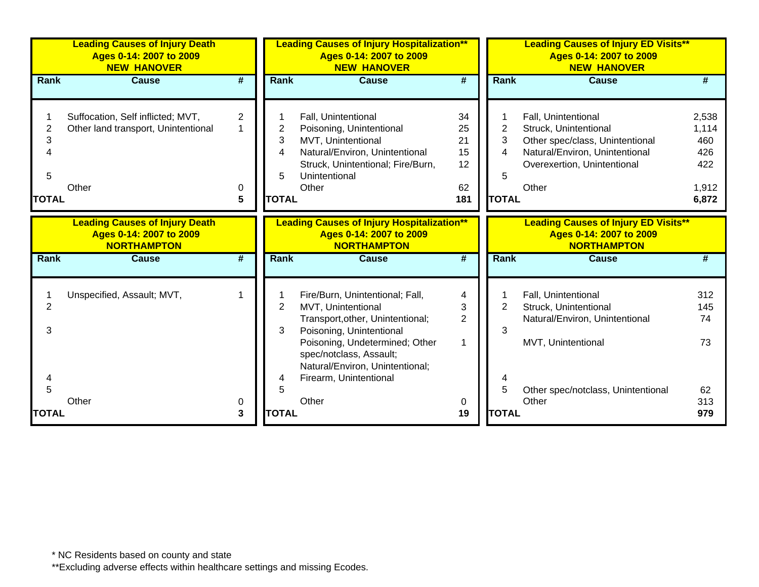|                             | <b>Leading Causes of Injury Death</b><br>Ages 0-14: 2007 to 2009<br><b>NEW HANOVER</b> |                                          |                                  | <b>Leading Causes of Injury Hospitalization**</b><br>Ages 0-14: 2007 to 2009<br><b>NEW HANOVER</b>                                                                                                                    |                                         |                                  | <b>Leading Causes of Injury ED Visits**</b><br>Ages 0-14: 2007 to 2009<br><b>NEW HANOVER</b>                                                              |                                                       |
|-----------------------------|----------------------------------------------------------------------------------------|------------------------------------------|----------------------------------|-----------------------------------------------------------------------------------------------------------------------------------------------------------------------------------------------------------------------|-----------------------------------------|----------------------------------|-----------------------------------------------------------------------------------------------------------------------------------------------------------|-------------------------------------------------------|
| <b>Rank</b>                 | <b>Cause</b>                                                                           | #                                        | <b>Rank</b>                      | <b>Cause</b>                                                                                                                                                                                                          | #                                       | <b>Rank</b>                      | <b>Cause</b>                                                                                                                                              | #                                                     |
| 2<br>3<br>5<br><b>TOTAL</b> | Suffocation, Self inflicted; MVT,<br>Other land transport, Unintentional<br>Other      | $\overline{2}$<br>$\mathbf{1}$<br>0<br>5 | 2<br>3<br>4<br>5<br><b>TOTAL</b> | Fall, Unintentional<br>Poisoning, Unintentional<br>MVT, Unintentional<br>Natural/Environ, Unintentional<br>Struck, Unintentional; Fire/Burn,<br>Unintentional<br>Other                                                | 34<br>25<br>21<br>15<br>12<br>62<br>181 | 2<br>3<br>4<br>5<br><b>TOTAL</b> | Fall, Unintentional<br>Struck, Unintentional<br>Other spec/class, Unintentional<br>Natural/Environ, Unintentional<br>Overexertion, Unintentional<br>Other | 2,538<br>1,114<br>460<br>426<br>422<br>1,912<br>6,872 |
|                             | <b>Leading Causes of Injury Death</b><br>Ages 0-14: 2007 to 2009<br><b>NORTHAMPTON</b> |                                          |                                  | <b>Leading Causes of Injury Hospitalization**</b><br>Ages 0-14: 2007 to 2009<br><b>NORTHAMPTON</b>                                                                                                                    |                                         |                                  | <b>Leading Causes of Injury ED Visits**</b><br>Ages 0-14: 2007 to 2009<br><b>NORTHAMPTON</b>                                                              |                                                       |
| <b>Rank</b>                 | <b>Cause</b>                                                                           | #                                        | <b>Rank</b>                      | <b>Cause</b>                                                                                                                                                                                                          | #                                       | <b>Rank</b>                      | <b>Cause</b>                                                                                                                                              |                                                       |
| 2<br>3                      | Unspecified, Assault; MVT,                                                             |                                          | 2<br>3                           | Fire/Burn, Unintentional; Fall,<br>MVT, Unintentional<br>Transport, other, Unintentional;<br>Poisoning, Unintentional<br>Poisoning, Undetermined; Other<br>spec/notclass, Assault;<br>Natural/Environ, Unintentional; | 4<br>3<br>$\overline{2}$<br>1           | 2<br>3                           | Fall, Unintentional<br>Struck, Unintentional<br>Natural/Environ, Unintentional<br>MVT, Unintentional                                                      | 312<br>145<br>74<br>73                                |
| 5<br><b>TOTAL</b>           | Other                                                                                  | 0<br>3                                   | 4<br>5<br><b>TOTAL</b>           | Firearm, Unintentional<br>Other                                                                                                                                                                                       | 0<br>19                                 | 5<br><b>TOTAL</b>                | Other spec/notclass, Unintentional<br>Other                                                                                                               | 62<br>313<br>979                                      |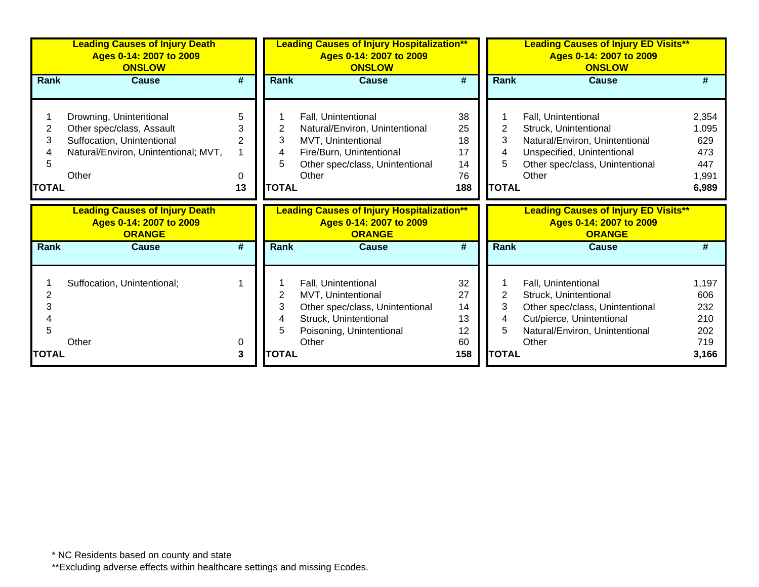|                             | <b>Leading Causes of Injury Death</b><br>Ages 0-14: 2007 to 2009<br><b>ONSLOW</b>                                                   |                                     |                                  | <b>Leading Causes of Injury Hospitalization**</b><br>Ages 0-14: 2007 to 2009<br><b>ONSLOW</b>                                                       |                                         |                                  | <b>Leading Causes of Injury ED Visits**</b><br>Ages 0-14: 2007 to 2009<br><b>ONSLOW</b>                                                                  |                                                       |
|-----------------------------|-------------------------------------------------------------------------------------------------------------------------------------|-------------------------------------|----------------------------------|-----------------------------------------------------------------------------------------------------------------------------------------------------|-----------------------------------------|----------------------------------|----------------------------------------------------------------------------------------------------------------------------------------------------------|-------------------------------------------------------|
| Rank                        | <b>Cause</b>                                                                                                                        | #                                   | Rank                             | <b>Cause</b>                                                                                                                                        | #                                       | Rank                             | <b>Cause</b>                                                                                                                                             | #                                                     |
| 2<br>3<br>5<br><b>TOTAL</b> | Drowning, Unintentional<br>Other spec/class, Assault<br>Suffocation, Unintentional<br>Natural/Environ, Unintentional; MVT,<br>Other | 5<br>3<br>$\overline{2}$<br>0<br>13 | 2<br>3<br>4<br>5<br><b>TOTAL</b> | Fall, Unintentional<br>Natural/Environ, Unintentional<br>MVT, Unintentional<br>Fire/Burn, Unintentional<br>Other spec/class, Unintentional<br>Other | 38<br>25<br>18<br>17<br>14<br>76<br>188 | 2<br>3<br>4<br>5<br><b>TOTAL</b> | Fall, Unintentional<br>Struck, Unintentional<br>Natural/Environ, Unintentional<br>Unspecified, Unintentional<br>Other spec/class, Unintentional<br>Other | 2,354<br>1,095<br>629<br>473<br>447<br>1,991<br>6,989 |
|                             |                                                                                                                                     |                                     |                                  |                                                                                                                                                     |                                         |                                  |                                                                                                                                                          |                                                       |
|                             | <b>Leading Causes of Injury Death</b><br>Ages 0-14: 2007 to 2009<br><b>ORANGE</b>                                                   |                                     |                                  | <b>Leading Causes of Injury Hospitalization**</b><br>Ages 0-14: 2007 to 2009<br><b>ORANGE</b>                                                       |                                         |                                  | <b>Leading Causes of Injury ED Visits**</b><br>Ages 0-14: 2007 to 2009<br><b>ORANGE</b>                                                                  |                                                       |
| <b>Rank</b>                 | <b>Cause</b>                                                                                                                        | #                                   | Rank                             | <b>Cause</b>                                                                                                                                        | #                                       | Rank                             | Cause                                                                                                                                                    | #                                                     |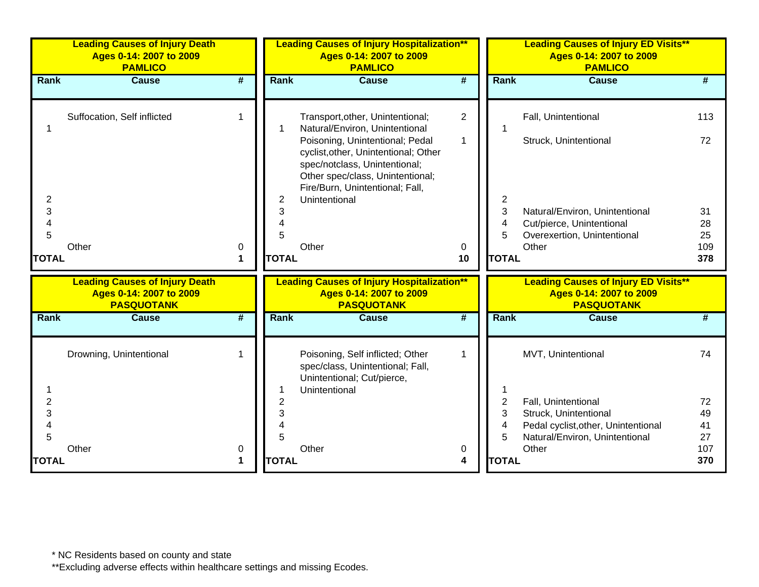|                | <b>Leading Causes of Injury Death</b><br>Ages 0-14: 2007 to 2009<br><b>PAMLICO</b>    |                             |              | <b>Leading Causes of Injury Hospitalization**</b><br>Ages 0-14: 2007 to 2009<br><b>PAMLICO</b>                                                                                                   |                             |              | <b>Leading Causes of Injury ED Visits**</b><br>Ages 0-14: 2007 to 2009<br><b>PAMLICO</b>    |           |
|----------------|---------------------------------------------------------------------------------------|-----------------------------|--------------|--------------------------------------------------------------------------------------------------------------------------------------------------------------------------------------------------|-----------------------------|--------------|---------------------------------------------------------------------------------------------|-----------|
| Rank           | <b>Cause</b>                                                                          | $\overline{\boldsymbol{t}}$ | Rank         | <b>Cause</b>                                                                                                                                                                                     | $\overline{\boldsymbol{t}}$ | Rank         | <b>Cause</b>                                                                                | #         |
|                | Suffocation, Self inflicted                                                           | 1                           |              | Transport, other, Unintentional;<br>Natural/Environ, Unintentional                                                                                                                               | $\overline{2}$              |              | Fall, Unintentional                                                                         | 113       |
| $\overline{c}$ |                                                                                       |                             | 2            | Poisoning, Unintentional; Pedal<br>cyclist, other, Unintentional; Other<br>spec/notclass, Unintentional;<br>Other spec/class, Unintentional;<br>Fire/Burn, Unintentional; Fall,<br>Unintentional | $\mathbf{1}$                | 2            | Struck, Unintentional                                                                       | 72        |
| 3              |                                                                                       |                             | 3            |                                                                                                                                                                                                  |                             | 3            | Natural/Environ, Unintentional                                                              | 31        |
| 4              |                                                                                       |                             | 4            |                                                                                                                                                                                                  |                             | 4            | Cut/pierce, Unintentional                                                                   | 28        |
| 5              | Other                                                                                 | 0                           | 5            | Other                                                                                                                                                                                            | 0                           | 5            | Overexertion, Unintentional<br>Other                                                        | 25<br>109 |
| <b>TOTAL</b>   |                                                                                       | 1                           | <b>TOTAL</b> |                                                                                                                                                                                                  | 10                          | <b>TOTAL</b> |                                                                                             | 378       |
|                | <b>Leading Causes of Injury Death</b><br>Ages 0-14: 2007 to 2009<br><b>PASQUOTANK</b> |                             |              | <b>Leading Causes of Injury Hospitalization**</b><br>Ages 0-14: 2007 to 2009<br><b>PASQUOTANK</b>                                                                                                |                             |              | <b>Leading Causes of Injury ED Visits**</b><br>Ages 0-14: 2007 to 2009<br><b>PASQUOTANK</b> |           |
| Rank           | <b>Cause</b>                                                                          | #                           | <b>Rank</b>  | <b>Cause</b>                                                                                                                                                                                     | #                           | <b>Rank</b>  | <b>Cause</b>                                                                                | #         |
|                | Drowning, Unintentional                                                               | 1                           |              | Poisoning, Self inflicted; Other<br>spec/class, Unintentional; Fall,<br>Unintentional; Cut/pierce,                                                                                               | 1                           |              | MVT, Unintentional                                                                          | 74        |
|                |                                                                                       |                             |              | Unintentional                                                                                                                                                                                    |                             |              |                                                                                             |           |
| $\overline{2}$ |                                                                                       |                             | 2            |                                                                                                                                                                                                  |                             | 2            | Fall, Unintentional                                                                         | 72        |
| 3              |                                                                                       |                             | 3            |                                                                                                                                                                                                  |                             | 3            | Struck, Unintentional                                                                       | 49        |
| 4              |                                                                                       |                             | 4            |                                                                                                                                                                                                  |                             | 4            | Pedal cyclist, other, Unintentional                                                         | 41        |
| 5              | Other                                                                                 | 0                           | 5            | Other                                                                                                                                                                                            | 0                           | 5            | Natural/Environ, Unintentional<br>Other                                                     | 27<br>107 |
| <b>TOTAL</b>   |                                                                                       | 1                           | <b>TOTAL</b> |                                                                                                                                                                                                  | 4                           | <b>TOTAL</b> |                                                                                             | 370       |
|                |                                                                                       |                             |              |                                                                                                                                                                                                  |                             |              |                                                                                             |           |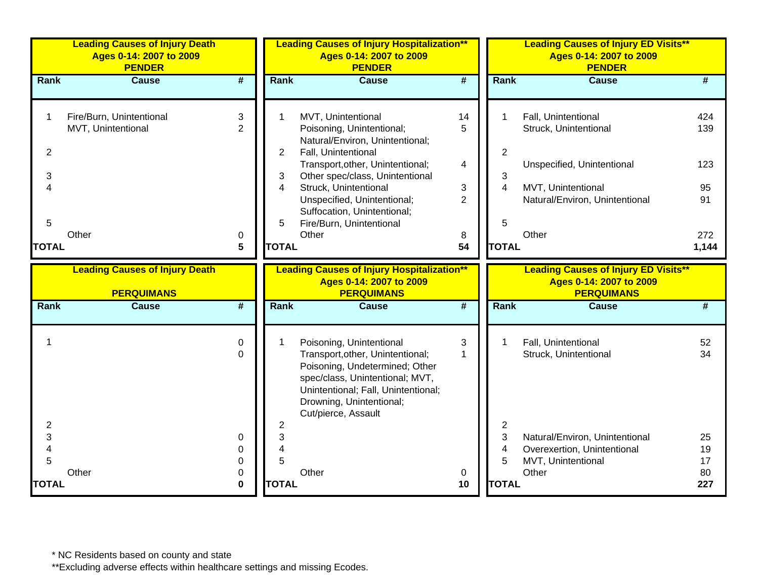|                               | <b>Leading Causes of Injury Death</b><br>Ages 0-14: 2007 to 2009<br><b>PENDER</b> |                              |                                          | <b>Leading Causes of Injury Hospitalization**</b><br>Ages 0-14: 2007 to 2009<br><b>PENDER</b>                                                                                                                                                                           |                                     |                                       | <b>Leading Causes of Injury ED Visits**</b><br>Ages 0-14: 2007 to 2009<br><b>PENDER</b>                                            |                               |
|-------------------------------|-----------------------------------------------------------------------------------|------------------------------|------------------------------------------|-------------------------------------------------------------------------------------------------------------------------------------------------------------------------------------------------------------------------------------------------------------------------|-------------------------------------|---------------------------------------|------------------------------------------------------------------------------------------------------------------------------------|-------------------------------|
| <b>Rank</b>                   | <b>Cause</b>                                                                      | #                            | <b>Rank</b>                              | <b>Cause</b>                                                                                                                                                                                                                                                            | #                                   | <b>Rank</b>                           | <b>Cause</b>                                                                                                                       | #                             |
| 1<br>$\overline{2}$<br>3<br>4 | Fire/Burn, Unintentional<br>MVT, Unintentional                                    | 3<br>$\overline{2}$          | $\overline{2}$<br>3<br>4                 | MVT, Unintentional<br>Poisoning, Unintentional;<br>Natural/Environ, Unintentional;<br>Fall, Unintentional<br>Transport, other, Unintentional;<br>Other spec/class, Unintentional<br>Struck, Unintentional<br>Unspecified, Unintentional;<br>Suffocation, Unintentional; | 14<br>5<br>4<br>3<br>$\overline{2}$ | $\overline{2}$<br>3<br>$\overline{4}$ | Fall, Unintentional<br>Struck, Unintentional<br>Unspecified, Unintentional<br>MVT, Unintentional<br>Natural/Environ, Unintentional | 424<br>139<br>123<br>95<br>91 |
| 5<br><b>TOTAL</b>             | Other                                                                             | 0<br>5                       | 5<br><b>TOTAL</b>                        | Fire/Burn, Unintentional<br>Other                                                                                                                                                                                                                                       | 8<br>54                             | 5<br><b>TOTAL</b>                     | Other                                                                                                                              | 272<br>1,144                  |
|                               | <b>Leading Causes of Injury Death</b><br><b>PERQUIMANS</b>                        |                              |                                          | <b>Leading Causes of Injury Hospitalization**</b><br>Ages 0-14: 2007 to 2009<br><b>PERQUIMANS</b>                                                                                                                                                                       |                                     |                                       | <b>Leading Causes of Injury ED Visits**</b><br>Ages 0-14: 2007 to 2009<br><b>PERQUIMANS</b>                                        |                               |
| Rank                          | <b>Cause</b>                                                                      | $\overline{\#}$              | Rank                                     | <b>Cause</b>                                                                                                                                                                                                                                                            | $\overline{\#}$                     | Rank                                  | <b>Cause</b>                                                                                                                       | #                             |
| 1<br>2                        |                                                                                   | 0<br>$\Omega$                | 1<br>$\overline{c}$                      | Poisoning, Unintentional<br>Transport, other, Unintentional;<br>Poisoning, Undetermined; Other<br>spec/class, Unintentional; MVT,<br>Unintentional; Fall, Unintentional;<br>Drowning, Unintentional;<br>Cut/pierce, Assault                                             | 3<br>$\mathbf 1$                    | 1<br>2                                | Fall, Unintentional<br>Struck, Unintentional                                                                                       | 52<br>34                      |
| 3<br>4<br>5<br><b>TOTAL</b>   | Other                                                                             | 0<br>0<br>0<br>0<br>$\bf{0}$ | 3<br>$\overline{4}$<br>5<br><b>TOTAL</b> | Other                                                                                                                                                                                                                                                                   | 0<br>10                             | 3<br>4<br>5<br><b>TOTAL</b>           | Natural/Environ, Unintentional<br>Overexertion, Unintentional<br>MVT, Unintentional<br>Other                                       | 25<br>19<br>17<br>80<br>227   |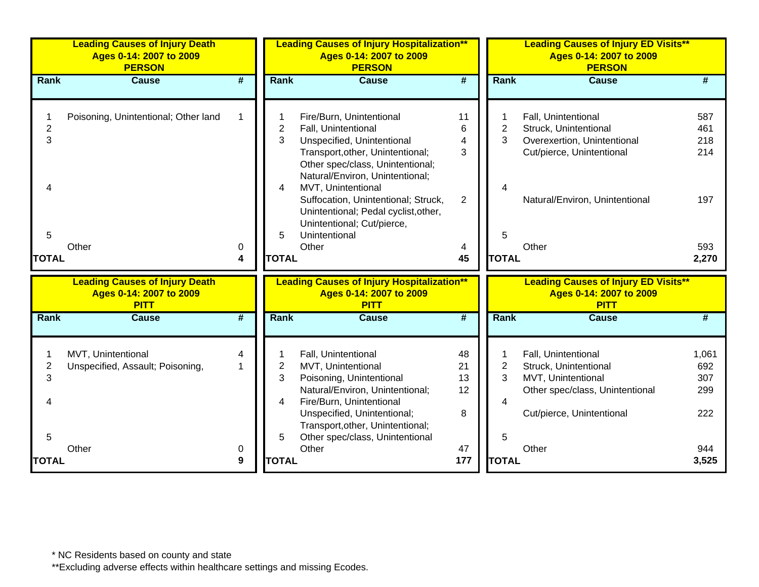|                             | <b>Leading Causes of Injury Death</b><br>Ages 0-14: 2007 to 2009<br><b>PERSON</b> |                             |                                  | <b>Leading Causes of Injury Hospitalization**</b><br>Ages 0-14: 2007 to 2009<br><b>PERSON</b>                                                                                                                                                                                                 |                                        |                                               | <b>Leading Causes of Injury ED Visits**</b><br>Ages 0-14: 2007 to 2009<br><b>PERSON</b>                                                     |                                                   |
|-----------------------------|-----------------------------------------------------------------------------------|-----------------------------|----------------------------------|-----------------------------------------------------------------------------------------------------------------------------------------------------------------------------------------------------------------------------------------------------------------------------------------------|----------------------------------------|-----------------------------------------------|---------------------------------------------------------------------------------------------------------------------------------------------|---------------------------------------------------|
| Rank                        | <b>Cause</b>                                                                      | $\overline{\boldsymbol{t}}$ | Rank                             | <b>Cause</b>                                                                                                                                                                                                                                                                                  | $\overline{\boldsymbol{t}}$            | Rank                                          | <b>Cause</b>                                                                                                                                |                                                   |
| $\overline{c}$<br>3         | Poisoning, Unintentional; Other land                                              | 1                           | $\overline{2}$<br>3<br>4         | Fire/Burn, Unintentional<br>Fall, Unintentional<br>Unspecified, Unintentional<br>Transport, other, Unintentional;<br>Other spec/class, Unintentional;<br>Natural/Environ, Unintentional;<br>MVT, Unintentional<br>Suffocation, Unintentional; Struck,<br>Unintentional; Pedal cyclist, other, | 11<br>6<br>4<br>3<br>$\overline{2}$    | 2<br>3                                        | Fall, Unintentional<br>Struck, Unintentional<br>Overexertion, Unintentional<br>Cut/pierce, Unintentional<br>Natural/Environ, Unintentional  | 587<br>461<br>218<br>214<br>197                   |
| 5<br><b>TOTAL</b>           | Other                                                                             | 0<br>4                      | 5<br><b>TOTAL</b>                | Unintentional; Cut/pierce,<br>Unintentional<br>Other                                                                                                                                                                                                                                          | 4<br>45                                | 5<br><b>TOTAL</b>                             | Other                                                                                                                                       | 593<br>2,270                                      |
|                             | <b>Leading Causes of Injury Death</b><br>Ages 0-14: 2007 to 2009<br><b>PITT</b>   |                             |                                  | <b>Leading Causes of Injury Hospitalization**</b><br>Ages 0-14: 2007 to 2009<br><b>PITT</b>                                                                                                                                                                                                   |                                        |                                               | <b>Leading Causes of Injury ED Visits**</b><br>Ages 0-14: 2007 to 2009<br><b>PITT</b>                                                       |                                                   |
| Rank                        | <b>Cause</b>                                                                      | #                           | Rank                             | <b>Cause</b>                                                                                                                                                                                                                                                                                  | $\overline{\boldsymbol{t}}$            | Rank                                          | <b>Cause</b>                                                                                                                                | #                                                 |
| 2<br>3<br>5<br><b>TOTAL</b> | MVT, Unintentional<br>Unspecified, Assault; Poisoning,<br>Other                   | 4<br>1<br>0<br>9            | 2<br>3<br>4<br>5<br><b>TOTAL</b> | Fall, Unintentional<br>MVT, Unintentional<br>Poisoning, Unintentional<br>Natural/Environ, Unintentional;<br>Fire/Burn, Unintentional<br>Unspecified, Unintentional;<br>Transport, other, Unintentional;<br>Other spec/class, Unintentional<br>Other                                           | 48<br>21<br>13<br>12<br>8<br>47<br>177 | $\overline{2}$<br>3<br>4<br>5<br><b>TOTAL</b> | Fall, Unintentional<br>Struck, Unintentional<br>MVT, Unintentional<br>Other spec/class, Unintentional<br>Cut/pierce, Unintentional<br>Other | 1,061<br>692<br>307<br>299<br>222<br>944<br>3,525 |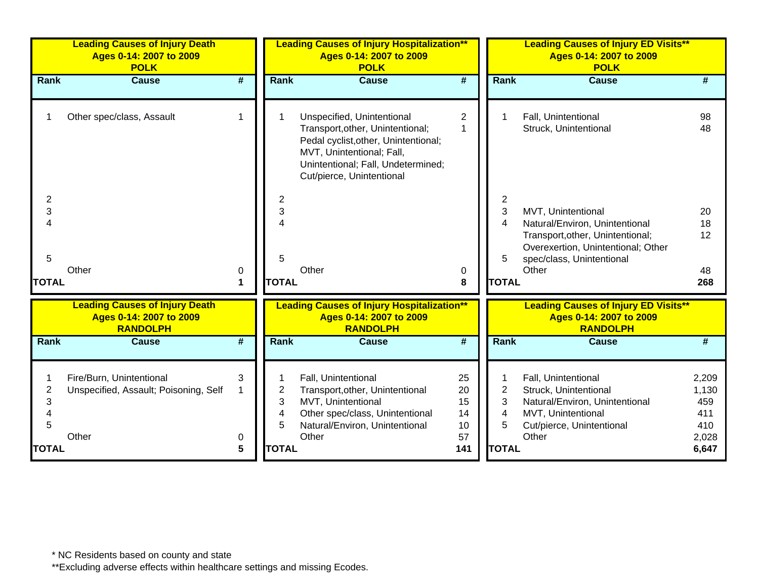|                               | <b>Leading Causes of Injury Death</b><br>Ages 0-14: 2007 to 2009<br><b>POLK</b>     |                             | <b>Leading Causes of Injury Hospitalization**</b><br>Ages 0-14: 2007 to 2009<br><b>POLK</b><br>$\overline{\boldsymbol{t}}$<br>Rank<br><b>Cause</b> |                                                                                                                                                                                                        |                                  | <b>Leading Causes of Injury ED Visits**</b><br>Ages 0-14: 2007 to 2009<br><b>POLK</b> |                                                                                                                                                                      |                                     |  |
|-------------------------------|-------------------------------------------------------------------------------------|-----------------------------|----------------------------------------------------------------------------------------------------------------------------------------------------|--------------------------------------------------------------------------------------------------------------------------------------------------------------------------------------------------------|----------------------------------|---------------------------------------------------------------------------------------|----------------------------------------------------------------------------------------------------------------------------------------------------------------------|-------------------------------------|--|
| Rank                          | <b>Cause</b>                                                                        | $\overline{\boldsymbol{t}}$ |                                                                                                                                                    |                                                                                                                                                                                                        |                                  | Rank                                                                                  | <b>Cause</b>                                                                                                                                                         | #                                   |  |
|                               | Other spec/class, Assault                                                           | 1                           |                                                                                                                                                    | Unspecified, Unintentional<br>Transport, other, Unintentional;<br>Pedal cyclist, other, Unintentional;<br>MVT, Unintentional; Fall,<br>Unintentional; Fall, Undetermined;<br>Cut/pierce, Unintentional | $\overline{2}$<br>1              |                                                                                       | Fall, Unintentional<br>Struck, Unintentional                                                                                                                         | 98<br>48                            |  |
| 2<br>3<br>5<br><b>TOTAL</b>   | Other                                                                               | 0<br>1                      | $\overline{2}$<br>3<br>4<br>5<br><b>TOTAL</b>                                                                                                      | Other                                                                                                                                                                                                  | 0<br>8                           | $\overline{2}$<br>3<br>4<br>5<br><b>TOTAL</b>                                         | MVT, Unintentional<br>Natural/Environ, Unintentional<br>Transport, other, Unintentional;<br>Overexertion, Unintentional; Other<br>spec/class, Unintentional<br>Other | 20<br>18<br>12<br>48<br>268         |  |
|                               | <b>Leading Causes of Injury Death</b><br>Ages 0-14: 2007 to 2009<br><b>RANDOLPH</b> |                             |                                                                                                                                                    | <b>Leading Causes of Injury Hospitalization**</b><br>Ages 0-14: 2007 to 2009<br><b>RANDOLPH</b>                                                                                                        |                                  |                                                                                       | <b>Leading Causes of Injury ED Visits**</b><br>Ages 0-14: 2007 to 2009<br><b>RANDOLPH</b>                                                                            |                                     |  |
| Rank                          | <b>Cause</b>                                                                        | #                           | Rank                                                                                                                                               | <b>Cause</b>                                                                                                                                                                                           | #                                | Rank                                                                                  | <b>Cause</b>                                                                                                                                                         | #                                   |  |
| $\overline{2}$<br>3<br>4<br>5 | Fire/Burn, Unintentional<br>Unspecified, Assault; Poisoning, Self<br>Other          | 3                           | 2<br>3<br>4<br>5                                                                                                                                   | Fall, Unintentional<br>Transport, other, Unintentional<br>MVT, Unintentional<br>Other spec/class, Unintentional<br>Natural/Environ, Unintentional<br>Other                                             | 25<br>20<br>15<br>14<br>10<br>57 | $\overline{2}$<br>3<br>4<br>5                                                         | Fall, Unintentional<br>Struck, Unintentional<br>Natural/Environ, Unintentional<br>MVT, Unintentional<br>Cut/pierce, Unintentional<br>Other                           | 2,209<br>1,130<br>459<br>411<br>410 |  |
| <b>TOTAL</b>                  |                                                                                     | 0<br>5                      | <b>TOTAL</b>                                                                                                                                       |                                                                                                                                                                                                        | 141                              | <b>TOTAL</b>                                                                          |                                                                                                                                                                      | 2,028<br>6,647                      |  |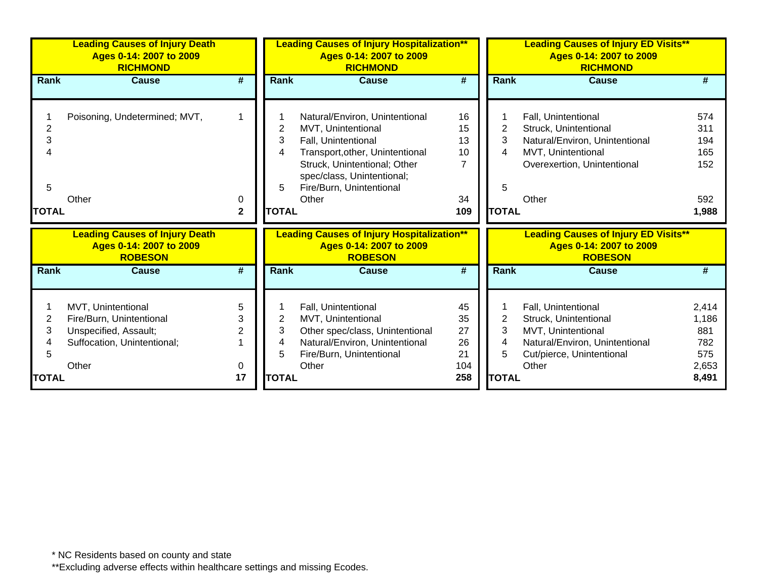|                                          | <b>Leading Causes of Injury Death</b><br>Ages 0-14: 2007 to 2009<br><b>RICHMOND</b>                             |                   | <b>Leading Causes of Injury Hospitalization**</b><br>Ages 0-14: 2007 to 2009<br><b>RICHMOND</b> |                                                                                                                                                                                                                   |                                          | <b>Leading Causes of Injury ED Visits**</b><br>Ages 0-14: 2007 to 2009<br><b>RICHMOND</b> |                                                                                                                                              |                                                       |  |
|------------------------------------------|-----------------------------------------------------------------------------------------------------------------|-------------------|-------------------------------------------------------------------------------------------------|-------------------------------------------------------------------------------------------------------------------------------------------------------------------------------------------------------------------|------------------------------------------|-------------------------------------------------------------------------------------------|----------------------------------------------------------------------------------------------------------------------------------------------|-------------------------------------------------------|--|
| <b>Rank</b>                              | <b>Cause</b>                                                                                                    | #                 | <b>Rank</b>                                                                                     | Cause                                                                                                                                                                                                             | #                                        | Rank                                                                                      | <b>Cause</b>                                                                                                                                 |                                                       |  |
| $\overline{2}$<br>3<br>5<br><b>TOTAL</b> | Poisoning, Undetermined; MVT,<br>Other                                                                          | 0<br>$\mathbf{2}$ | 2<br>3<br>4<br>5<br><b>TOTAL</b>                                                                | Natural/Environ, Unintentional<br>MVT, Unintentional<br>Fall, Unintentional<br>Transport, other, Unintentional<br>Struck, Unintentional; Other<br>spec/class, Unintentional;<br>Fire/Burn, Unintentional<br>Other | 16<br>15<br>13<br>10<br>7<br>34<br>109   | 2<br>3<br>4<br>5<br><b>TOTAL</b>                                                          | Fall, Unintentional<br>Struck, Unintentional<br>Natural/Environ, Unintentional<br>MVT, Unintentional<br>Overexertion, Unintentional<br>Other | 574<br>311<br>194<br>165<br>152<br>592<br>1,988       |  |
|                                          | <b>Leading Causes of Injury Death</b><br>Ages 0-14: 2007 to 2009<br><b>ROBESON</b>                              |                   |                                                                                                 | <b>Leading Causes of Injury Hospitalization**</b><br>Ages 0-14: 2007 to 2009<br><b>ROBESON</b>                                                                                                                    |                                          |                                                                                           | <b>Leading Causes of Injury ED Visits**</b><br>Ages 0-14: 2007 to 2009<br><b>ROBESON</b>                                                     |                                                       |  |
| <b>Rank</b>                              | Cause                                                                                                           | #                 | <b>Rank</b>                                                                                     | <b>Cause</b>                                                                                                                                                                                                      | #                                        | <b>Rank</b>                                                                               | <b>Cause</b>                                                                                                                                 |                                                       |  |
| 2<br>3<br>5<br><b>TOTAL</b>              | MVT, Unintentional<br>Fire/Burn, Unintentional<br>Unspecified, Assault;<br>Suffocation, Unintentional;<br>Other | 5<br>3<br>0<br>17 | 2<br>3<br>4<br>5<br><b>TOTAL</b>                                                                | Fall, Unintentional<br>MVT, Unintentional<br>Other spec/class, Unintentional<br>Natural/Environ, Unintentional<br>Fire/Burn, Unintentional<br>Other                                                               | 45<br>35<br>27<br>26<br>21<br>104<br>258 | 2<br>3<br>4<br>5<br><b>TOTAL</b>                                                          | Fall, Unintentional<br>Struck, Unintentional<br>MVT, Unintentional<br>Natural/Environ, Unintentional<br>Cut/pierce, Unintentional<br>Other   | 2,414<br>1,186<br>881<br>782<br>575<br>2,653<br>8,491 |  |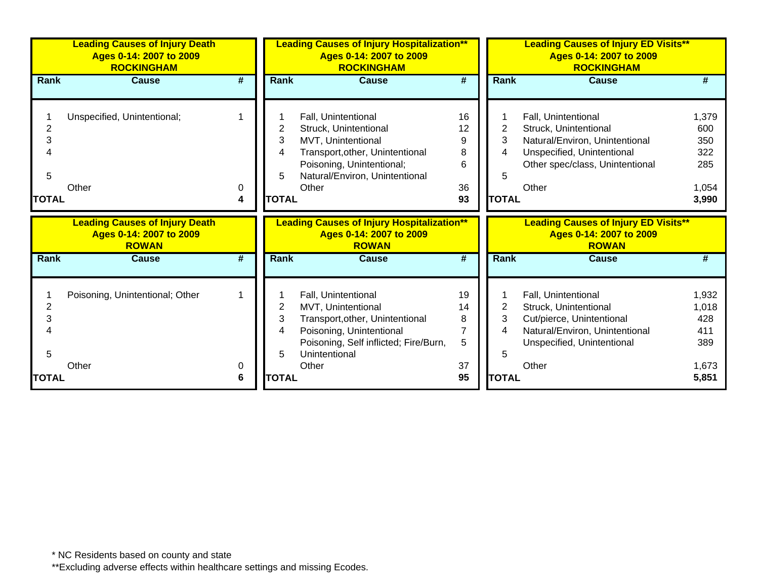|                                          | <b>Leading Causes of Injury Death</b><br>Ages 0-14: 2007 to 2009<br><b>ROCKINGHAM</b> |        | <b>Leading Causes of Injury Hospitalization**</b><br>Ages 0-14: 2007 to 2009<br><b>ROCKINGHAM</b> |                                                                                                                                                                               |                                     | <b>Leading Causes of Injury ED Visits**</b><br>Ages 0-14: 2007 to 2009<br><b>ROCKINGHAM</b> |                                                                                                                                                          |                                                     |  |
|------------------------------------------|---------------------------------------------------------------------------------------|--------|---------------------------------------------------------------------------------------------------|-------------------------------------------------------------------------------------------------------------------------------------------------------------------------------|-------------------------------------|---------------------------------------------------------------------------------------------|----------------------------------------------------------------------------------------------------------------------------------------------------------|-----------------------------------------------------|--|
| Rank                                     | <b>Cause</b>                                                                          | #      | <b>Rank</b>                                                                                       | <b>Cause</b>                                                                                                                                                                  | $\overline{\boldsymbol{r}}$         | Rank                                                                                        | <b>Cause</b>                                                                                                                                             |                                                     |  |
| $\overline{c}$<br>3<br>5<br><b>TOTAL</b> | Unspecified, Unintentional;<br>Other                                                  | 0<br>4 | 2<br>3<br>4<br>5<br><b>TOTAL</b>                                                                  | Fall, Unintentional<br>Struck, Unintentional<br>MVT, Unintentional<br>Transport, other, Unintentional<br>Poisoning, Unintentional;<br>Natural/Environ, Unintentional<br>Other | 16<br>12<br>9<br>8<br>6<br>36<br>93 | 2<br>3<br>4<br>5<br><b>TOTAL</b>                                                            | Fall, Unintentional<br>Struck, Unintentional<br>Natural/Environ, Unintentional<br>Unspecified, Unintentional<br>Other spec/class, Unintentional<br>Other | 1,379<br>600<br>350<br>322<br>285<br>1,054<br>3,990 |  |
|                                          |                                                                                       |        |                                                                                                   |                                                                                                                                                                               |                                     |                                                                                             |                                                                                                                                                          |                                                     |  |
|                                          | <b>Leading Causes of Injury Death</b><br>Ages 0-14: 2007 to 2009<br><b>ROWAN</b>      |        |                                                                                                   | <b>Leading Causes of Injury Hospitalization**</b><br>Ages 0-14: 2007 to 2009<br><b>ROWAN</b>                                                                                  |                                     |                                                                                             | <b>Leading Causes of Injury ED Visits**</b><br>Ages 0-14: 2007 to 2009<br><b>ROWAN</b>                                                                   |                                                     |  |
| Rank                                     | <b>Cause</b>                                                                          | #      | <b>Rank</b>                                                                                       | <b>Cause</b>                                                                                                                                                                  | #                                   | <b>Rank</b>                                                                                 | <b>Cause</b>                                                                                                                                             |                                                     |  |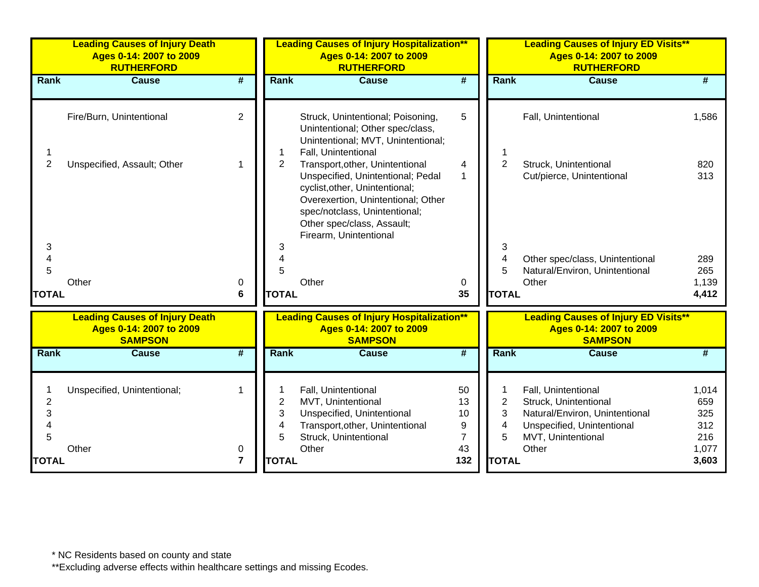|                          | <b>Leading Causes of Injury Death</b><br>Ages 0-14: 2007 to 2009<br><b>RUTHERFORD</b> |                             |                               | <b>Leading Causes of Injury Hospitalization**</b><br>Ages 0-14: 2007 to 2009<br><b>RUTHERFORD</b>                                                                                                                                     |                             |                               | <b>Leading Causes of Injury ED Visits**</b><br>Ages 0-14: 2007 to 2009<br><b>RUTHERFORD</b>                                        |                                   |
|--------------------------|---------------------------------------------------------------------------------------|-----------------------------|-------------------------------|---------------------------------------------------------------------------------------------------------------------------------------------------------------------------------------------------------------------------------------|-----------------------------|-------------------------------|------------------------------------------------------------------------------------------------------------------------------------|-----------------------------------|
| Rank                     | <b>Cause</b>                                                                          | $\overline{\boldsymbol{r}}$ | Rank                          | <b>Cause</b>                                                                                                                                                                                                                          | $\overline{\boldsymbol{t}}$ | Rank                          | <b>Cause</b>                                                                                                                       | #                                 |
|                          | Fire/Burn, Unintentional                                                              | $\overline{2}$              |                               | Struck, Unintentional; Poisoning,<br>Unintentional; Other spec/class,<br>Unintentional; MVT, Unintentional;<br>Fall, Unintentional                                                                                                    | 5                           |                               | Fall, Unintentional                                                                                                                | 1,586                             |
| $\overline{c}$           | Unspecified, Assault; Other                                                           | 1                           | $\overline{2}$                | Transport, other, Unintentional<br>Unspecified, Unintentional; Pedal<br>cyclist, other, Unintentional;<br>Overexertion, Unintentional; Other<br>spec/notclass, Unintentional;<br>Other spec/class, Assault;<br>Firearm, Unintentional | 4<br>$\mathbf{1}$           | $\overline{2}$                | Struck, Unintentional<br>Cut/pierce, Unintentional                                                                                 | 820<br>313                        |
| 3<br>5                   |                                                                                       |                             | 3<br>4<br>5                   |                                                                                                                                                                                                                                       |                             | 3<br>4<br>5                   | Other spec/class, Unintentional<br>Natural/Environ, Unintentional                                                                  | 289<br>265                        |
| <b>TOTAL</b>             | Other                                                                                 | 0<br>6                      | <b>TOTAL</b>                  | Other                                                                                                                                                                                                                                 | 0<br>35                     | <b>TOTAL</b>                  | Other                                                                                                                              | 1,139<br>4,412                    |
|                          | <b>Leading Causes of Injury Death</b><br>Ages 0-14: 2007 to 2009<br><b>SAMPSON</b>    |                             |                               | <b>Leading Causes of Injury Hospitalization**</b><br>Ages 0-14: 2007 to 2009<br><b>SAMPSON</b>                                                                                                                                        |                             |                               | <b>Leading Causes of Injury ED Visits**</b><br>Ages 0-14: 2007 to 2009<br><b>SAMPSON</b>                                           |                                   |
| Rank                     | <b>Cause</b>                                                                          | #                           | <b>Rank</b>                   | <b>Cause</b>                                                                                                                                                                                                                          | #                           | Rank                          | <b>Cause</b>                                                                                                                       | #                                 |
| $\overline{c}$<br>3<br>5 | Unspecified, Unintentional;                                                           | 1                           | $\overline{2}$<br>3<br>4<br>5 | Fall, Unintentional<br>MVT, Unintentional<br>Unspecified, Unintentional<br>Transport, other, Unintentional<br>Struck, Unintentional                                                                                                   | 50<br>13<br>10<br>9<br>7    | $\overline{2}$<br>3<br>4<br>5 | Fall, Unintentional<br>Struck, Unintentional<br>Natural/Environ, Unintentional<br>Unspecified, Unintentional<br>MVT, Unintentional | 1,014<br>659<br>325<br>312<br>216 |
| <b>TOTAL</b>             | Other                                                                                 | 0<br>$\overline{7}$         | <b>TOTAL</b>                  | Other                                                                                                                                                                                                                                 | 43<br>132                   | <b>TOTAL</b>                  | Other                                                                                                                              | 1,077<br>3,603                    |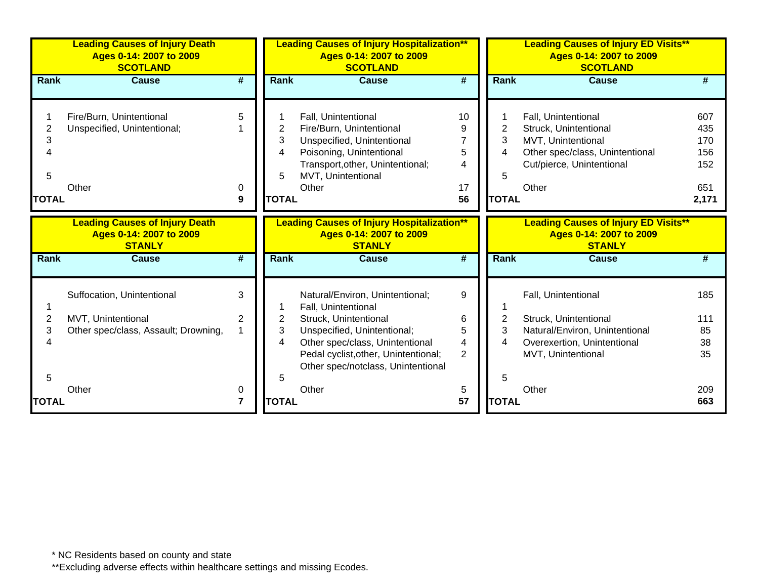|                                          | <b>Leading Causes of Injury Death</b><br>Ages 0-14: 2007 to 2009<br><b>SCOTLAND</b> |                             |                                  | <b>Leading Causes of Injury Hospitalization**</b><br>Ages 0-14: 2007 to 2009<br><b>SCOTLAND</b>                                                                              |                               |                                               | <b>Leading Causes of Injury ED Visits**</b><br>Ages 0-14: 2007 to 2009<br><b>SCOTLAND</b>                                                   |                                                 |
|------------------------------------------|-------------------------------------------------------------------------------------|-----------------------------|----------------------------------|------------------------------------------------------------------------------------------------------------------------------------------------------------------------------|-------------------------------|-----------------------------------------------|---------------------------------------------------------------------------------------------------------------------------------------------|-------------------------------------------------|
| Rank                                     | <b>Cause</b>                                                                        | $\overline{\boldsymbol{t}}$ | <b>Rank</b>                      | <b>Cause</b>                                                                                                                                                                 | $\overline{\boldsymbol{t}}$   | <b>Rank</b>                                   | <b>Cause</b>                                                                                                                                |                                                 |
| $\overline{2}$<br>3<br>5<br><b>TOTAL</b> | Fire/Burn, Unintentional<br>Unspecified, Unintentional;<br>Other                    | 5<br>0<br>9                 | 2<br>3<br>4<br>5<br><b>TOTAL</b> | Fall, Unintentional<br>Fire/Burn, Unintentional<br>Unspecified, Unintentional<br>Poisoning, Unintentional<br>Transport, other, Unintentional;<br>MVT, Unintentional<br>Other | 10<br>9<br>5<br>4<br>17<br>56 | $\overline{2}$<br>3<br>4<br>5<br><b>TOTAL</b> | Fall, Unintentional<br>Struck, Unintentional<br>MVT, Unintentional<br>Other spec/class, Unintentional<br>Cut/pierce, Unintentional<br>Other | 607<br>435<br>170<br>156<br>152<br>651<br>2,171 |
|                                          | <b>Leading Causes of Injury Death</b><br>Ages 0-14: 2007 to 2009<br><b>STANLY</b>   |                             |                                  | <b>Leading Causes of Injury Hospitalization**</b><br>Ages 0-14: 2007 to 2009<br><b>STANLY</b>                                                                                |                               |                                               | <b>Leading Causes of Injury ED Visits**</b><br>Ages 0-14: 2007 to 2009<br><b>STANLY</b>                                                     |                                                 |
| Rank                                     | <b>Cause</b>                                                                        | #                           | Rank                             | <b>Cause</b>                                                                                                                                                                 | #                             | <b>Rank</b>                                   | <b>Cause</b>                                                                                                                                | #                                               |
|                                          | Suffocation, Unintentional                                                          | 3                           |                                  | Natural/Environ, Unintentional;<br>Fall, Unintentional                                                                                                                       | 9                             |                                               | Fall, Unintentional                                                                                                                         | 185                                             |
| 2                                        | MVT, Unintentional                                                                  | 2                           | 2                                | Struck, Unintentional                                                                                                                                                        | 6                             | 2                                             | Struck, Unintentional                                                                                                                       | 111                                             |
| 3                                        | Other spec/class, Assault; Drowning,                                                |                             | 3                                | Unspecified, Unintentional;                                                                                                                                                  | 5                             | 3                                             | Natural/Environ, Unintentional                                                                                                              | 85                                              |
|                                          |                                                                                     |                             | 4                                | Other spec/class, Unintentional<br>Pedal cyclist, other, Unintentional;<br>Other spec/notclass, Unintentional                                                                | 4<br>2                        | 4                                             | Overexertion, Unintentional<br>MVT, Unintentional                                                                                           | 38<br>35                                        |
| 5                                        |                                                                                     |                             | 5                                |                                                                                                                                                                              |                               | 5                                             |                                                                                                                                             |                                                 |
|                                          | Other                                                                               | 0                           |                                  | Other                                                                                                                                                                        | 5                             |                                               | Other                                                                                                                                       | 209                                             |
| <b>TOTAL</b>                             |                                                                                     | 7                           | <b>TOTAL</b>                     |                                                                                                                                                                              | 57                            | <b>TOTAL</b>                                  |                                                                                                                                             | 663                                             |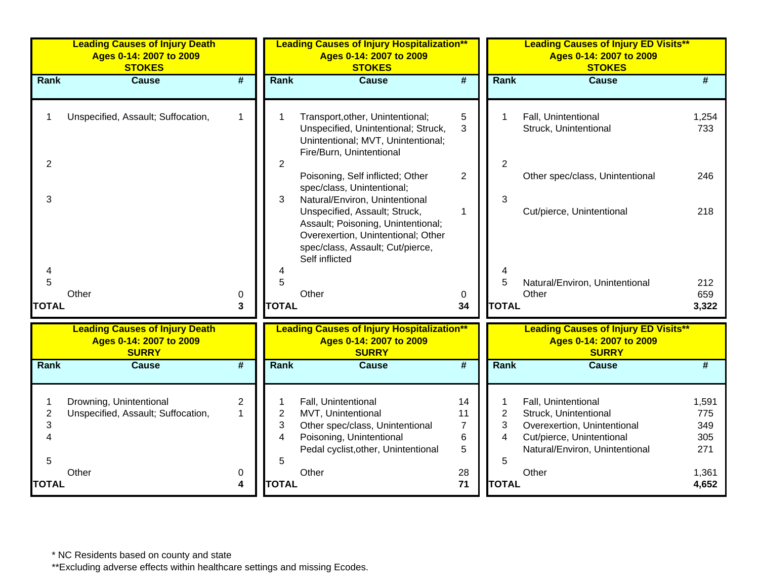|                               | <b>Leading Causes of Injury Death</b><br>Ages 0-14: 2007 to 2009<br><b>STOKES</b> |                             |                               | <b>Leading Causes of Injury Hospitalization**</b><br>Ages 0-14: 2007 to 2009<br><b>STOKES</b>                                                                                                     |                                      |                               | <b>Leading Causes of Injury ED Visits**</b><br>Ages 0-14: 2007 to 2009<br><b>STOKES</b>                                                    |                                   |
|-------------------------------|-----------------------------------------------------------------------------------|-----------------------------|-------------------------------|---------------------------------------------------------------------------------------------------------------------------------------------------------------------------------------------------|--------------------------------------|-------------------------------|--------------------------------------------------------------------------------------------------------------------------------------------|-----------------------------------|
| Rank                          | <b>Cause</b>                                                                      | $\overline{\boldsymbol{t}}$ | Rank                          | <b>Cause</b>                                                                                                                                                                                      | $\overline{\boldsymbol{t}}$          | <b>Rank</b>                   | <b>Cause</b>                                                                                                                               | #                                 |
|                               | Unspecified, Assault; Suffocation,                                                | 1                           |                               | Transport, other, Unintentional;<br>Unspecified, Unintentional; Struck,<br>Unintentional; MVT, Unintentional;<br>Fire/Burn, Unintentional                                                         | 5<br>3                               |                               | Fall, Unintentional<br>Struck, Unintentional                                                                                               | 1,254<br>733                      |
| $\overline{c}$                |                                                                                   |                             | $\overline{2}$                | Poisoning, Self inflicted; Other<br>spec/class, Unintentional;                                                                                                                                    | $\overline{2}$                       | $\overline{2}$                | Other spec/class, Unintentional                                                                                                            | 246                               |
| 3                             |                                                                                   |                             | 3                             | Natural/Environ, Unintentional<br>Unspecified, Assault; Struck,<br>Assault; Poisoning, Unintentional;<br>Overexertion, Unintentional; Other<br>spec/class, Assault; Cut/pierce,<br>Self inflicted | 1                                    | 3                             | Cut/pierce, Unintentional                                                                                                                  | 218                               |
| 5                             |                                                                                   |                             | 5                             |                                                                                                                                                                                                   |                                      | 5                             | Natural/Environ, Unintentional                                                                                                             | 212                               |
| <b>TOTAL</b>                  | Other                                                                             | 0<br>3                      | <b>TOTAL</b>                  | Other                                                                                                                                                                                             | 0<br>34                              | <b>TOTAL</b>                  | Other                                                                                                                                      | 659<br>3,322                      |
|                               | <b>Leading Causes of Injury Death</b><br>Ages 0-14: 2007 to 2009<br><b>SURRY</b>  |                             |                               | <b>Leading Causes of Injury Hospitalization**</b><br>Ages 0-14: 2007 to 2009<br><b>SURRY</b>                                                                                                      |                                      |                               | <b>Leading Causes of Injury ED Visits**</b><br>Ages 0-14: 2007 to 2009<br><b>SURRY</b>                                                     |                                   |
| Rank                          | <b>Cause</b>                                                                      | #                           | Rank                          | <b>Cause</b>                                                                                                                                                                                      | $\overline{\#}$                      | Rank                          | <b>Cause</b>                                                                                                                               | #                                 |
| $\overline{2}$<br>3<br>4<br>5 | Drowning, Unintentional<br>Unspecified, Assault; Suffocation,                     | 2<br>1                      | $\overline{2}$<br>3<br>4<br>5 | Fall, Unintentional<br>MVT, Unintentional<br>Other spec/class, Unintentional<br>Poisoning, Unintentional<br>Pedal cyclist, other, Unintentional                                                   | 14<br>11<br>$\overline{7}$<br>6<br>5 | $\overline{2}$<br>3<br>4<br>5 | Fall, Unintentional<br>Struck, Unintentional<br>Overexertion, Unintentional<br>Cut/pierce, Unintentional<br>Natural/Environ, Unintentional | 1,591<br>775<br>349<br>305<br>271 |
| <b>TOTAL</b>                  | Other                                                                             | 0<br>4                      | <b>TOTAL</b>                  | Other                                                                                                                                                                                             | 28<br>71                             | <b>TOTAL</b>                  | Other                                                                                                                                      | 1,361<br>4,652                    |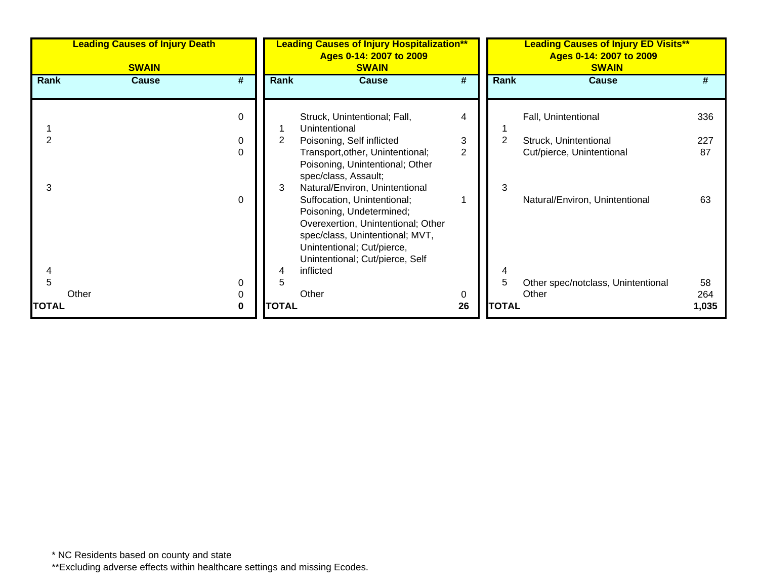|              | <b>Leading Causes of Injury Death</b><br><b>SWAIN</b> | <b>Leading Causes of Injury Hospitalization**</b><br>Ages 0-14: 2007 to 2009<br><b>SWAIN</b>                                                                                                      |    |              | <b>Leading Causes of Injury ED Visits**</b><br>Ages 0-14: 2007 to 2009<br><b>SWAIN</b> |       |  |  |
|--------------|-------------------------------------------------------|---------------------------------------------------------------------------------------------------------------------------------------------------------------------------------------------------|----|--------------|----------------------------------------------------------------------------------------|-------|--|--|
| Rank         | #<br><b>Cause</b>                                     | <b>Rank</b><br><b>Cause</b>                                                                                                                                                                       | #  | <b>Rank</b>  | <b>Cause</b>                                                                           |       |  |  |
|              | 0                                                     | Struck, Unintentional; Fall,<br>Unintentional                                                                                                                                                     | 4  |              | Fall, Unintentional                                                                    | 336   |  |  |
|              | 0                                                     | $\overline{2}$<br>Poisoning, Self inflicted                                                                                                                                                       | 3  | 2            | Struck, Unintentional                                                                  | 227   |  |  |
| 3            | $\Omega$                                              | Transport, other, Unintentional;<br>Poisoning, Unintentional; Other<br>spec/class, Assault;<br>Natural/Environ, Unintentional<br>3                                                                | 2  | 3            | Cut/pierce, Unintentional                                                              | 87    |  |  |
|              | $\Omega$                                              | Suffocation, Unintentional;<br>Poisoning, Undetermined;<br>Overexertion, Unintentional; Other<br>spec/class, Unintentional; MVT,<br>Unintentional; Cut/pierce,<br>Unintentional; Cut/pierce, Self |    |              | Natural/Environ, Unintentional                                                         | 63    |  |  |
|              | 0                                                     | inflicted<br>4<br>5                                                                                                                                                                               |    | 5            | Other spec/notclass, Unintentional                                                     | 58    |  |  |
|              | Other<br>0                                            | Other                                                                                                                                                                                             | 0  |              | Other                                                                                  | 264   |  |  |
| <b>TOTAL</b> | 0                                                     | <b>TOTAL</b>                                                                                                                                                                                      | 26 | <b>TOTAL</b> |                                                                                        | 1,035 |  |  |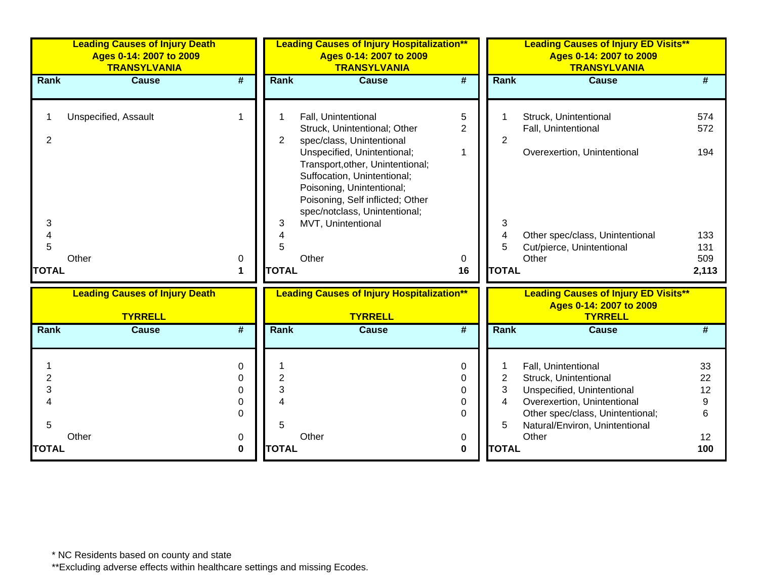| <b>Leading Causes of Injury Death</b><br>Ages 0-14: 2007 to 2009<br><b>TRANSYLVANIA</b> | <b>Leading Causes of Injury Hospitalization**</b><br>Ages 0-14: 2007 to 2009<br><b>TRANSYLVANIA</b> |                |                         | <b>Leading Causes of Injury ED Visits**</b><br>Ages 0-14: 2007 to 2009<br><b>TRANSYLVANIA</b> |              |  |  |
|-----------------------------------------------------------------------------------------|-----------------------------------------------------------------------------------------------------|----------------|-------------------------|-----------------------------------------------------------------------------------------------|--------------|--|--|
| <b>Cause</b><br>#<br>Rank                                                               | <b>Cause</b><br>Rank                                                                                | #              | Rank                    | <b>Cause</b>                                                                                  | #            |  |  |
|                                                                                         |                                                                                                     |                |                         |                                                                                               |              |  |  |
| Unspecified, Assault<br>$\mathbf 1$                                                     | Fall, Unintentional                                                                                 | 5              | 1                       | Struck, Unintentional                                                                         | 574          |  |  |
|                                                                                         | Struck, Unintentional; Other                                                                        | $\overline{2}$ |                         | Fall, Unintentional                                                                           | 572          |  |  |
| 2                                                                                       | spec/class, Unintentional<br>$\overline{2}$<br>Unspecified, Unintentional;                          | $\mathbf{1}$   | 2                       | Overexertion, Unintentional                                                                   | 194          |  |  |
|                                                                                         | Transport, other, Unintentional;                                                                    |                |                         |                                                                                               |              |  |  |
|                                                                                         | Suffocation, Unintentional;                                                                         |                |                         |                                                                                               |              |  |  |
|                                                                                         | Poisoning, Unintentional;                                                                           |                |                         |                                                                                               |              |  |  |
|                                                                                         | Poisoning, Self inflicted; Other<br>spec/notclass, Unintentional;                                   |                |                         |                                                                                               |              |  |  |
| 3                                                                                       | MVT, Unintentional<br>3                                                                             |                | 3                       |                                                                                               |              |  |  |
| 4                                                                                       | 4                                                                                                   |                | 4                       | Other spec/class, Unintentional                                                               | 133          |  |  |
| 5                                                                                       | 5                                                                                                   |                | 5                       | Cut/pierce, Unintentional                                                                     | 131          |  |  |
| Other<br>0<br><b>TOTAL</b><br>1                                                         | Other<br><b>TOTAL</b>                                                                               | 0<br>16        | <b>TOTAL</b>            | Other                                                                                         | 509<br>2,113 |  |  |
|                                                                                         |                                                                                                     |                |                         |                                                                                               |              |  |  |
| <b>Leading Causes of Injury Death</b>                                                   | <b>Leading Causes of Injury Hospitalization**</b>                                                   |                |                         | <b>Leading Causes of Injury ED Visits**</b>                                                   |              |  |  |
| <b>TYRRELL</b>                                                                          | <b>TYRRELL</b>                                                                                      |                |                         | Ages 0-14: 2007 to 2009<br><b>TYRRELL</b>                                                     |              |  |  |
| #<br>Rank<br><b>Cause</b>                                                               | Rank<br><b>Cause</b>                                                                                | #              | Rank                    | <b>Cause</b>                                                                                  | #            |  |  |
|                                                                                         |                                                                                                     |                |                         |                                                                                               |              |  |  |
| 0                                                                                       |                                                                                                     | $\mathbf 0$    | 1                       | Fall, Unintentional                                                                           | 33           |  |  |
| $\overline{2}$<br>0                                                                     | $\overline{2}$                                                                                      | $\mathbf 0$    | $\overline{2}$          | Struck, Unintentional                                                                         | 22           |  |  |
| 3<br>0                                                                                  | 3                                                                                                   | $\mathbf 0$    | 3                       | Unspecified, Unintentional                                                                    | 12           |  |  |
| 0<br>$\Omega$                                                                           | Δ                                                                                                   | 0<br>$\Omega$  | $\overline{\mathbf{4}}$ | Overexertion, Unintentional<br>Other spec/class, Unintentional;                               | 9<br>6       |  |  |
| 5                                                                                       | 5                                                                                                   |                | 5                       | Natural/Environ, Unintentional                                                                |              |  |  |
| Other<br>0                                                                              | Other                                                                                               | 0              |                         | Other                                                                                         | 12           |  |  |
| <b>TOTAL</b><br>0                                                                       | <b>TOTAL</b>                                                                                        | 0              | <b>TOTAL</b>            |                                                                                               | 100          |  |  |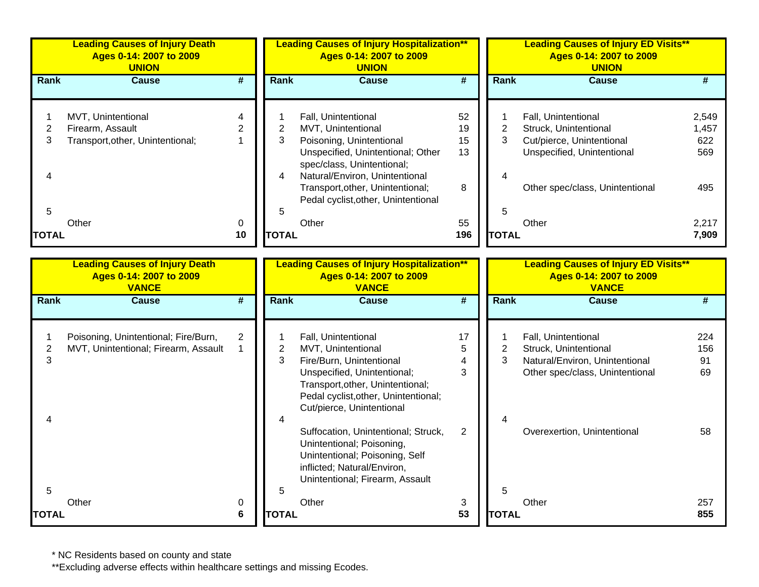|               | <b>Leading Causes of Injury Death</b><br>Ages 0-14: 2007 to 2009<br><b>UNION</b> |               | <b>Leading Causes of Injury Hospitalization**</b><br>Ages 0-14: 2007 to 2009<br><b>UNION</b> |                                                                                                           |           | <b>Leading Causes of Injury ED Visits**</b><br>Ages 0-14: 2007 to 2009<br><b>UNION</b> |              |                                                         |                |
|---------------|----------------------------------------------------------------------------------|---------------|----------------------------------------------------------------------------------------------|-----------------------------------------------------------------------------------------------------------|-----------|----------------------------------------------------------------------------------------|--------------|---------------------------------------------------------|----------------|
| <b>Rank</b>   | <b>Cause</b>                                                                     | #             | <b>Rank</b>                                                                                  | <b>Cause</b>                                                                                              | #         |                                                                                        | <b>Rank</b>  | <b>Cause</b>                                            |                |
|               | MVT, Unintentional<br>Firearm, Assault                                           | $\mathcal{P}$ |                                                                                              | Fall, Unintentional<br>MVT, Unintentional                                                                 | 52<br>19  |                                                                                        |              | Fall, Unintentional<br>Struck, Unintentional            | 2,549<br>1,457 |
| 3             | Transport, other, Unintentional;                                                 |               | 3                                                                                            | Poisoning, Unintentional<br>Unspecified, Unintentional; Other<br>spec/class, Unintentional;               | 15<br>13  |                                                                                        | 3.           | Cut/pierce, Unintentional<br>Unspecified, Unintentional | 622<br>569     |
| 4<br>5        |                                                                                  |               | 4<br>5                                                                                       | Natural/Environ, Unintentional<br>Transport, other, Unintentional;<br>Pedal cyclist, other, Unintentional | 8         |                                                                                        | 5            | Other spec/class, Unintentional                         | 495            |
| <b>ITOTAL</b> | Other                                                                            | 0<br>10       | <b>TOTAL</b>                                                                                 | Other                                                                                                     | 55<br>196 |                                                                                        | <b>TOTAL</b> | Other                                                   | 2,217<br>7,909 |

|              | <b>Leading Causes of Injury Death</b><br>Ages 0-14: 2007 to 2009<br><b>VANCE</b> |   |              | <b>Leading Causes of Injury Hospitalization**</b><br>Ages 0-14: 2007 to 2009<br><b>VANCE</b>                                                                                                                  |              |              | <b>Leading Causes of Injury ED Visits**</b><br>Ages 0-14: 2007 to 2009<br><b>VANCE</b>                            |                        |
|--------------|----------------------------------------------------------------------------------|---|--------------|---------------------------------------------------------------------------------------------------------------------------------------------------------------------------------------------------------------|--------------|--------------|-------------------------------------------------------------------------------------------------------------------|------------------------|
| Rank         | <b>Cause</b>                                                                     | # | Rank         | <b>Cause</b>                                                                                                                                                                                                  | #            | <b>Rank</b>  | <b>Cause</b>                                                                                                      |                        |
| 3<br>4       | Poisoning, Unintentional; Fire/Burn,<br>MVT, Unintentional; Firearm, Assault     | 2 | 2<br>3       | Fall, Unintentional<br>MVT, Unintentional<br>Fire/Burn, Unintentional<br>Unspecified, Unintentional;<br>Transport, other, Unintentional;<br>Pedal cyclist, other, Unintentional;<br>Cut/pierce, Unintentional | 17<br>5<br>3 | 2<br>3       | Fall, Unintentional<br>Struck, Unintentional<br>Natural/Environ, Unintentional<br>Other spec/class, Unintentional | 224<br>156<br>91<br>69 |
| 5            | Other                                                                            | 0 |              | Suffocation, Unintentional; Struck,<br>Unintentional; Poisoning,<br>Unintentional; Poisoning, Self<br>inflicted; Natural/Environ,<br>Unintentional; Firearm, Assault<br>Other                                 | 2<br>3       | 5            | Overexertion, Unintentional<br>Other                                                                              | 58<br>257              |
| <b>TOTAL</b> |                                                                                  | 6 | <b>TOTAL</b> |                                                                                                                                                                                                               | 53           | <b>TOTAL</b> |                                                                                                                   | 855                    |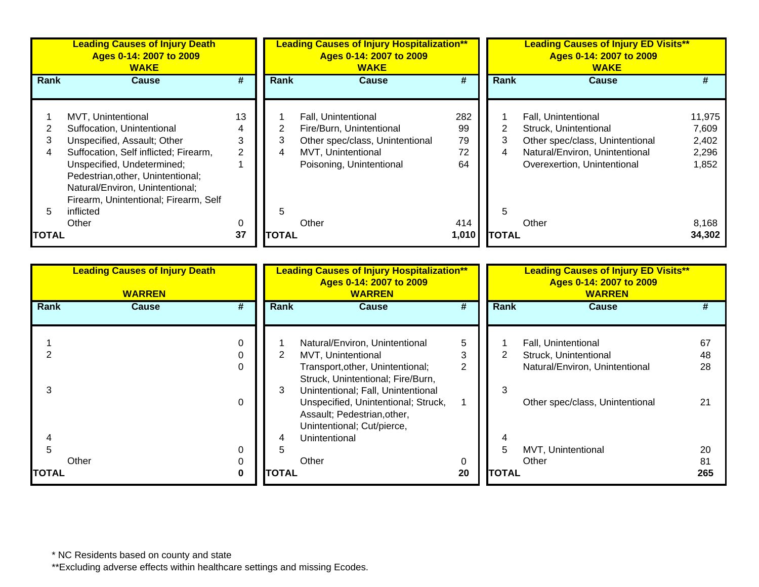|              | <b>Leading Causes of Injury Death</b><br>Ages 0-14: 2007 to 2009<br><b>WAKE</b> |    | <b>Leading Causes of Injury Hospitalization**</b><br>Ages 0-14: 2007 to 2009<br><b>WAKE</b> |                                 |       | <b>Leading Causes of Injury ED Visits**</b><br>Ages 0-14: 2007 to 2009<br><b>WAKE</b> |                                 |        |  |
|--------------|---------------------------------------------------------------------------------|----|---------------------------------------------------------------------------------------------|---------------------------------|-------|---------------------------------------------------------------------------------------|---------------------------------|--------|--|
| <b>Rank</b>  | <b>Cause</b>                                                                    | #  | <b>Rank</b>                                                                                 | Cause                           | #     | Rank                                                                                  | <b>Cause</b>                    | #      |  |
|              |                                                                                 |    |                                                                                             |                                 |       |                                                                                       |                                 |        |  |
|              | MVT, Unintentional                                                              | 13 |                                                                                             | Fall, Unintentional             | 282   |                                                                                       | Fall, Unintentional             | 11,975 |  |
|              | Suffocation, Unintentional                                                      | 4  |                                                                                             | Fire/Burn, Unintentional        | 99    | 2                                                                                     | Struck, Unintentional           | 7,609  |  |
|              | Unspecified, Assault; Other                                                     | 3  | 3                                                                                           | Other spec/class, Unintentional | 79    | 3                                                                                     | Other spec/class, Unintentional | 2,402  |  |
|              | Suffocation, Self inflicted; Firearm,                                           | 2  | 4                                                                                           | MVT, Unintentional              | 72    | 4                                                                                     | Natural/Environ, Unintentional  | 2,296  |  |
|              | Unspecified, Undetermined;                                                      |    |                                                                                             | Poisoning, Unintentional        | 64    |                                                                                       | Overexertion, Unintentional     | 1,852  |  |
|              | Pedestrian, other, Unintentional;                                               |    |                                                                                             |                                 |       |                                                                                       |                                 |        |  |
|              | Natural/Environ, Unintentional;                                                 |    |                                                                                             |                                 |       |                                                                                       |                                 |        |  |
|              | Firearm, Unintentional; Firearm, Self                                           |    |                                                                                             |                                 |       |                                                                                       |                                 |        |  |
|              | inflicted                                                                       |    | 5                                                                                           |                                 |       | 5                                                                                     |                                 |        |  |
|              |                                                                                 |    |                                                                                             |                                 |       |                                                                                       |                                 |        |  |
|              | Other                                                                           | 0  |                                                                                             | Other                           | 414   |                                                                                       | Other                           | 8,168  |  |
| <b>TOTAL</b> |                                                                                 | 37 | <b>TOTAL</b>                                                                                |                                 | 1,010 | <b>TOTAL</b>                                                                          |                                 | 34,302 |  |

|                       | <b>Leading Causes of Injury Death</b><br><b>WARREN</b> | <b>Leading Causes of Injury Hospitalization**</b><br>Ages 0-14: 2007 to 2009<br><b>WARREN</b> |                                                                                                                                                                             |             | <b>Leading Causes of Injury ED Visits**</b><br>Ages 0-14: 2007 to 2009<br><b>WARREN</b> |                                                                                |                 |  |
|-----------------------|--------------------------------------------------------|-----------------------------------------------------------------------------------------------|-----------------------------------------------------------------------------------------------------------------------------------------------------------------------------|-------------|-----------------------------------------------------------------------------------------|--------------------------------------------------------------------------------|-----------------|--|
| Rank                  | #<br><b>Cause</b>                                      | Rank                                                                                          | <b>Cause</b>                                                                                                                                                                | #           | Rank                                                                                    | <b>Cause</b>                                                                   | #               |  |
|                       | $\mathbf 0$<br>$\mathbf 0$<br>$\mathbf 0$              |                                                                                               | Natural/Environ, Unintentional<br>MVT, Unintentional<br>Transport, other, Unintentional;                                                                                    | 5<br>3<br>2 |                                                                                         | Fall, Unintentional<br>Struck, Unintentional<br>Natural/Environ, Unintentional | 67<br>48<br>28  |  |
| 3                     | $\mathbf 0$                                            | 3                                                                                             | Struck, Unintentional; Fire/Burn,<br>Unintentional; Fall, Unintentional<br>Unspecified, Unintentional; Struck,<br>Assault; Pedestrian, other,<br>Unintentional; Cut/pierce, |             | 3                                                                                       | Other spec/class, Unintentional                                                | 21              |  |
| Other<br><b>TOTAL</b> | 0<br>0<br>$\bf{0}$                                     | 4<br><b>TOTAL</b>                                                                             | Unintentional<br>Other                                                                                                                                                      | 0<br>20     | <b>TOTAL</b>                                                                            | MVT, Unintentional<br>Other                                                    | 20<br>81<br>265 |  |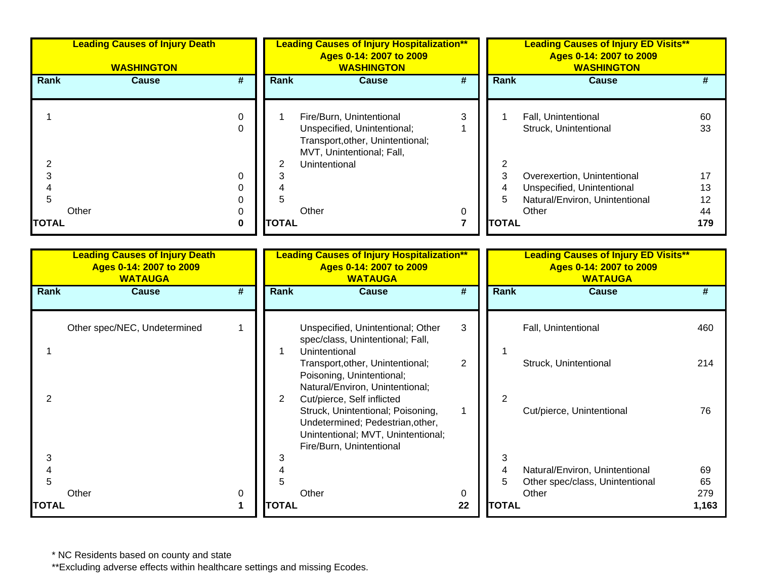| <b>Leading Causes of Injury Death</b><br><b>WASHINGTON</b> |                                                                                    |                         |                                  | <b>Leading Causes of Injury Hospitalization**</b><br>Ages 0-14: 2007 to 2009<br><b>WASHINGTON</b>                                                                                                        |                             |  | <b>Leading Causes of Injury ED Visits**</b><br>Ages 0-14: 2007 to 2009<br><b>WASHINGTON</b> |                                                                                                      |                             |  |
|------------------------------------------------------------|------------------------------------------------------------------------------------|-------------------------|----------------------------------|----------------------------------------------------------------------------------------------------------------------------------------------------------------------------------------------------------|-----------------------------|--|---------------------------------------------------------------------------------------------|------------------------------------------------------------------------------------------------------|-----------------------------|--|
| Rank                                                       | <b>Cause</b>                                                                       | #                       | Rank                             | <b>Cause</b>                                                                                                                                                                                             | $\overline{\boldsymbol{t}}$ |  | Rank                                                                                        | <b>Cause</b>                                                                                         | #                           |  |
| 1                                                          |                                                                                    | $\mathbf 0$<br>$\Omega$ | 1                                | Fire/Burn, Unintentional<br>Unspecified, Unintentional;<br>Transport, other, Unintentional;<br>MVT, Unintentional; Fall,                                                                                 | 3<br>1                      |  | 1                                                                                           | Fall, Unintentional<br>Struck, Unintentional                                                         | 60<br>33                    |  |
| $\overline{\mathbf{c}}$<br>3<br>4<br>5<br><b>TOTAL</b>     | Other                                                                              | 0<br>0<br>0<br>0<br>0   | 2<br>3<br>4<br>5<br><b>TOTAL</b> | Unintentional<br>Other                                                                                                                                                                                   | 0<br>$\overline{7}$         |  | 2<br>3<br>4<br>5<br><b>TOTAL</b>                                                            | Overexertion, Unintentional<br>Unspecified, Unintentional<br>Natural/Environ, Unintentional<br>Other | 17<br>13<br>12<br>44<br>179 |  |
|                                                            | <b>Leading Causes of Injury Death</b><br>Ages 0-14: 2007 to 2009<br><b>WATAUGA</b> |                         |                                  | <b>Leading Causes of Injury Hospitalization**</b><br>Ages 0-14: 2007 to 2009<br><b>WATAUGA</b>                                                                                                           |                             |  |                                                                                             | <b>Leading Causes of Injury ED Visits**</b><br>Ages 0-14: 2007 to 2009<br><b>WATAUGA</b>             |                             |  |
| Rank                                                       | <b>Cause</b>                                                                       | #                       | Rank                             | <b>Cause</b>                                                                                                                                                                                             | #                           |  | Rank                                                                                        | <b>Cause</b>                                                                                         | #                           |  |
|                                                            | Other spec/NEC, Undetermined                                                       | $\mathbf{1}$            |                                  | Unspecified, Unintentional; Other<br>spec/class, Unintentional; Fall,                                                                                                                                    | 3                           |  |                                                                                             | Fall, Unintentional                                                                                  | 460                         |  |
| 1                                                          |                                                                                    |                         | $\mathbf{1}$                     | Unintentional<br>Transport, other, Unintentional;<br>Poisoning, Unintentional;                                                                                                                           | $\overline{2}$              |  |                                                                                             | Struck, Unintentional                                                                                | 214                         |  |
| 2                                                          |                                                                                    |                         | $\overline{2}$                   | Natural/Environ, Unintentional;<br>Cut/pierce, Self inflicted<br>Struck, Unintentional; Poisoning,<br>Undetermined; Pedestrian, other,<br>Unintentional; MVT, Unintentional;<br>Fire/Burn, Unintentional | $\mathbf{1}$                |  | $\overline{2}$                                                                              | Cut/pierce, Unintentional                                                                            | 76                          |  |
| 3<br>4<br>5<br><b>TOTAL</b>                                | Other                                                                              | 0<br>1                  | 3<br>4<br>5<br><b>TOTAL</b>      | Other                                                                                                                                                                                                    | 0<br>22                     |  | 3<br>4<br>5<br><b>TOTAL</b>                                                                 | Natural/Environ, Unintentional<br>Other spec/class, Unintentional<br>Other                           | 69<br>65<br>279<br>1,163    |  |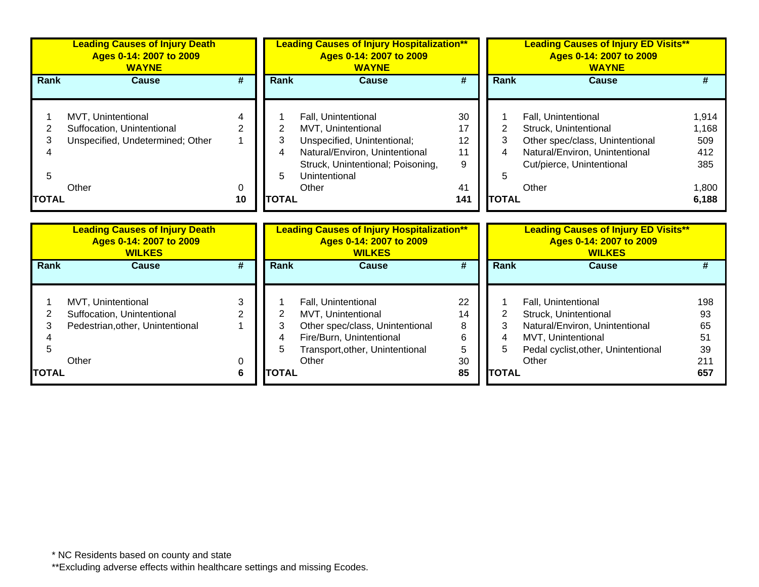|                   | <b>Leading Causes of Injury Death</b><br>Ages 0-14: 2007 to 2009<br><b>WAYNE</b>     |                     |                  | <b>Leading Causes of Injury Hospitalization**</b><br>Ages 0-14: 2007 to 2009<br><b>WAYNE</b>                                                                              |                                 |                          | <b>Leading Causes of Injury ED Visits**</b><br>Ages 0-14: 2007 to 2009<br><b>WAYNE</b>                                                                  |                                              |
|-------------------|--------------------------------------------------------------------------------------|---------------------|------------------|---------------------------------------------------------------------------------------------------------------------------------------------------------------------------|---------------------------------|--------------------------|---------------------------------------------------------------------------------------------------------------------------------------------------------|----------------------------------------------|
| <b>Rank</b>       | <b>Cause</b>                                                                         | #                   | <b>Rank</b>      | <b>Cause</b>                                                                                                                                                              | #                               | <b>Rank</b>              | <b>Cause</b>                                                                                                                                            | #                                            |
| 2<br>3            | MVT, Unintentional<br>Suffocation, Unintentional<br>Unspecified, Undetermined; Other | $\overline{2}$<br>0 | 2<br>3<br>4<br>5 | Fall, Unintentional<br>MVT, Unintentional<br>Unspecified, Unintentional;<br>Natural/Environ, Unintentional<br>Struck, Unintentional; Poisoning,<br>Unintentional<br>Other | 30<br>17<br>12<br>11<br>9<br>41 | $\overline{2}$<br>3<br>5 | Fall, Unintentional<br>Struck, Unintentional<br>Other spec/class, Unintentional<br>Natural/Environ, Unintentional<br>Cut/pierce, Unintentional<br>Other | 1,914<br>1,168<br>509<br>412<br>385<br>1,800 |
| 5<br><b>TOTAL</b> | Other                                                                                | 10                  | <b>TOTAL</b>     |                                                                                                                                                                           | 141                             | <b>TOTAL</b>             |                                                                                                                                                         | 6,188                                        |
|                   | <b>Leading Causes of Injury Death</b><br>Ages 0-14: 2007 to 2009<br><b>WILKES</b>    |                     |                  | <b>Leading Causes of Injury Hospitalization**</b><br>Ages 0-14: 2007 to 2009<br><b>WILKES</b>                                                                             |                                 |                          | <b>Leading Causes of Injury ED Visits**</b><br>Ages 0-14: 2007 to 2009<br><b>WILKES</b>                                                                 |                                              |
| <b>Rank</b>       | <b>Cause</b>                                                                         | #                   | Rank             | <b>Cause</b>                                                                                                                                                              | $\overline{\boldsymbol{H}}$     | <b>Rank</b>              | <b>Cause</b>                                                                                                                                            | #                                            |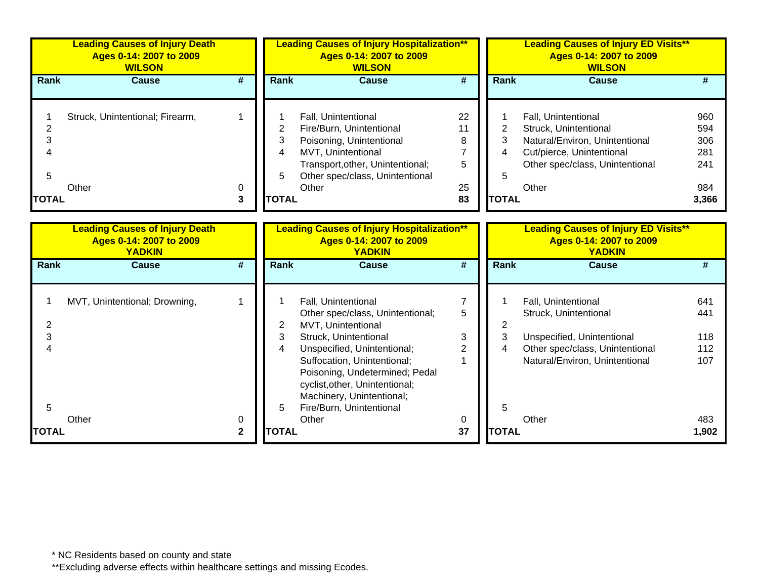|                                          | <b>Leading Causes of Injury Death</b><br>Ages 0-14: 2007 to 2009<br><b>WILSON</b> |                   |                                               | <b>Leading Causes of Injury Hospitalization**</b><br>Ages 0-14: 2007 to 2009<br><b>WILSON</b>                                                                                                                                                                                                     |                                     |                                               | <b>Leading Causes of Injury ED Visits**</b><br>Ages 0-14: 2007 to 2009<br><b>WILSON</b>                                                                 |                                                 |
|------------------------------------------|-----------------------------------------------------------------------------------|-------------------|-----------------------------------------------|---------------------------------------------------------------------------------------------------------------------------------------------------------------------------------------------------------------------------------------------------------------------------------------------------|-------------------------------------|-----------------------------------------------|---------------------------------------------------------------------------------------------------------------------------------------------------------|-------------------------------------------------|
| <b>Rank</b>                              | <b>Cause</b>                                                                      | #                 | Rank                                          | <b>Cause</b>                                                                                                                                                                                                                                                                                      | #                                   | Rank                                          | <b>Cause</b>                                                                                                                                            | #                                               |
| $\overline{2}$<br>3<br>5<br><b>TOTAL</b> | Struck, Unintentional; Firearm,<br>Other                                          | 1<br>0<br>3       | $\overline{2}$<br>3<br>4<br>5<br><b>TOTAL</b> | Fall, Unintentional<br>Fire/Burn, Unintentional<br>Poisoning, Unintentional<br>MVT, Unintentional<br>Transport, other, Unintentional;<br>Other spec/class, Unintentional<br>Other                                                                                                                 | 22<br>11<br>8<br>7<br>5<br>25<br>83 | $\overline{2}$<br>3<br>4<br>5<br><b>TOTAL</b> | Fall, Unintentional<br>Struck, Unintentional<br>Natural/Environ, Unintentional<br>Cut/pierce, Unintentional<br>Other spec/class, Unintentional<br>Other | 960<br>594<br>306<br>281<br>241<br>984<br>3,366 |
|                                          | <b>Leading Causes of Injury Death</b><br>Ages 0-14: 2007 to 2009<br><b>YADKIN</b> |                   |                                               | <b>Leading Causes of Injury Hospitalization**</b><br>Ages 0-14: 2007 to 2009<br><b>YADKIN</b>                                                                                                                                                                                                     |                                     |                                               | <b>Leading Causes of Injury ED Visits**</b><br>Ages 0-14: 2007 to 2009<br><b>YADKIN</b>                                                                 |                                                 |
| Rank                                     | <b>Cause</b>                                                                      | #                 | Rank                                          | <b>Cause</b>                                                                                                                                                                                                                                                                                      | #                                   | <b>Rank</b>                                   | <b>Cause</b>                                                                                                                                            | #                                               |
| 2<br>3<br>$\boldsymbol{\varLambda}$<br>5 | MVT, Unintentional; Drowning,                                                     | 1                 | 2<br>3<br>4<br>5                              | Fall, Unintentional<br>Other spec/class, Unintentional;<br>MVT, Unintentional<br>Struck, Unintentional<br>Unspecified, Unintentional;<br>Suffocation, Unintentional;<br>Poisoning, Undetermined; Pedal<br>cyclist, other, Unintentional;<br>Machinery, Unintentional;<br>Fire/Burn, Unintentional | 7<br>5<br>3<br>2                    | 2<br>3<br>4<br>5                              | Fall, Unintentional<br>Struck, Unintentional<br>Unspecified, Unintentional<br>Other spec/class, Unintentional<br>Natural/Environ, Unintentional         | 641<br>441<br>118<br>112<br>107                 |
| <b>TOTAL</b>                             | Other                                                                             | 0<br>$\mathbf{2}$ | <b>TOTAL</b>                                  | Other                                                                                                                                                                                                                                                                                             | 0<br>37                             | <b>TOTAL</b>                                  | Other                                                                                                                                                   | 483<br>1,902                                    |